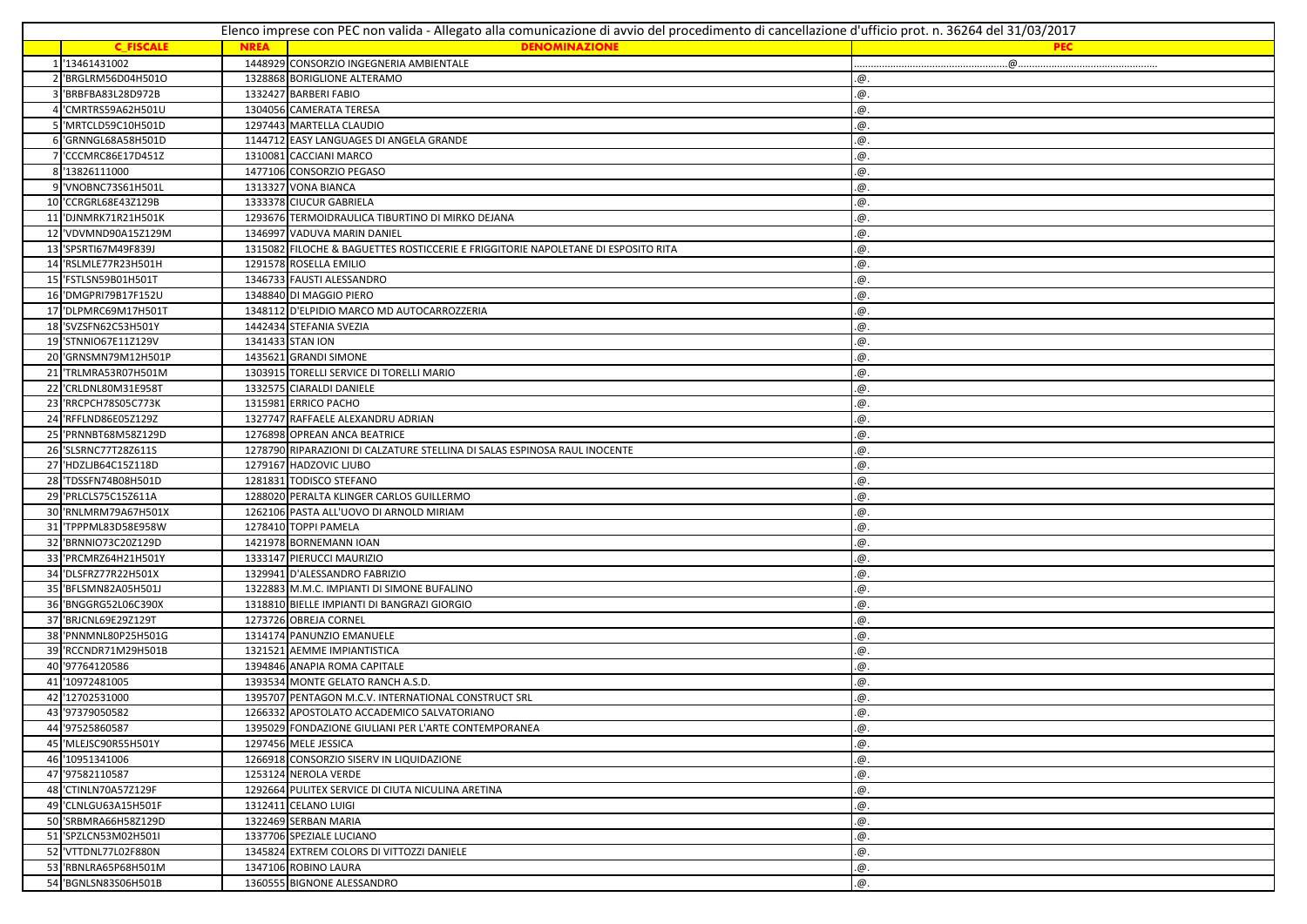|    | Elenco imprese con PEC non valida - Allegato alla comunicazione di avvio del procedimento di cancellazione d'ufficio prot. n. 36264 del 31/03/2017 |             |                                                                                   |            |  |
|----|----------------------------------------------------------------------------------------------------------------------------------------------------|-------------|-----------------------------------------------------------------------------------|------------|--|
|    | <b>C FISCALE</b>                                                                                                                                   | <b>NREA</b> | <b>DENOMINAZIONE</b>                                                              | <b>PEC</b> |  |
|    | '13461431002                                                                                                                                       |             | 1448929 CONSORZIO INGEGNERIA AMBIENTALE                                           |            |  |
|    | 'BRGLRM56D04H501O                                                                                                                                  |             | 1328868 BORIGLIONE ALTERAMO                                                       | .@.        |  |
|    | 'BRBFBA83L28D972B                                                                                                                                  |             | 1332427 BARBERI FABIO                                                             | .@.        |  |
|    | 'CMRTRS59A62H501U                                                                                                                                  |             | 1304056 CAMERATA TERESA                                                           | .@.        |  |
|    | 5 'MRTCLD59C10H501D                                                                                                                                |             | 1297443 MARTELLA CLAUDIO                                                          | @.         |  |
|    | 'GRNNGL68A58H501D                                                                                                                                  |             | 1144712 EASY LANGUAGES DI ANGELA GRANDE                                           | .@.        |  |
|    | 7 'CCCMRC86E17D451Z                                                                                                                                |             | 1310081 CACCIANI MARCO                                                            | .@.        |  |
|    | 8 '13826111000                                                                                                                                     |             | 1477106 CONSORZIO PEGASO                                                          | .@.        |  |
|    | 9 VNOBNC73S61H501L                                                                                                                                 |             | 1313327 VONA BIANCA                                                               | .@.        |  |
|    | 10 'CCRGRL68E43Z129B                                                                                                                               |             | 1333378 CIUCUR GABRIELA                                                           | .@.        |  |
|    | 11 'DJNMRK71R21H501K                                                                                                                               |             | 1293676 TERMOIDRAULICA TIBURTINO DI MIRKO DEJANA                                  | .@.        |  |
|    | 'VDVMND90A15Z129M                                                                                                                                  |             | 1346997 VADUVA MARIN DANIEL                                                       | .@.        |  |
|    | 13 'SPSRTI67M49F839J                                                                                                                               |             | 1315082 FILOCHE & BAGUETTES ROSTICCERIE E FRIGGITORIE NAPOLETANE DI ESPOSITO RITA | .@.        |  |
| 14 | 'RSLMLE77R23H501H                                                                                                                                  |             | 1291578 ROSELLA EMILIO                                                            | .@.        |  |
|    | 15 'FSTLSN59B01H501T                                                                                                                               |             | 1346733 FAUSTI ALESSANDRO                                                         | .@.        |  |
|    | 16 'DMGPRI79B17F152U                                                                                                                               |             | 1348840 DI MAGGIO PIERO                                                           | .@.        |  |
|    | 17 'DLPMRC69M17H501T                                                                                                                               |             | 1348112 D'ELPIDIO MARCO MD AUTOCARROZZERIA                                        | .@.        |  |
|    | 18 'SVZSFN62C53H501Y                                                                                                                               |             | 1442434 STEFANIA SVEZIA                                                           | .@.        |  |
|    | 19 'STNNIO67E11Z129V                                                                                                                               |             | 1341433 STAN ION                                                                  | .@.        |  |
|    | 20 GRNSMN79M12H501P                                                                                                                                |             | 1435621 GRANDI SIMONE                                                             | .@.        |  |
|    | 21 TRLMRA53R07H501M                                                                                                                                |             | 1303915 TORELLI SERVICE DI TORELLI MARIO                                          | .@.        |  |
|    | 22 'CRLDNL80M31E958T                                                                                                                               |             | 1332575 CIARALDI DANIELE                                                          | .@.        |  |
|    | 23 RRCPCH78S05C773K                                                                                                                                |             | 1315981 ERRICO PACHO                                                              | .@.        |  |
|    | 24 RFFLND86E05Z129Z                                                                                                                                |             | 1327747 RAFFAELE ALEXANDRU ADRIAN                                                 | .@.        |  |
|    | 25 PRNNBT68M58Z129D                                                                                                                                |             | 1276898 OPREAN ANCA BEATRICE                                                      | .@.        |  |
|    | 26 'SLSRNC77T28Z611S                                                                                                                               |             | 1278790 RIPARAZIONI DI CALZATURE STELLINA DI SALAS ESPINOSA RAUL INOCENTE         | .@.        |  |
|    | 27 HDZLJB64C15Z118D                                                                                                                                |             | 1279167 HADZOVIC LJUBO                                                            | @.         |  |
|    | 28 'TDSSFN74B08H501D                                                                                                                               |             | 1281831 TODISCO STEFANO                                                           | .@.        |  |
|    | 29 PRLCLS75C15Z611A                                                                                                                                |             | 1288020 PERALTA KLINGER CARLOS GUILLERMO                                          | .@.        |  |
|    | 30 'RNLMRM79A67H501X                                                                                                                               |             | 1262106 PASTA ALL'UOVO DI ARNOLD MIRIAM                                           | .@.        |  |
|    | 31 TPPPML83D58E958W                                                                                                                                |             | 1278410 TOPPI PAMELA                                                              | .@.        |  |
| 32 | 'BRNNIO73C20Z129D                                                                                                                                  |             | 1421978 BORNEMANN IOAN                                                            | .@.        |  |
|    | 33 PRCMRZ64H21H501Y                                                                                                                                |             | 1333147 PIERUCCI MAURIZIO                                                         | .@.        |  |
|    | 34 'DLSFRZ77R22H501X                                                                                                                               |             | 1329941 D'ALESSANDRO FABRIZIO                                                     | .@.        |  |
|    | 35 BFLSMN82A05H501J                                                                                                                                |             | 1322883 M.M.C. IMPIANTI DI SIMONE BUFALINO                                        | .@.        |  |
|    | 36 BNGGRG52L06C390X                                                                                                                                |             | 1318810 BIELLE IMPIANTI DI BANGRAZI GIORGIO                                       | .@.        |  |
|    | 37 BRJCNL69E29Z129T                                                                                                                                |             | 1273726 OBREJA CORNEL                                                             | .@.        |  |
|    | 38 'PNNMNL80P25H501G                                                                                                                               |             | 1314174 PANUNZIO EMANUELE                                                         | .@.        |  |
|    |                                                                                                                                                    |             | 1321521 AEMME IMPIANTISTICA                                                       |            |  |
|    | 39 'RCCNDR71M29H501B<br>40 '97764120586                                                                                                            |             | 1394846 ANAPIA ROMA CAPITALE                                                      | .@.<br>.@. |  |
|    | 41 '10972481005                                                                                                                                    |             | 1393534 MONTE GELATO RANCH A.S.D.                                                 |            |  |
|    | 42 '12702531000                                                                                                                                    |             |                                                                                   | .@.        |  |
|    |                                                                                                                                                    |             | 1395707 PENTAGON M.C.V. INTERNATIONAL CONSTRUCT SRL                               | .@.        |  |
|    | 43 '97379050582                                                                                                                                    |             | 1266332 APOSTOLATO ACCADEMICO SALVATORIANO                                        | .@.        |  |
|    | 44 '97525860587                                                                                                                                    |             | 1395029 FONDAZIONE GIULIANI PER L'ARTE CONTEMPORANEA                              | .@.        |  |
|    | 45 MLEJSC90R55H501Y                                                                                                                                |             | 1297456 MELE JESSICA                                                              | .@.        |  |
|    | 46 '10951341006                                                                                                                                    |             | 1266918 CONSORZIO SISERV IN LIQUIDAZIONE                                          | @.         |  |
|    | 47 '97582110587                                                                                                                                    |             | 1253124 NEROLA VERDE                                                              | .@.        |  |
|    | 48 'CTINLN70A57Z129F                                                                                                                               |             | 1292664 PULITEX SERVICE DI CIUTA NICULINA ARETINA                                 | .@.        |  |
|    | 49 'CLNLGU63A15H501F                                                                                                                               |             | 1312411 CELANO LUIGI                                                              | @.         |  |
|    | 50 'SRBMRA66H58Z129D                                                                                                                               |             | 1322469 SERBAN MARIA                                                              | @.         |  |
|    | 51 'SPZLCN53M02H501I                                                                                                                               |             | 1337706 SPEZIALE LUCIANO                                                          | @.         |  |
|    | 52 VTTDNL77L02F880N                                                                                                                                |             | 1345824 EXTREM COLORS DI VITTOZZI DANIELE                                         | .@.        |  |
|    | 53 RBNLRA65P68H501M                                                                                                                                |             | 1347106 ROBINO LAURA                                                              | .@.        |  |
|    | 54 BGNLSN83S06H501B                                                                                                                                |             | 1360555 BIGNONE ALESSANDRO                                                        | @.         |  |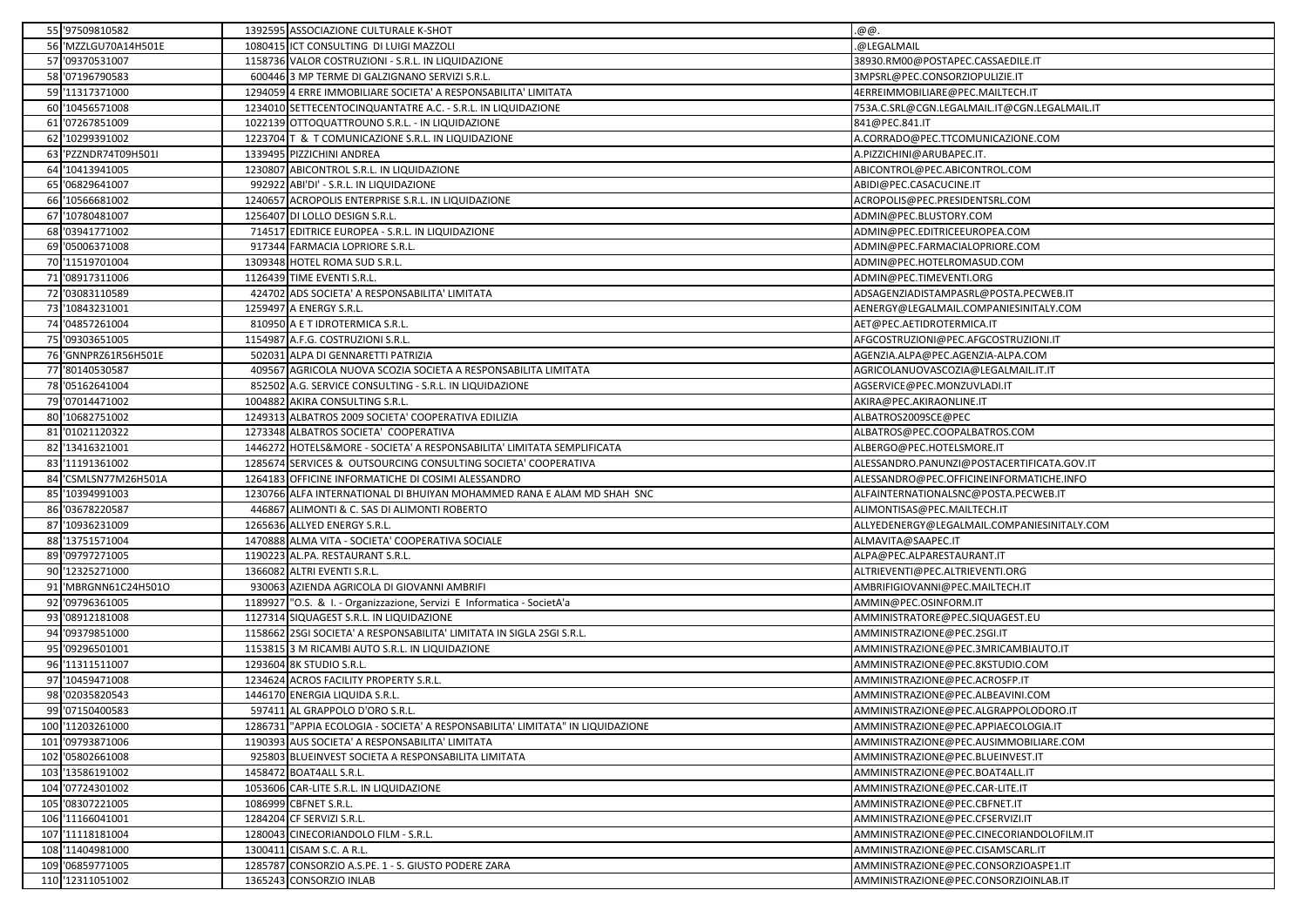| 55 '97509810582      |        | 1392595 ASSOCIAZIONE CULTURALE K-SHOT                                          | .@@.                                         |
|----------------------|--------|--------------------------------------------------------------------------------|----------------------------------------------|
| 56 'MZZLGU70A14H501E |        | 1080415 ICT CONSULTING DI LUIGI MAZZOLI                                        | @LEGALMAIL                                   |
| 57 '09370531007      |        | 1158736 VALOR COSTRUZIONI - S.R.L. IN LIQUIDAZIONE                             | 38930.RM00@POSTAPEC.CASSAEDILE.IT            |
| 58 '07196790583      |        | 600446 3 MP TERME DI GALZIGNANO SERVIZI S.R.L.                                 | 3MPSRL@PEC.CONSORZIOPULIZIE.IT               |
| 59 '11317371000      |        | 1294059 4 ERRE IMMOBILIARE SOCIETA' A RESPONSABILITA' LIMITATA                 | 4ERREIMMOBILIARE@PEC.MAILTECH.IT             |
| 60 '10456571008      |        | 1234010 SETTECENTOCINQUANTATRE A.C. - S.R.L. IN LIQUIDAZIONE                   | 753A.C.SRL@CGN.LEGALMAIL.IT@CGN.LEGALMAIL.IT |
| 61 '07267851009      |        | 1022139 OTTOQUATTROUNO S.R.L. - IN LIQUIDAZIONE                                | 841@PEC.841.IT                               |
| 62 '10299391002      |        | 1223704 T & T COMUNICAZIONE S.R.L. IN LIQUIDAZIONE                             | A.CORRADO@PEC.TTCOMUNICAZIONE.COM            |
| 63 PZZNDR74T09H501I  |        | 1339495 PIZZICHINI ANDREA                                                      | A.PIZZICHINI@ARUBAPEC.IT.                    |
| 64 '10413941005      |        | 1230807 ABICONTROL S.R.L. IN LIQUIDAZIONE                                      | ABICONTROL@PEC.ABICONTROL.COM                |
| 65 '06829641007      |        | 992922 ABI'DI' - S.R.L. IN LIQUIDAZIONE                                        | ABIDI@PEC.CASACUCINE.IT                      |
| 66 '10566681002      |        | 1240657 ACROPOLIS ENTERPRISE S.R.L. IN LIQUIDAZIONE                            | ACROPOLIS@PEC.PRESIDENTSRL.COM               |
| 67 '10780481007      |        | 1256407 DI LOLLO DESIGN S.R.L.                                                 | ADMIN@PEC.BLUSTORY.COM                       |
| 68 '03941771002      |        | 714517 EDITRICE EUROPEA - S.R.L. IN LIQUIDAZIONE                               | ADMIN@PEC.EDITRICEEUROPEA.COM                |
| 69 '05006371008      |        | 917344 FARMACIA LOPRIORE S.R.L.                                                | ADMIN@PEC.FARMACIALOPRIORE.COM               |
| 70 '11519701004      |        | 1309348 HOTEL ROMA SUD S.R.L.                                                  | ADMIN@PEC.HOTELROMASUD.COM                   |
| 71 '08917311006      |        | 1126439 TIME EVENTI S.R.L.                                                     | ADMIN@PEC.TIMEVENTI.ORG                      |
| 72 '03083110589      |        | 424702 ADS SOCIETA' A RESPONSABILITA' LIMITATA                                 | ADSAGENZIADISTAMPASRL@POSTA.PECWEB.IT        |
| 73 '10843231001      |        | 1259497 A ENERGY S.R.L.                                                        | AENERGY@LEGALMAIL.COMPANIESINITALY.COM       |
| 74 '04857261004      |        | 810950 A E T IDROTERMICA S.R.L                                                 | AET@PEC.AETIDROTERMICA.IT                    |
| 75 '09303651005      |        | 1154987 A.F.G. COSTRUZIONI S.R.L.                                              | AFGCOSTRUZIONI@PEC.AFGCOSTRUZIONI.IT         |
| 76 'GNNPRZ61R56H501E | 502031 | 1 ALPA DI GENNARETTI PATRIZIA                                                  | AGENZIA.ALPA@PEC.AGENZIA-ALPA.COM            |
| 77 '80140530587      |        | 409567 AGRICOLA NUOVA SCOZIA SOCIETA A RESPONSABILITA LIMITATA                 | AGRICOLANUOVASCOZIA@LEGALMAIL.IT.IT          |
| 78 '05162641004      |        | 852502 A.G. SERVICE CONSULTING - S.R.L. IN LIQUIDAZIONE                        | AGSERVICE@PEC.MONZUVLADI.IT                  |
| 79 '07014471002      |        | 1004882 AKIRA CONSULTING S.R.L                                                 | AKIRA@PEC.AKIRAONLINE.IT                     |
| 80 '10682751002      |        | 1249313 ALBATROS 2009 SOCIETA' COOPERATIVA EDILIZIA                            | ALBATROS2009SCE@PEC                          |
| 81 '01021120322      |        | 1273348 ALBATROS SOCIETA' COOPERATIVA                                          | ALBATROS@PEC.COOPALBATROS.COM                |
| 82 '13416321001      |        | 1446272 HOTELS&MORE - SOCIETA' A RESPONSABILITA' LIMITATA SEMPLIFICATA         | ALBERGO@PEC.HOTELSMORE.IT                    |
| 83 '11191361002      |        | 1285674 SERVICES & OUTSOURCING CONSULTING SOCIETA' COOPERATIVA                 | ALESSANDRO.PANUNZI@POSTACERTIFICATA.GOV.IT   |
| 84 'CSMLSN77M26H501A |        | 1264183 OFFICINE INFORMATICHE DI COSIMI ALESSANDRO                             | ALESSANDRO@PEC.OFFICINEINFORMATICHE.INFO     |
| 85 '10394991003      |        | 1230766 ALFA INTERNATIONAL DI BHUIYAN MOHAMMED RANA E ALAM MD SHAH SNC         | ALFAINTERNATIONALSNC@POSTA.PECWEB.IT         |
| 86 '03678220587      |        | 446867 ALIMONTI & C. SAS DI ALIMONTI ROBERTO                                   | ALIMONTISAS@PEC.MAILTECH.IT                  |
| 87 '10936231009      |        | 1265636 ALLYED ENERGY S.R.L.                                                   | ALLYEDENERGY@LEGALMAIL.COMPANIESINITALY.COM  |
| 88 '13751571004      |        | 1470888 ALMA VITA - SOCIETA' COOPERATIVA SOCIALE                               | ALMAVITA@SAAPEC.IT                           |
| 89 '09797271005      |        | 1190223 AL.PA. RESTAURANT S.R.L.                                               | ALPA@PEC.ALPARESTAURANT.IT                   |
| 90 '12325271000      |        | 1366082 ALTRI EVENTI S.R.L.                                                    | ALTRIEVENTI@PEC.ALTRIEVENTI.ORG              |
| 91 MBRGNN61C24H501O  |        | 930063 AZIENDA AGRICOLA DI GIOVANNI AMBRIFI                                    | AMBRIFIGIOVANNI@PEC.MAILTECH.IT              |
| 92 '09796361005      |        | 1189927 "O.S. & I. - Organizzazione, Servizi E Informatica - SocietA'a         | AMMIN@PEC.OSINFORM.IT                        |
| 93 '08912181008      |        | 1127314 SIQUAGEST S.R.L. IN LIQUIDAZIONE                                       | AMMINISTRATORE@PEC.SIQUAGEST.EU              |
| 94 '09379851000      |        | 1158662 2SGI SOCIETA' A RESPONSABILITA' LIMITATA IN SIGLA 2SGI S.R.L.          | AMMINISTRAZIONE@PEC.2SGI.IT                  |
| 95 '09296501001      |        | 1153815 3 M RICAMBI AUTO S.R.L. IN LIQUIDAZIONE                                | AMMINISTRAZIONE@PEC.3MRICAMBIAUTO.IT         |
| 96 '11311511007      |        | 1293604 8K STUDIO S.R.L                                                        | AMMINISTRAZIONE@PEC.8KSTUDIO.COM             |
| 97 '10459471008      |        | 1234624 ACROS FACILITY PROPERTY S.R.L.                                         | AMMINISTRAZIONE@PEC.ACROSFP.IT               |
| 98 '02035820543      |        | 1446170 ENERGIA LIQUIDA S.R.L.                                                 | AMMINISTRAZIONE@PEC.ALBEAVINI.COM            |
| 99 '07150400583      |        | 597411 AL GRAPPOLO D'ORO S.R.L.                                                | AMMINISTRAZIONE@PEC.ALGRAPPOLODORO.IT        |
| 100 11203261000      |        | 1286731 "APPIA ECOLOGIA - SOCIETA' A RESPONSABILITA' LIMITATA" IN LIQUIDAZIONE | AMMINISTRAZIONE@PEC.APPIAECOLOGIA.IT         |
| 101 '09793871006     |        | 1190393 AUS SOCIETA' A RESPONSABILITA' LIMITATA                                | AMMINISTRAZIONE@PEC.AUSIMMOBILIARE.COM       |
| 102 '05802661008     |        | 925803 BLUEINVEST SOCIETA A RESPONSABILITA LIMITATA                            | AMMINISTRAZIONE@PEC.BLUEINVEST.IT            |
| 103 '13586191002     |        | 1458472 BOAT4ALL S.R.L.                                                        | AMMINISTRAZIONE@PEC.BOAT4ALL.IT              |
| 104 '07724301002     |        | 1053606 CAR-LITE S.R.L. IN LIQUIDAZIONE                                        | AMMINISTRAZIONE@PEC.CAR-LITE.IT              |
| 105 '08307221005     |        | 1086999 CBFNET S.R.L.                                                          | AMMINISTRAZIONE@PEC.CBFNET.IT                |
| 106 '11166041001     |        | 1284204 CF SERVIZI S.R.L.                                                      | AMMINISTRAZIONE@PEC.CFSERVIZI.IT             |
| 107 '11118181004     |        | 1280043 CINECORIANDOLO FILM - S.R.L.                                           | AMMINISTRAZIONE@PEC.CINECORIANDOLOFILM.IT    |
| 108 '11404981000     |        | 1300411 CISAM S.C. A R.L.                                                      | AMMINISTRAZIONE@PEC.CISAMSCARL.IT            |
| 109 '06859771005     |        | 1285787 CONSORZIO A.S.PE. 1 - S. GIUSTO PODERE ZARA                            | AMMINISTRAZIONE@PEC.CONSORZIOASPE1.IT        |
| 110 '12311051002     |        | 1365243 CONSORZIO INLAB                                                        | AMMINISTRAZIONE@PEC.CONSORZIOINLAB.IT        |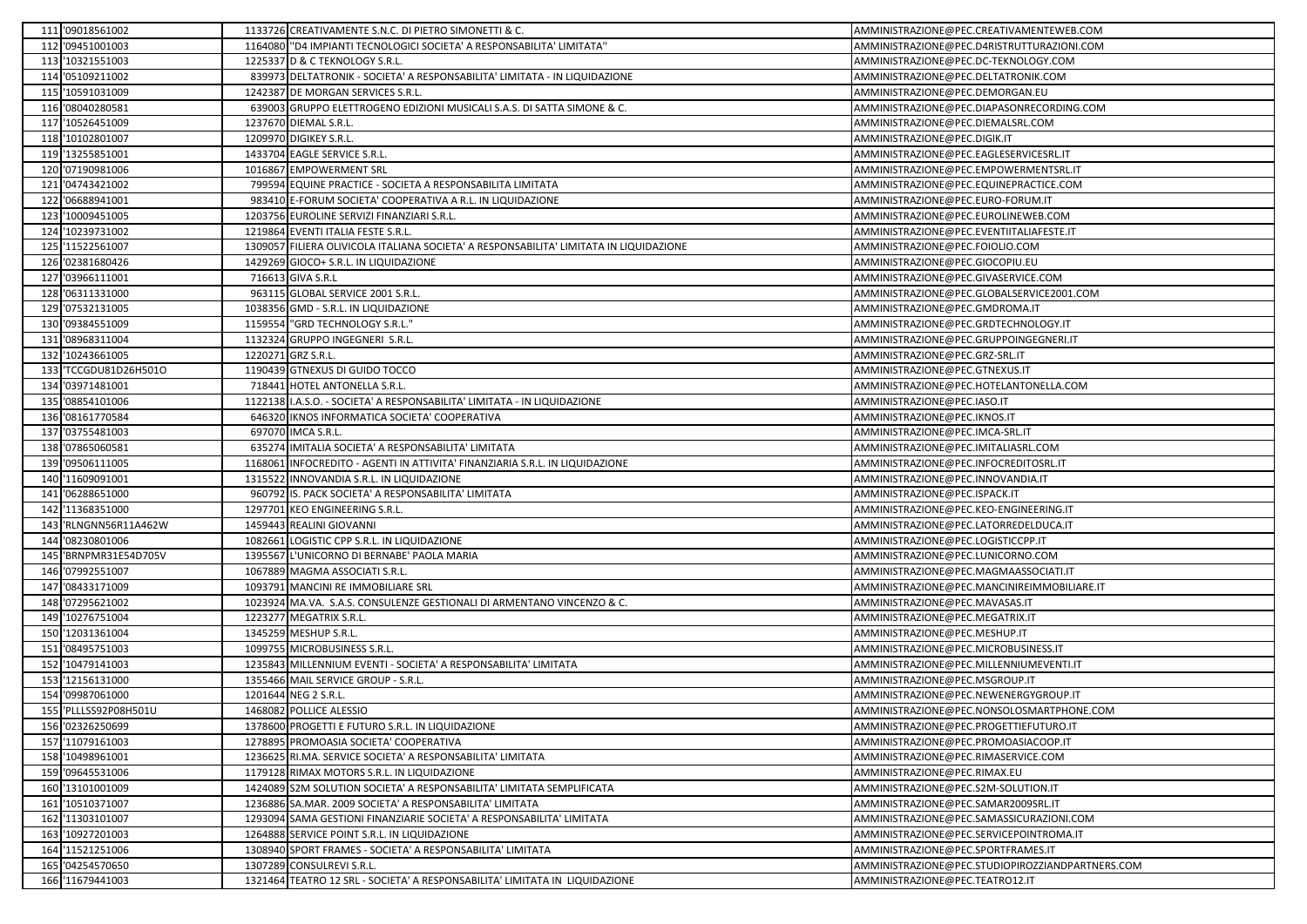|     | 111 '09018561002      |         | 1133726 CREATIVAMENTE S.N.C. DI PIETRO SIMONETTI & C.                                  | AMMINISTRAZIONE@PEC.CREATIVAMENTEWEB.COM         |
|-----|-----------------------|---------|----------------------------------------------------------------------------------------|--------------------------------------------------|
|     | 112 '09451001003      |         | 1164080 "D4 IMPIANTI TECNOLOGICI SOCIETA' A RESPONSABILITA' LIMITATA'                  | AMMINISTRAZIONE@PEC.D4RISTRUTTURAZIONI.COM       |
|     | 113 '10321551003      |         | 1225337 D & C TEKNOLOGY S.R.L.                                                         | AMMINISTRAZIONE@PEC.DC-TEKNOLOGY.COM             |
|     | 114 '05109211002      |         | 839973 DELTATRONIK - SOCIETA' A RESPONSABILITA' LIMITATA - IN LIQUIDAZIONE             | AMMINISTRAZIONE@PEC.DELTATRONIK.COM              |
|     | 115 '10591031009      |         | 1242387 DE MORGAN SERVICES S.R.L.                                                      | AMMINISTRAZIONE@PEC.DEMORGAN.EU                  |
|     | 116 '08040280581      |         | 639003 GRUPPO ELETTROGENO EDIZIONI MUSICALI S.A.S. DI SATTA SIMONE & C.                | AMMINISTRAZIONE@PEC.DIAPASONRECORDING.COM        |
|     | 117 '10526451009      |         | 1237670 DIEMAL S.R.L.                                                                  | AMMINISTRAZIONE@PEC.DIEMALSRL.COM                |
|     | 118 '10102801007      |         | 1209970 DIGIKEY S.R.L.                                                                 | AMMINISTRAZIONE@PEC.DIGIK.IT                     |
|     | 119 '13255851001      |         | 1433704 EAGLE SERVICE S.R.L.                                                           | AMMINISTRAZIONE@PEC.EAGLESERVICESRL.IT           |
| 120 | '07190981006          |         | 1016867 EMPOWERMENT SRL                                                                | AMMINISTRAZIONE@PEC.EMPOWERMENTSRL.IT            |
|     | 121 '04743421002      |         | 799594 EQUINE PRACTICE - SOCIETA A RESPONSABILITA LIMITATA                             | AMMINISTRAZIONE@PEC.EQUINEPRACTICE.COM           |
|     | 122 '06688941001      |         | 983410 E-FORUM SOCIETA' COOPERATIVA A R.L. IN LIQUIDAZIONE                             | AMMINISTRAZIONE@PEC.EURO-FORUM.IT                |
|     | 123 '10009451005      |         | 1203756 EUROLINE SERVIZI FINANZIARI S.R.L.                                             | AMMINISTRAZIONE@PEC.EUROLINEWEB.COM              |
|     | 124 '10239731002      |         | 1219864 EVENTI ITALIA FESTE S.R.L.                                                     | AMMINISTRAZIONE@PEC.EVENTIITALIAFESTE.IT         |
|     | 125 '11522561007      |         | 1309057 FILIERA OLIVICOLA ITALIANA SOCIETA' A RESPONSABILITA' LIMITATA IN LIQUIDAZIONE | AMMINISTRAZIONE@PEC.FOIOLIO.COM                  |
|     | 126 '02381680426      |         | 1429269 GIOCO+ S.R.L. IN LIQUIDAZIONE                                                  | AMMINISTRAZIONE@PEC.GIOCOPIU.EU                  |
|     | 127 '03966111001      |         | 716613 GIVA S.R.L                                                                      | AMMINISTRAZIONE@PEC.GIVASERVICE.COM              |
|     | 128 '06311331000      |         | 963115 GLOBAL SERVICE 2001 S.R.L.                                                      | AMMINISTRAZIONE@PEC.GLOBALSERVICE2001.COM        |
|     | 129 '07532131005      |         | 1038356 GMD - S.R.L. IN LIQUIDAZIONE                                                   | AMMINISTRAZIONE@PEC.GMDROMA.IT                   |
|     | 130 '09384551009      |         | 1159554 "GRD TECHNOLOGY S.R.L."                                                        | AMMINISTRAZIONE@PEC.GRDTECHNOLOGY.IT             |
|     | 131 '08968311004      |         | 1132324 GRUPPO INGEGNERI S.R.L.                                                        | AMMINISTRAZIONE@PEC.GRUPPOINGEGNERI.IT           |
|     | 132 '10243661005      |         | 1220271 GRZ S.R.L.                                                                     | AMMINISTRAZIONE@PEC.GRZ-SRL.IT                   |
|     | 133 TCCGDU81D26H501O  |         | 1190439 GTNEXUS DI GUIDO TOCCO                                                         | AMMINISTRAZIONE@PEC.GTNEXUS.IT                   |
|     | 134 '03971481001      |         | 718441 HOTEL ANTONELLA S.R.L.                                                          | AMMINISTRAZIONE@PEC.HOTELANTONELLA.COM           |
|     | 135 '08854101006      |         | 1122138 I.A.S.O. - SOCIETA' A RESPONSABILITA' LIMITATA - IN LIQUIDAZIONE               | AMMINISTRAZIONE@PEC.IASO.IT                      |
|     | 136 '08161770584      |         | 646320 IKNOS INFORMATICA SOCIETA' COOPERATIVA                                          | AMMINISTRAZIONE@PEC.IKNOS.IT                     |
|     | 137 '03755481003      |         | 697070 IMCA S.R.L.                                                                     | AMMINISTRAZIONE@PEC.IMCA-SRL.IT                  |
|     | 138 '07865060581      |         | 635274 IMITALIA SOCIETA' A RESPONSABILITA' LIMITATA                                    | AMMINISTRAZIONE@PEC.IMITALIASRL.COM              |
|     | 139 '09506111005      | 1168061 | INFOCREDITO - AGENTI IN ATTIVITA' FINANZIARIA S.R.L. IN LIQUIDAZIONE                   | AMMINISTRAZIONE@PEC.INFOCREDITOSRL.IT            |
|     | 140 '11609091001      |         | 1315522 INNOVANDIA S.R.L. IN LIQUIDAZIONE                                              | AMMINISTRAZIONE@PEC.INNOVANDIA.IT                |
|     | 141 '06288651000      |         | 960792 IS. PACK SOCIETA' A RESPONSABILITA' LIMITATA                                    | AMMINISTRAZIONE@PEC.ISPACK.IT                    |
|     | 142 '11368351000      |         | 1297701 KEO ENGINEERING S.R.L.                                                         | AMMINISTRAZIONE@PEC.KEO-ENGINEERING.IT           |
|     | 143 RLNGNN56R11A462W  |         | 1459443 REALINI GIOVANNI                                                               | AMMINISTRAZIONE@PEC.LATORREDELDUCA.IT            |
|     | 144 '08230801006      |         | 1082661 LOGISTIC CPP S.R.L. IN LIQUIDAZIONE                                            | AMMINISTRAZIONE@PEC.LOGISTICCPP.IT               |
|     | 145 'BRNPMR31E54D705V |         | 1395567 L'UNICORNO DI BERNABE' PAOLA MARIA                                             | AMMINISTRAZIONE@PEC.LUNICORNO.COM                |
|     | 146 '07992551007      |         | 1067889 MAGMA ASSOCIATI S.R.L                                                          | AMMINISTRAZIONE@PEC.MAGMAASSOCIATI.IT            |
|     | 147 '08433171009      |         | 1093791 MANCINI RE IMMOBILIARE SRL                                                     | AMMINISTRAZIONE@PEC.MANCINIREIMMOBILIARE.IT      |
|     | 148 '07295621002      |         | 1023924 MA.VA. S.A.S. CONSULENZE GESTIONALI DI ARMENTANO VINCENZO & C.                 | AMMINISTRAZIONE@PEC.MAVASAS.IT                   |
|     | 149 '10276751004      |         | 1223277 MEGATRIX S.R.L.                                                                | AMMINISTRAZIONE@PEC.MEGATRIX.IT                  |
| 150 | '12031361004          |         | 1345259 MESHUP S.R.L.                                                                  | AMMINISTRAZIONE@PEC.MESHUP.IT                    |
|     | 151 '08495751003      |         | 1099755 MICROBUSINESS S.R.L.                                                           | AMMINISTRAZIONE@PEC.MICROBUSINESS.IT             |
|     | 152 '10479141003      |         | 1235843 MILLENNIUM EVENTI - SOCIETA' A RESPONSABILITA' LIMITATA                        | AMMINISTRAZIONE@PEC.MILLENNIUMEVENTI.IT          |
| 153 | '12156131000          |         | 1355466 MAIL SERVICE GROUP - S.R.L.                                                    | AMMINISTRAZIONE@PEC.MSGROUP.IT                   |
| 154 | '09987061000          |         | 1201644 NEG 2 S.R.L.                                                                   | AMMINISTRAZIONE@PEC.NEWENERGYGROUP.IT            |
|     | 155 PLLLSS92P08H501U  |         | 1468082 POLLICE ALESSIO                                                                | AMMINISTRAZIONE@PEC.NONSOLOSMARTPHONE.COM        |
|     | 156 '02326250699      |         | 1378600 PROGETTI E FUTURO S.R.L. IN LIQUIDAZIONE                                       | AMMINISTRAZIONE@PEC.PROGETTIEFUTURO.IT           |
|     | 157 '11079161003      |         | 1278895 PROMOASIA SOCIETA' COOPERATIVA                                                 | AMMINISTRAZIONE@PEC.PROMOASIACOOP.IT             |
|     | 158 '10498961001      |         | 1236625 RI.MA. SERVICE SOCIETA' A RESPONSABILITA' LIMITATA                             | AMMINISTRAZIONE@PEC.RIMASERVICE.COM              |
|     | 159 '09645531006      |         | 1179128 RIMAX MOTORS S.R.L. IN LIQUIDAZIONE                                            | AMMINISTRAZIONE@PEC.RIMAX.EU                     |
|     | 160 '13101001009      |         | 1424089 S2M SOLUTION SOCIETA' A RESPONSABILITA' LIMITATA SEMPLIFICATA                  | AMMINISTRAZIONE@PEC.S2M-SOLUTION.IT              |
|     | 161 '10510371007      |         | 1236886 SA.MAR. 2009 SOCIETA' A RESPONSABILITA' LIMITATA                               | AMMINISTRAZIONE@PEC.SAMAR2009SRL.IT              |
|     | 162 '11303101007      |         | 1293094 SAMA GESTIONI FINANZIARIE SOCIETA' A RESPONSABILITA' LIMITATA                  | AMMINISTRAZIONE@PEC.SAMASSICURAZIONI.COM         |
|     | 163 '10927201003      |         | 1264888 SERVICE POINT S.R.L. IN LIQUIDAZIONE                                           | AMMINISTRAZIONE@PEC.SERVICEPOINTROMA.IT          |
|     | 164 '11521251006      |         | 1308940 SPORT FRAMES - SOCIETA' A RESPONSABILITA' LIMITATA                             | AMMINISTRAZIONE@PEC.SPORTFRAMES.IT               |
|     | 165 '04254570650      |         | 1307289 CONSULREVI S.R.L.                                                              | AMMINISTRAZIONE@PEC.STUDIOPIROZZIANDPARTNERS.COM |
|     | 166 '11679441003      |         | 1321464 TEATRO 12 SRL - SOCIETA' A RESPONSABILITA' LIMITATA IN LIQUIDAZIONE            | AMMINISTRAZIONE@PEC.TEATRO12.IT                  |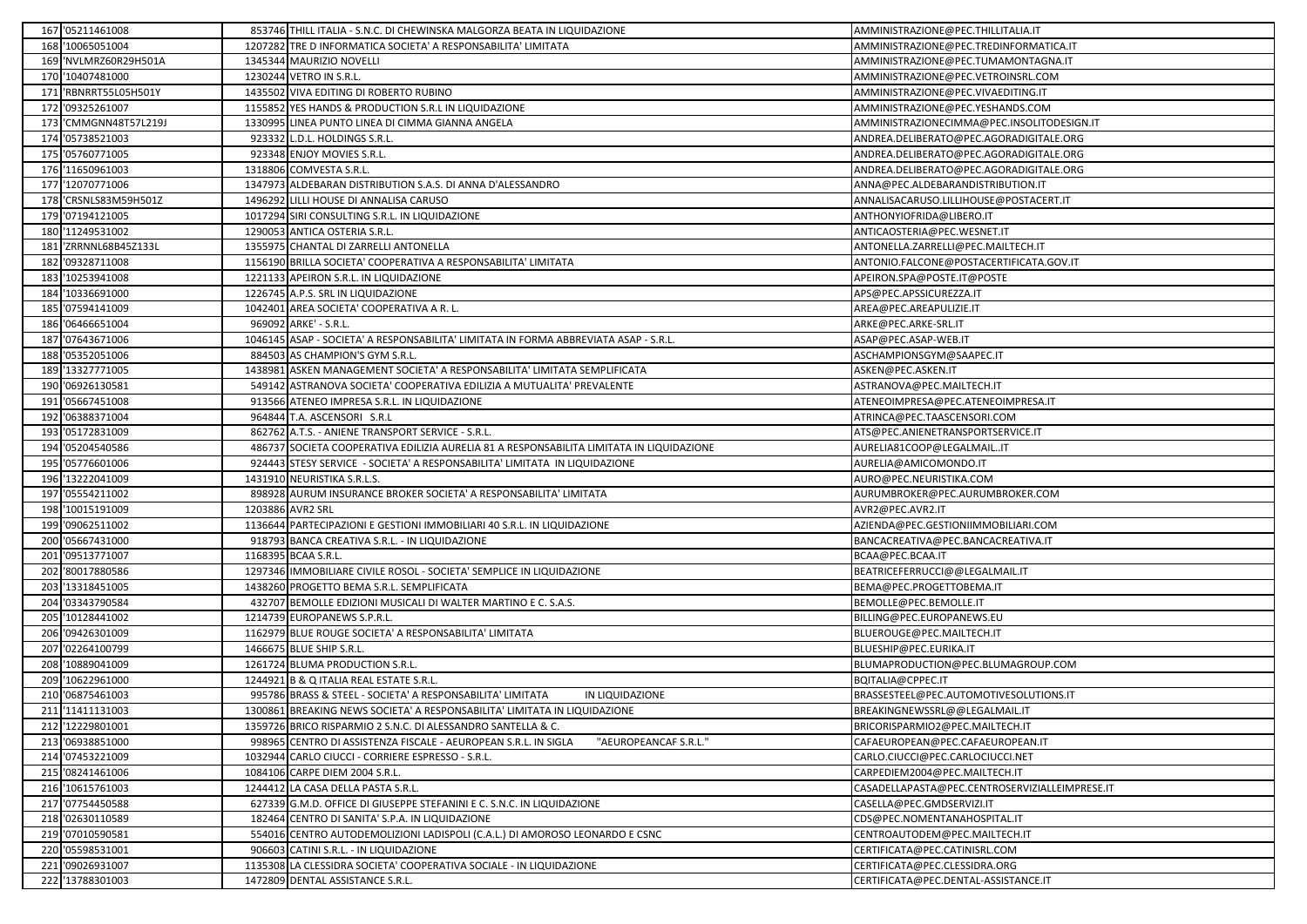|     | 167 '05211461008      | 853746 THILL ITALIA - S.N.C. DI CHEWINSKA MALGORZA BEATA IN LIQUIDAZIONE                 | AMMINISTRAZIONE@PEC.THILLITALIA.IT             |
|-----|-----------------------|------------------------------------------------------------------------------------------|------------------------------------------------|
|     | 168 '10065051004      | 1207282 TRE D INFORMATICA SOCIETA' A RESPONSABILITA' LIMITATA                            | AMMINISTRAZIONE@PEC.TREDINFORMATICA.IT         |
|     | 169 'NVLMRZ60R29H501A | 1345344 MAURIZIO NOVELLI                                                                 | AMMINISTRAZIONE@PEC.TUMAMONTAGNA.IT            |
|     | 170 '10407481000      | 1230244 VETRO IN S.R.L.                                                                  | AMMINISTRAZIONE@PEC.VETROINSRL.COM             |
| 171 | 'RBNRRT55L05H501Y     | 1435502 VIVA EDITING DI ROBERTO RUBINO                                                   | AMMINISTRAZIONE@PEC.VIVAEDITING.IT             |
|     | 172 '09325261007      | 1155852 YES HANDS & PRODUCTION S.R.L IN LIQUIDAZIONE                                     | AMMINISTRAZIONE@PEC.YESHANDS.COM               |
|     | 173 CMMGNN48T57L219J  | 1330995 LINEA PUNTO LINEA DI CIMMA GIANNA ANGELA                                         | AMMINISTRAZIONECIMMA@PEC.INSOLITODESIGN.IT     |
|     | 174 '05738521003      | 923332 L.D.L. HOLDINGS S.R.L.                                                            | ANDREA.DELIBERATO@PEC.AGORADIGITALE.ORG        |
|     | 175 '05760771005      | 923348 ENJOY MOVIES S.R.L.                                                               | ANDREA.DELIBERATO@PEC.AGORADIGITALE.ORG        |
|     | 176 '11650961003      | 1318806 COMVESTA S.R.L.                                                                  | ANDREA.DELIBERATO@PEC.AGORADIGITALE.ORG        |
| 177 | '12070771006          | 1347973 ALDEBARAN DISTRIBUTION S.A.S. DI ANNA D'ALESSANDRO                               | ANNA@PEC.ALDEBARANDISTRIBUTION.IT              |
|     | 178 'CRSNLS83M59H501Z | 1496292 LILLI HOUSE DI ANNALISA CARUSO                                                   | ANNALISACARUSO.LILLIHOUSE@POSTACERT.IT         |
|     | 179 '07194121005      | 1017294 SIRI CONSULTING S.R.L. IN LIQUIDAZIONE                                           | ANTHONYIOFRIDA@LIBERO.IT                       |
|     | 180 '11249531002      | 1290053 ANTICA OSTERIA S.R.L.                                                            | ANTICAOSTERIA@PEC.WESNET.IT                    |
| 181 | 'ZRRNNL68B45Z133L     | 1355975 CHANTAL DI ZARRELLI ANTONELLA                                                    | ANTONELLA.ZARRELLI@PEC.MAILTECH.IT             |
|     | 182 '09328711008      | 1156190 BRILLA SOCIETA' COOPERATIVA A RESPONSABILITA' LIMITATA                           | ANTONIO.FALCONE@POSTACERTIFICATA.GOV.IT        |
| 183 | '10253941008          | 1221133 APEIRON S.R.L. IN LIQUIDAZIONE                                                   | APEIRON.SPA@POSTE.IT@POSTE                     |
| 184 | '10336691000          | 1226745 A.P.S. SRL IN LIQUIDAZIONE                                                       | APS@PEC.APSSICUREZZA.IT                        |
|     | 185 '07594141009      | 1042401 AREA SOCIETA' COOPERATIVA A R. L.                                                | AREA@PEC.AREAPULIZIE.IT                        |
|     | 186 '06466651004      | 969092 ARKE' - S.R.L.                                                                    | ARKE@PEC.ARKE-SRL.IT                           |
|     | 187 '07643671006      | 1046145 ASAP - SOCIETA' A RESPONSABILITA' LIMITATA IN FORMA ABBREVIATA ASAP - S.R.L.     | ASAP@PEC.ASAP-WEB.IT                           |
|     | 188 '05352051006      | 884503 AS CHAMPION'S GYM S.R.L.                                                          | ASCHAMPIONSGYM@SAAPEC.IT                       |
|     | 189 '13327771005      | 1438981 ASKEN MANAGEMENT SOCIETA' A RESPONSABILITA' LIMITATA SEMPLIFICATA                | ASKEN@PEC.ASKEN.IT                             |
|     | 190 '06926130581      | 549142 ASTRANOVA SOCIETA' COOPERATIVA EDILIZIA A MUTUALITA' PREVALENTE                   | ASTRANOVA@PEC.MAILTECH.IT                      |
| 191 | '05667451008          | 913566 ATENEO IMPRESA S.R.L. IN LIQUIDAZIONE                                             | ATENEOIMPRESA@PEC.ATENEOIMPRESA.IT             |
|     | 192 '06388371004      | 964844 T.A. ASCENSORI S.R.L                                                              | ATRINCA@PEC.TAASCENSORI.COM                    |
|     | 193 '05172831009      | 862762 A.T.S. - ANIENE TRANSPORT SERVICE - S.R.L.                                        | ATS@PEC.ANIENETRANSPORTSERVICE.IT              |
|     | 194 '05204540586      | 486737 SOCIETA COOPERATIVA EDILIZIA AURELIA 81 A RESPONSABILITA LIMITATA IN LIQUIDAZIONE | AURELIA81COOP@LEGALMAILIT                      |
|     | 195 '05776601006      | 924443 STESY SERVICE - SOCIETA' A RESPONSABILITA' LIMITATA IN LIQUIDAZIONE               | AURELIA@AMICOMONDO.IT                          |
|     | 196 '13222041009      | 1431910 NEURISTIKA S.R.L.S.                                                              | AURO@PEC.NEURISTIKA.COM                        |
|     | 197 '05554211002      | 898928 AURUM INSURANCE BROKER SOCIETA' A RESPONSABILITA' LIMITATA                        | AURUMBROKER@PEC.AURUMBROKER.COM                |
|     | 198 '10015191009      | 1203886 AVR2 SRL                                                                         | AVR2@PEC.AVR2.IT                               |
|     | 199 '09062511002      | 1136644 PARTECIPAZIONI E GESTIONI IMMOBILIARI 40 S.R.L. IN LIQUIDAZIONE                  | AZIENDA@PEC.GESTIONIIMMOBILIARI.COM            |
|     | 200 '05667431000      | 918793 BANCA CREATIVA S.R.L. - IN LIQUIDAZIONE                                           | BANCACREATIVA@PEC.BANCACREATIVA.IT             |
|     | 201 '09513771007      | 1168395 BCAA S.R.L.                                                                      | BCAA@PEC.BCAA.IT                               |
|     | 202 '80017880586      | 1297346 IMMOBILIARE CIVILE ROSOL - SOCIETA' SEMPLICE IN LIQUIDAZIONE                     | BEATRICEFERRUCCI@@LEGALMAIL.IT                 |
| 203 | '13318451005          | 1438260 PROGETTO BEMA S.R.L. SEMPLIFICATA                                                | BEMA@PEC.PROGETTOBEMA.IT                       |
|     | 204 '03343790584      | 432707 BEMOLLE EDIZIONI MUSICALI DI WALTER MARTINO E C. S.A.S.                           | BEMOLLE@PEC.BEMOLLE.IT                         |
| 205 | '10128441002          | 1214739 EUROPANEWS S.P.R.L.                                                              | BILLING@PEC.EUROPANEWS.EU                      |
|     | 206 '09426301009      | 1162979 BLUE ROUGE SOCIETA' A RESPONSABILITA' LIMITATA                                   | BLUEROUGE@PEC.MAILTECH.IT                      |
|     | 207 '02264100799      | 1466675 BLUE SHIP S.R.L.                                                                 | BLUESHIP@PEC.EURIKA.IT                         |
| 208 | '10889041009          | 1261724 BLUMA PRODUCTION S.R.L.                                                          | BLUMAPRODUCTION@PEC.BLUMAGROUP.COM             |
| 209 | '10622961000          | 1244921 B & Q ITALIA REAL ESTATE S.R.L.                                                  | BQITALIA@CPPEC.IT                              |
|     | 210 '06875461003      | 995786 BRASS & STEEL - SOCIETA' A RESPONSABILITA' LIMITATA<br>IN LIQUIDAZIONE            | BRASSESTEEL@PEC.AUTOMOTIVESOLUTIONS.IT         |
|     | 211 '11411131003      | 1300861 BREAKING NEWS SOCIETA' A RESPONSABILITA' LIMITATA IN LIQUIDAZIONE                | BREAKINGNEWSSRL@@LEGALMAIL.IT                  |
|     | 212 '12229801001      | 1359726 BRICO RISPARMIO 2 S.N.C. DI ALESSANDRO SANTELLA & C.                             | BRICORISPARMIO2@PEC.MAILTECH.IT                |
|     | 213 '06938851000      | "AEUROPEANCAF S.R.L."<br>998965 CENTRO DI ASSISTENZA FISCALE - AEUROPEAN S.R.L. IN SIGLA | CAFAEUROPEAN@PEC.CAFAEUROPEAN.IT               |
|     | 214 '07453221009      | 1032944 CARLO CIUCCI - CORRIERE ESPRESSO - S.R.L.                                        | CARLO.CIUCCI@PEC.CARLOCIUCCI.NET               |
|     | 215 '08241461006      | 1084106 CARPE DIEM 2004 S.R.L.                                                           | CARPEDIEM2004@PEC.MAILTECH.IT                  |
|     | 216 '10615761003      | 1244412 LA CASA DELLA PASTA S.R.L.                                                       | CASADELLAPASTA@PEC.CENTROSERVIZIALLEIMPRESE.IT |
|     | 217 '07754450588      | 627339 G.M.D. OFFICE DI GIUSEPPE STEFANINI E C. S.N.C. IN LIQUIDAZIONE                   | CASELLA@PEC.GMDSERVIZI.IT                      |
|     | 218 '02630110589      | 182464 CENTRO DI SANITA' S.P.A. IN LIQUIDAZIONE                                          | CDS@PEC.NOMENTANAHOSPITAL.IT                   |
|     | 219 '07010590581      | 554016 CENTRO AUTODEMOLIZIONI LADISPOLI (C.A.L.) DI AMOROSO LEONARDO E CSNC              | CENTROAUTODEM@PEC.MAILTECH.IT                  |
|     | 220 '05598531001      | 906603 CATINI S.R.L. - IN LIQUIDAZIONE                                                   | CERTIFICATA@PEC.CATINISRL.COM                  |
|     | 221 '09026931007      | 1135308 LA CLESSIDRA SOCIETA' COOPERATIVA SOCIALE - IN LIQUIDAZIONE                      | CERTIFICATA@PEC.CLESSIDRA.ORG                  |
|     | 222 '13788301003      | 1472809 DENTAL ASSISTANCE S.R.L.                                                         | CERTIFICATA@PEC.DENTAL-ASSISTANCE.IT           |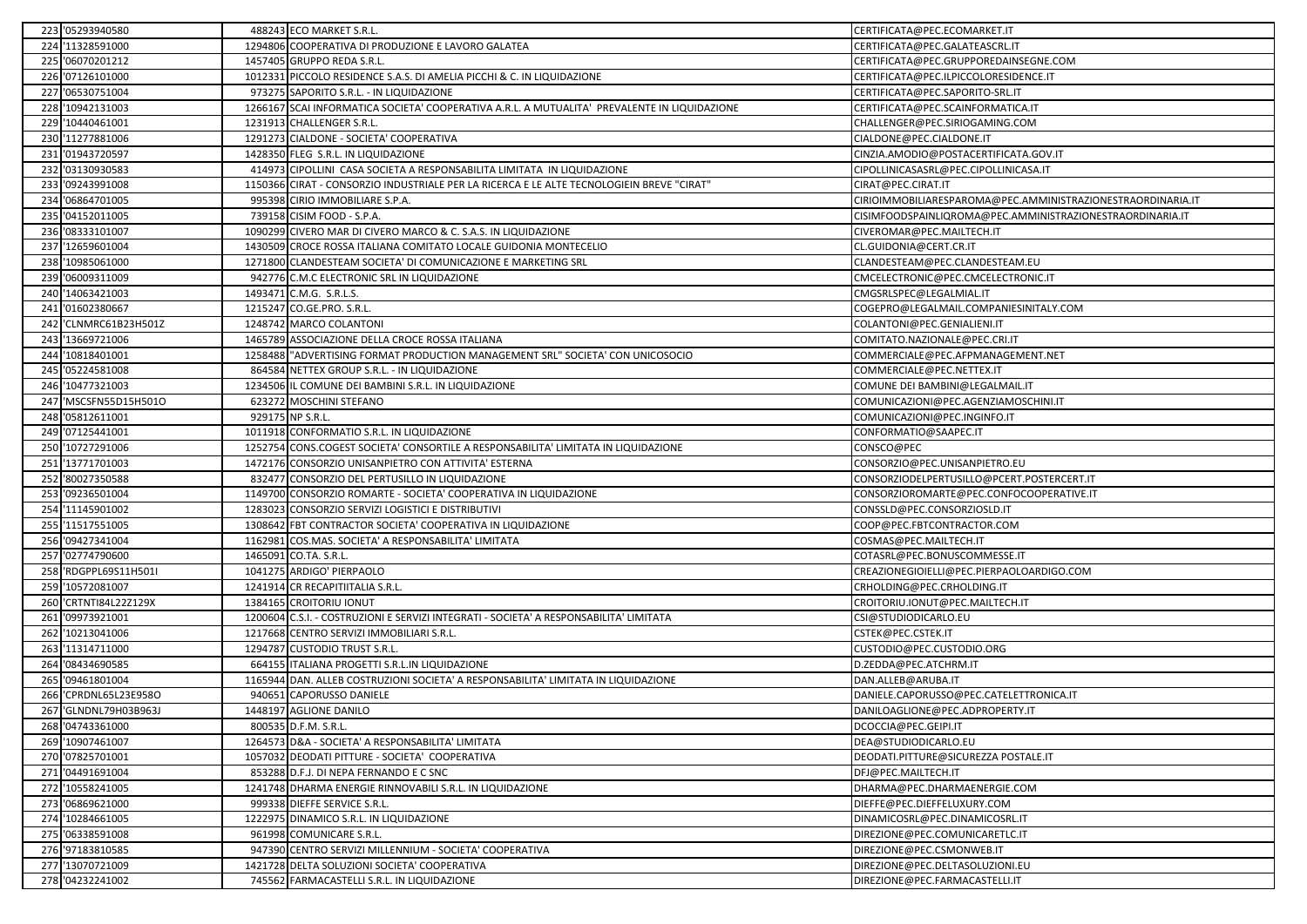|     | 223 '05293940580     |        | 488243 ECO MARKET S.R.L.                                                                     | CERTIFICATA@PEC.ECOMARKET.IT                                |
|-----|----------------------|--------|----------------------------------------------------------------------------------------------|-------------------------------------------------------------|
|     | 224 '11328591000     |        | 1294806 COOPERATIVA DI PRODUZIONE E LAVORO GALATEA                                           | CERTIFICATA@PEC.GALATEASCRL.IT                              |
|     | 225 '06070201212     |        | 1457405 GRUPPO REDA S.R.L.                                                                   | CERTIFICATA@PEC.GRUPPOREDAINSEGNE.COM                       |
|     | 226 '07126101000     |        | 1012331 PICCOLO RESIDENCE S.A.S. DI AMELIA PICCHI & C. IN LIQUIDAZIONE                       | CERTIFICATA@PEC.ILPICCOLORESIDENCE.IT                       |
|     | 227 '06530751004     |        | 973275 SAPORITO S.R.L. - IN LIQUIDAZIONE                                                     | CERTIFICATA@PEC.SAPORITO-SRL.IT                             |
| 228 | '10942131003         |        | 1266167 SCAI INFORMATICA SOCIETA' COOPERATIVA A.R.L. A MUTUALITA' PREVALENTE IN LIQUIDAZIONE | CERTIFICATA@PEC.SCAINFORMATICA.IT                           |
|     | 229 '10440461001     |        | 1231913 CHALLENGER S.R.L.                                                                    | CHALLENGER@PEC.SIRIOGAMING.COM                              |
|     | 230 '11277881006     |        | 1291273 CIALDONE - SOCIETA' COOPERATIVA                                                      | CIALDONE@PEC.CIALDONE.IT                                    |
| 231 | '01943720597         |        | 1428350 FLEG S.R.L. IN LIQUIDAZIONE                                                          | CINZIA.AMODIO@POSTACERTIFICATA.GOV.IT                       |
|     | 232 '03130930583     |        | 414973 CIPOLLINI CASA SOCIETA A RESPONSABILITA LIMITATA IN LIQUIDAZIONE                      | CIPOLLINICASASRL@PEC.CIPOLLINICASA.IT                       |
|     | 233 '09243991008     |        | 1150366 CIRAT - CONSORZIO INDUSTRIALE PER LA RICERCA E LE ALTE TECNOLOGIEIN BREVE "CIRAT"    | CIRAT@PEC.CIRAT.IT                                          |
|     | 234 '06864701005     |        | 995398 CIRIO IMMOBILIARE S.P.A.                                                              | CIRIOIMMOBILIARESPAROMA@PEC.AMMINISTRAZIONESTRAORDINARIA.IT |
|     | 235 '04152011005     |        | 739158 CISIM FOOD - S.P.A.                                                                   | CISIMFOODSPAINLIQROMA@PEC.AMMINISTRAZIONESTRAORDINARIA.IT   |
|     | 236 '08333101007     |        | 1090299 CIVERO MAR DI CIVERO MARCO & C. S.A.S. IN LIQUIDAZIONE                               | CIVEROMAR@PEC.MAILTECH.IT                                   |
| 237 | '12659601004         |        | 1430509 CROCE ROSSA ITALIANA COMITATO LOCALE GUIDONIA MONTECELIO                             | CL.GUIDONIA@CERT.CR.IT                                      |
| 238 | '10985061000         |        | 1271800 CLANDESTEAM SOCIETA' DI COMUNICAZIONE E MARKETING SRL                                | CLANDESTEAM@PEC.CLANDESTEAM.EU                              |
|     | 239 '06009311009     |        | 942776 C.M.C ELECTRONIC SRL IN LIQUIDAZIONE                                                  | CMCELECTRONIC@PEC.CMCELECTRONIC.IT                          |
|     | 240 '14063421003     |        | 1493471 C.M.G. S.R.L.S.                                                                      | CMGSRLSPEC@LEGALMIAL.IT                                     |
| 241 | '01602380667         |        | 1215247 CO.GE.PRO. S.R.L.                                                                    | COGEPRO@LEGALMAIL.COMPANIESINITALY.COM                      |
|     | 242 CLNMRC61B23H501Z |        | 1248742 MARCO COLANTONI                                                                      | COLANTONI@PEC.GENIALIENI.IT                                 |
|     | 243 '13669721006     |        | 1465789 ASSOCIAZIONE DELLA CROCE ROSSA ITALIANA                                              | COMITATO.NAZIONALE@PEC.CRI.IT                               |
|     | 244 '10818401001     |        | 1258488 "ADVERTISING FORMAT PRODUCTION MANAGEMENT SRL" SOCIETA' CON UNICOSOCIO               | COMMERCIALE@PEC.AFPMANAGEMENT.NET                           |
|     | 245 '05224581008     |        | 864584 NETTEX GROUP S.R.L. - IN LIQUIDAZIONE                                                 | COMMERCIALE@PEC.NETTEX.IT                                   |
|     | 246 '10477321003     |        | 1234506 IL COMUNE DEI BAMBINI S.R.L. IN LIQUIDAZIONE                                         | COMUNE DEI BAMBINI@LEGALMAIL.IT                             |
| 247 | 'MSCSFN55D15H501O    |        | 623272 MOSCHINI STEFANO                                                                      | COMUNICAZIONI@PEC.AGENZIAMOSCHINI.IT                        |
|     | 248 '05812611001     |        | 929175 NP S.R.L.                                                                             | COMUNICAZIONI@PEC.INGINFO.IT                                |
|     | 249 '07125441001     |        | 1011918 CONFORMATIO S.R.L. IN LIQUIDAZIONE                                                   | CONFORMATIO@SAAPEC.IT                                       |
|     | 250 '10727291006     | 125275 | CONS.COGEST SOCIETA' CONSORTILE A RESPONSABILITA' LIMITATA IN LIQUIDAZIONE                   | CONSCO@PEC                                                  |
|     | 251 '13771701003     |        | 1472176 CONSORZIO UNISANPIETRO CON ATTIVITA' ESTERNA                                         | CONSORZIO@PEC.UNISANPIETRO.EU                               |
| 252 | '80027350588         |        | 832477 CONSORZIO DEL PERTUSILLO IN LIQUIDAZIONE                                              | CONSORZIODELPERTUSILLO@PCERT.POSTERCERT.IT                  |
|     | 253 '09236501004     | 114970 | CONSORZIO ROMARTE - SOCIETA' COOPERATIVA IN LIQUIDAZIONE                                     | CONSORZIOROMARTE@PEC.CONFOCOOPERATIVE.IT                    |
|     | 254 '11145901002     |        | 1283023 CONSORZIO SERVIZI LOGISTICI E DISTRIBUTIVI                                           | CONSSLD@PEC.CONSORZIOSLD.IT                                 |
|     | 255 '11517551005     |        | 1308642 FBT CONTRACTOR SOCIETA' COOPERATIVA IN LIQUIDAZIONE                                  | COOP@PEC.FBTCONTRACTOR.COM                                  |
|     | 256 '09427341004     |        | 1162981 COS.MAS. SOCIETA' A RESPONSABILITA' LIMITATA                                         | COSMAS@PEC.MAILTECH.IT                                      |
|     | 257 '02774790600     |        | 1465091 CO.TA. S.R.L.                                                                        | COTASRL@PEC.BONUSCOMMESSE.IT                                |
|     | 258 RDGPPL69S11H501I |        | 1041275 ARDIGO' PIERPAOLO                                                                    | CREAZIONEGIOIELLI@PEC.PIERPAOLOARDIGO.COM                   |
| 259 | '10572081007         | 124191 | <b>I CR RECAPITIITALIA S.R.L.</b>                                                            | CRHOLDING@PEC.CRHOLDING.IT                                  |
|     | 260 CRTNTI84L22Z129X |        | 1384165 CROITORIU IONUT                                                                      | CROITORIU.IONUT@PEC.MAILTECH.IT                             |
| 261 | '09973921001         |        | 1200604 C.S.I. - COSTRUZIONI E SERVIZI INTEGRATI - SOCIETA' A RESPONSABILITA' LIMITATA       | CSI@STUDIODICARLO.EU                                        |
| 262 | '10213041006         |        | 1217668 CENTRO SERVIZI IMMOBILIARI S.R.L.                                                    | CSTEK@PEC.CSTEK.IT                                          |
|     | 263 '11314711000     |        | 1294787 CUSTODIO TRUST S.R.L.                                                                | CUSTODIO@PEC.CUSTODIO.ORG                                   |
|     | 264 '08434690585     |        | 664155 ITALIANA PROGETTI S.R.L.IN LIQUIDAZIONE                                               | D.ZEDDA@PEC.ATCHRM.IT                                       |
| 265 | '09461801004         | 116594 | DAN. ALLEB COSTRUZIONI SOCIETA' A RESPONSABILITA' LIMITATA IN LIQUIDAZIONE                   | DAN.ALLEB@ARUBA.IT                                          |
| 266 | 'CPRDNL65L23E958O    |        | 940651 CAPORUSSO DANIELE                                                                     | DANIELE.CAPORUSSO@PEC.CATELETTRONICA.IT                     |
|     | 267 GLNDNL79H03B963J |        | 1448197 AGLIONE DANILO                                                                       | DANILOAGLIONE@PEC.ADPROPERTY.IT                             |
|     | 268 '04743361000     |        | 800535 D.F.M. S.R.L.                                                                         | DCOCCIA@PEC.GEIPI.IT                                        |
|     | 269 '10907461007     |        | 1264573 D&A - SOCIETA' A RESPONSABILITA' LIMITATA                                            | DEA@STUDIODICARLO.EU                                        |
|     | 270 '07825701001     |        | 1057032 DEODATI PITTURE - SOCIETA' COOPERATIVA                                               | DEODATI.PITTURE@SICUREZZA POSTALE.IT                        |
|     | 271 '04491691004     |        | 853288 D.F.J. DI NEPA FERNANDO E C SNC                                                       | DFJ@PEC.MAILTECH.IT                                         |
|     | 272 '10558241005     |        | 1241748 DHARMA ENERGIE RINNOVABILI S.R.L. IN LIQUIDAZIONE                                    | DHARMA@PEC.DHARMAENERGIE.COM                                |
|     | 273 '06869621000     |        | 999338 DIEFFE SERVICE S.R.L.                                                                 | DIEFFE@PEC.DIEFFELUXURY.COM                                 |
|     | 274 '10284661005     |        | 1222975 DINAMICO S.R.L. IN LIQUIDAZIONE                                                      | DINAMICOSRL@PEC.DINAMICOSRL.IT                              |
|     |                      |        |                                                                                              |                                                             |
|     | 275 '06338591008     |        | 961998 COMUNICARE S.R.L.                                                                     | DIREZIONE@PEC.COMUNICARETLC.IT                              |
|     | 276 '97183810585     |        | 947390 CENTRO SERVIZI MILLENNIUM - SOCIETA' COOPERATIVA                                      | DIREZIONE@PEC.CSMONWEB.IT                                   |
|     | 277 '13070721009     |        | 1421728 DELTA SOLUZIONI SOCIETA' COOPERATIVA                                                 | DIREZIONE@PEC.DELTASOLUZIONI.EU                             |
|     | 278 '04232241002     |        | 745562 FARMACASTELLI S.R.L. IN LIQUIDAZIONE                                                  | DIREZIONE@PEC.FARMACASTELLI.IT                              |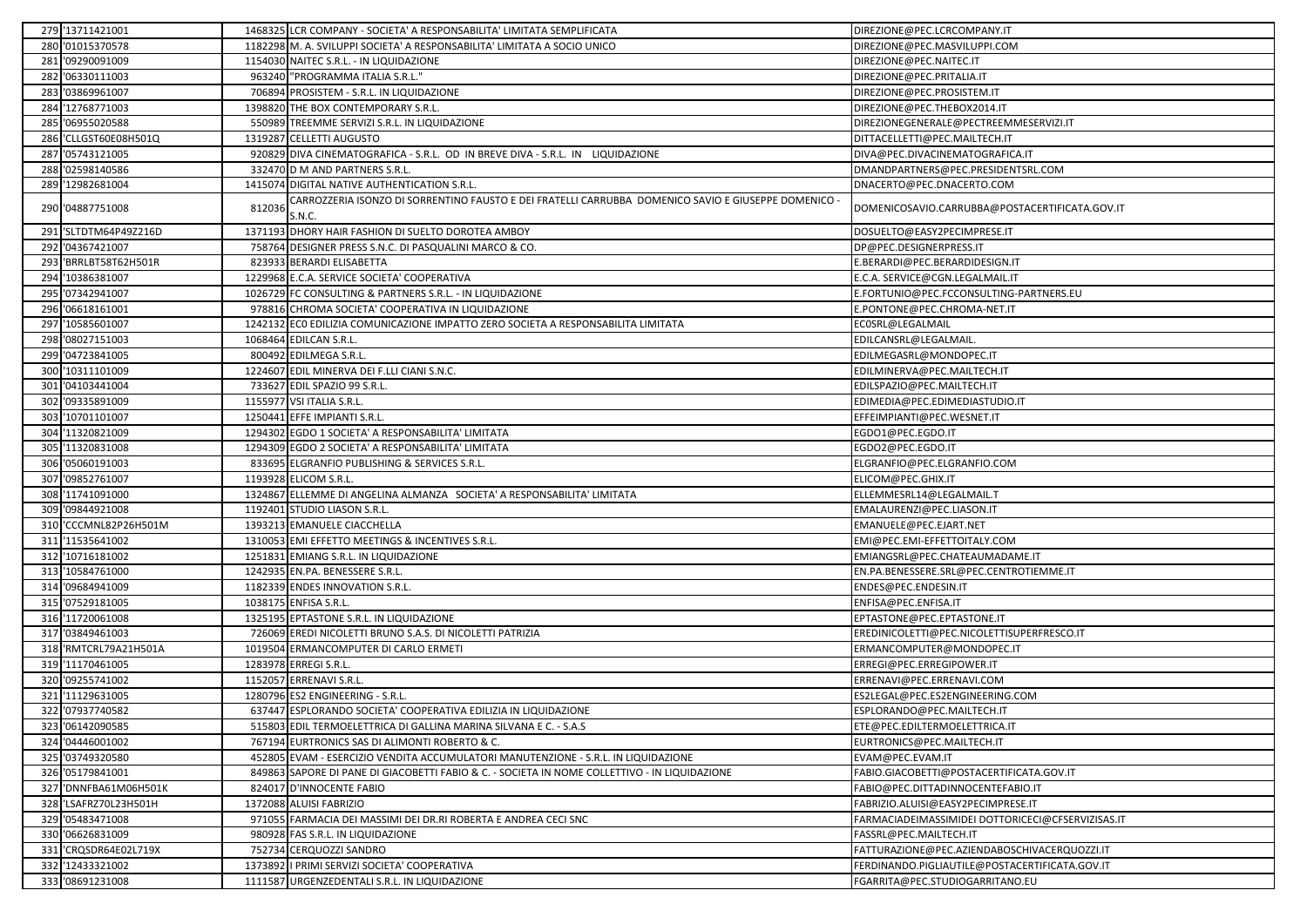| 279 '13711421001      |        | 1468325 LCR COMPANY - SOCIETA' A RESPONSABILITA' LIMITATA SEMPLIFICATA                                         | DIREZIONE@PEC.LCRCOMPANY.IT                       |
|-----------------------|--------|----------------------------------------------------------------------------------------------------------------|---------------------------------------------------|
| 280 '01015370578      |        | 1182298 M. A. SVILUPPI SOCIETA' A RESPONSABILITA' LIMITATA A SOCIO UNICO                                       | DIREZIONE@PEC.MASVILUPPI.COM                      |
| 281 '09290091009      |        | 1154030 NAITEC S.R.L. - IN LIQUIDAZIONE                                                                        | DIREZIONE@PEC.NAITEC.IT                           |
| 282 '06330111003      |        | 963240 "PROGRAMMA ITALIA S.R.L."                                                                               | DIREZIONE@PEC.PRITALIA.IT                         |
| 283 '03869961007      |        | 706894 PROSISTEM - S.R.L. IN LIQUIDAZIONE                                                                      | DIREZIONE@PEC.PROSISTEM.IT                        |
| 284 '12768771003      |        | 1398820 THE BOX CONTEMPORARY S.R.L.                                                                            | DIREZIONE@PEC.THEBOX2014.IT                       |
| 285 '06955020588      |        | 550989 TREEMME SERVIZI S.R.L. IN LIQUIDAZIONE                                                                  | DIREZIONEGENERALE@PECTREEMMESERVIZI.IT            |
| 286 'CLLGST60E08H501Q |        | 1319287 CELLETTI AUGUSTO                                                                                       | DITTACELLETTI@PEC.MAILTECH.IT                     |
| 287 '05743121005      |        | 920829 DIVA CINEMATOGRAFICA - S.R.L. OD IN BREVE DIVA - S.R.L. IN LIQUIDAZIONE                                 | DIVA@PEC.DIVACINEMATOGRAFICA.IT                   |
| 288 '02598140586      |        | 332470 D M AND PARTNERS S.R.L.                                                                                 | DMANDPARTNERS@PEC.PRESIDENTSRL.COM                |
| 289 '12982681004      |        | 1415074 DIGITAL NATIVE AUTHENTICATION S.R.L.                                                                   | DNACERTO@PEC.DNACERTO.COM                         |
| 290 '04887751008      | 812036 | CARROZZERIA ISONZO DI SORRENTINO FAUSTO E DEI FRATELLI CARRUBBA DOMENICO SAVIO E GIUSEPPE DOMENICO -<br>S.N.C. | DOMENICOSAVIO.CARRUBBA@POSTACERTIFICATA.GOV.IT    |
| 291 'SLTDTM64P49Z216D |        | 1371193 DHORY HAIR FASHION DI SUELTO DOROTEA AMBOY                                                             | DOSUELTO@EASY2PECIMPRESE.IT                       |
| 292 '04367421007      |        | 758764 DESIGNER PRESS S.N.C. DI PASQUALINI MARCO & CO.                                                         | DP@PEC.DESIGNERPRESS.IT                           |
| 293 BRRLBT58T62H501R  |        | 823933 BERARDI ELISABETTA                                                                                      | E.BERARDI@PEC.BERARDIDESIGN.IT                    |
| 294 '10386381007      |        | 1229968 E.C.A. SERVICE SOCIETA' COOPERATIVA                                                                    | E.C.A. SERVICE@CGN.LEGALMAIL.IT                   |
| 295 '07342941007      |        | 1026729 FC CONSULTING & PARTNERS S.R.L. - IN LIQUIDAZIONE                                                      | E.FORTUNIO@PEC.FCCONSULTING-PARTNERS.EU           |
| 296 '06618161001      |        | 978816 CHROMA SOCIETA' COOPERATIVA IN LIQUIDAZIONE                                                             | E.PONTONE@PEC.CHROMA-NET.IT                       |
| 297 '10585601007      |        | 1242132 ECO EDILIZIA COMUNICAZIONE IMPATTO ZERO SOCIETA A RESPONSABILITA LIMITATA                              | ECOSRL@LEGALMAIL                                  |
| 298 '08027151003      |        | 1068464 EDILCAN S.R.L.                                                                                         | EDILCANSRL@LEGALMAIL                              |
| 299 '04723841005      |        | 800492 EDILMEGA S.R.L.                                                                                         | EDILMEGASRL@MONDOPEC.IT                           |
| 300 '10311101009      |        | 1224607 EDIL MINERVA DEI F.LLI CIANI S.N.C.                                                                    | EDILMINERVA@PEC.MAILTECH.IT                       |
| 301 '04103441004      |        | 733627 EDIL SPAZIO 99 S.R.L.                                                                                   | EDILSPAZIO@PEC.MAILTECH.IT                        |
| 302 '09335891009      |        | 1155977 VSI ITALIA S.R.L.                                                                                      | EDIMEDIA@PEC.EDIMEDIASTUDIO.IT                    |
| 303 '10701101007      |        | 1250441 EFFE IMPIANTI S.R.L.                                                                                   | EFFEIMPIANTI@PEC.WESNET.IT                        |
| 304 '11320821009      |        | 1294302 EGDO 1 SOCIETA' A RESPONSABILITA' LIMITATA                                                             | EGDO1@PEC.EGDO.IT                                 |
| 305 '11320831008      |        | 1294309 EGDO 2 SOCIETA' A RESPONSABILITA' LIMITATA                                                             | EGDO2@PEC.EGDO.IT                                 |
| 306 '05060191003      |        | 833695 ELGRANFIO PUBLISHING & SERVICES S.R.L.                                                                  | ELGRANFIO@PEC.ELGRANFIO.COM                       |
| 307 '09852761007      |        | 1193928 ELICOM S.R.L.                                                                                          | ELICOM@PEC.GHIX.IT                                |
| 308 '11741091000      |        | 1324867 ELLEMME DI ANGELINA ALMANZA SOCIETA' A RESPONSABILITA' LIMITATA                                        | ELLEMMESRL14@LEGALMAIL.T                          |
| 309 '09844921008      |        | 1192401 STUDIO LIASON S.R.L.                                                                                   | EMALAURENZI@PEC.LIASON.IT                         |
| 310 'CCCMNL82P26H501M |        | 1393213 EMANUELE CIACCHELLA                                                                                    | EMANUELE@PEC.EJART.NET                            |
| 311 '11535641002      |        | 1310053 EMI EFFETTO MEETINGS & INCENTIVES S.R.L.                                                               | EMI@PEC.EMI-EFFETTOITALY.COM                      |
| 312 '10716181002      |        | 1251831 EMIANG S.R.L. IN LIQUIDAZIONE                                                                          | EMIANGSRL@PEC.CHATEAUMADAME.IT                    |
| 313 '10584761000      |        | 1242935 EN.PA. BENESSERE S.R.L.                                                                                | EN.PA.BENESSERE.SRL@PEC.CENTROTIEMME.IT           |
| 314 '09684941009      |        | 1182339 ENDES INNOVATION S.R.L.                                                                                | ENDES@PEC.ENDESIN.IT                              |
| 315 '07529181005      |        | 1038175 ENFISA S.R.L.                                                                                          | ENFISA@PEC.ENFISA.IT                              |
| 316 '11720061008      |        | 1325195 EPTASTONE S.R.L. IN LIQUIDAZIONE                                                                       | EPTASTONE@PEC.EPTASTONE.IT                        |
| 317 '03849461003      |        | 726069 EREDI NICOLETTI BRUNO S.A.S. DI NICOLETTI PATRIZIA                                                      | EREDINICOLETTI@PEC.NICOLETTISUPERFRESCO.IT        |
| 318 'RMTCRL79A21H501A |        | 1019504 ERMANCOMPUTER DI CARLO ERMETI                                                                          | ERMANCOMPUTER@MONDOPEC.IT                         |
| 319 '11170461005      |        | 1283978 ERREGI S.R.L.                                                                                          | ERREGI@PEC.ERREGIPOWER.IT                         |
| 320 '09255741002      |        | 1152057 ERRENAVI S.R.L.                                                                                        | ERRENAVI@PEC.ERRENAVI.COM                         |
| 321 '11129631005      |        | 1280796 ES2 ENGINEERING - S.R.L.                                                                               | ES2LEGAL@PEC.ES2ENGINEERING.COM                   |
| 322 '07937740582      |        | 637447 ESPLORANDO SOCIETA' COOPERATIVA EDILIZIA IN LIQUIDAZIONE                                                | ESPLORANDO@PEC.MAILTECH.IT                        |
| 323 '06142090585      |        | 515803 EDIL TERMOELETTRICA DI GALLINA MARINA SILVANA E C. - S.A.S                                              | ETE@PEC.EDILTERMOELETTRICA.IT                     |
| 324 '04446001002      |        | 767194 EURTRONICS SAS DI ALIMONTI ROBERTO & C.                                                                 | EURTRONICS@PEC.MAILTECH.IT                        |
| 325 '03749320580      |        | 452805 EVAM - ESERCIZIO VENDITA ACCUMULATORI MANUTENZIONE - S.R.L. IN LIQUIDAZIONE                             | EVAM@PEC.EVAM.IT                                  |
| 326 '05179841001      | 849863 | SAPORE DI PANE DI GIACOBETTI FABIO & C. - SOCIETA IN NOME COLLETTIVO - IN LIQUIDAZIONE                         | FABIO.GIACOBETTI@POSTACERTIFICATA.GOV.IT          |
| 327 'DNNFBA61M06H501K |        | 824017 D'INNOCENTE FABIO                                                                                       | FABIO@PEC.DITTADINNOCENTEFABIO.IT                 |
| 328 'LSAFRZ70L23H501H |        | 1372088 ALUISI FABRIZIO                                                                                        | FABRIZIO.ALUISI@EASY2PECIMPRESE.IT                |
| 329 '05483471008      | 97105  | FARMACIA DEI MASSIMI DEI DR.RI ROBERTA E ANDREA CECI SNC                                                       | FARMACIADEIMASSIMIDEI DOTTORICECI@CFSERVIZISAS.IT |
| 330 '06626831009      |        | 980928 FAS S.R.L. IN LIQUIDAZIONE                                                                              | FASSRL@PEC.MAILTECH.IT                            |
| 331 'CRQSDR64E02L719X | 752734 | 4 CERQUOZZI SANDRO                                                                                             | FATTURAZIONE@PEC.AZIENDABOSCHIVACERQUOZZI.IT      |
| 332 '12433321002      | 137389 | I PRIMI SERVIZI SOCIETA' COOPERATIVA                                                                           | FERDINANDO.PIGLIAUTILE@POSTACERTIFICATA.GOV.IT    |
| 333 '08691231008      |        | 1111587 URGENZEDENTALI S.R.L. IN LIQUIDAZIONE                                                                  | FGARRITA@PEC.STUDIOGARRITANO.EU                   |
|                       |        |                                                                                                                |                                                   |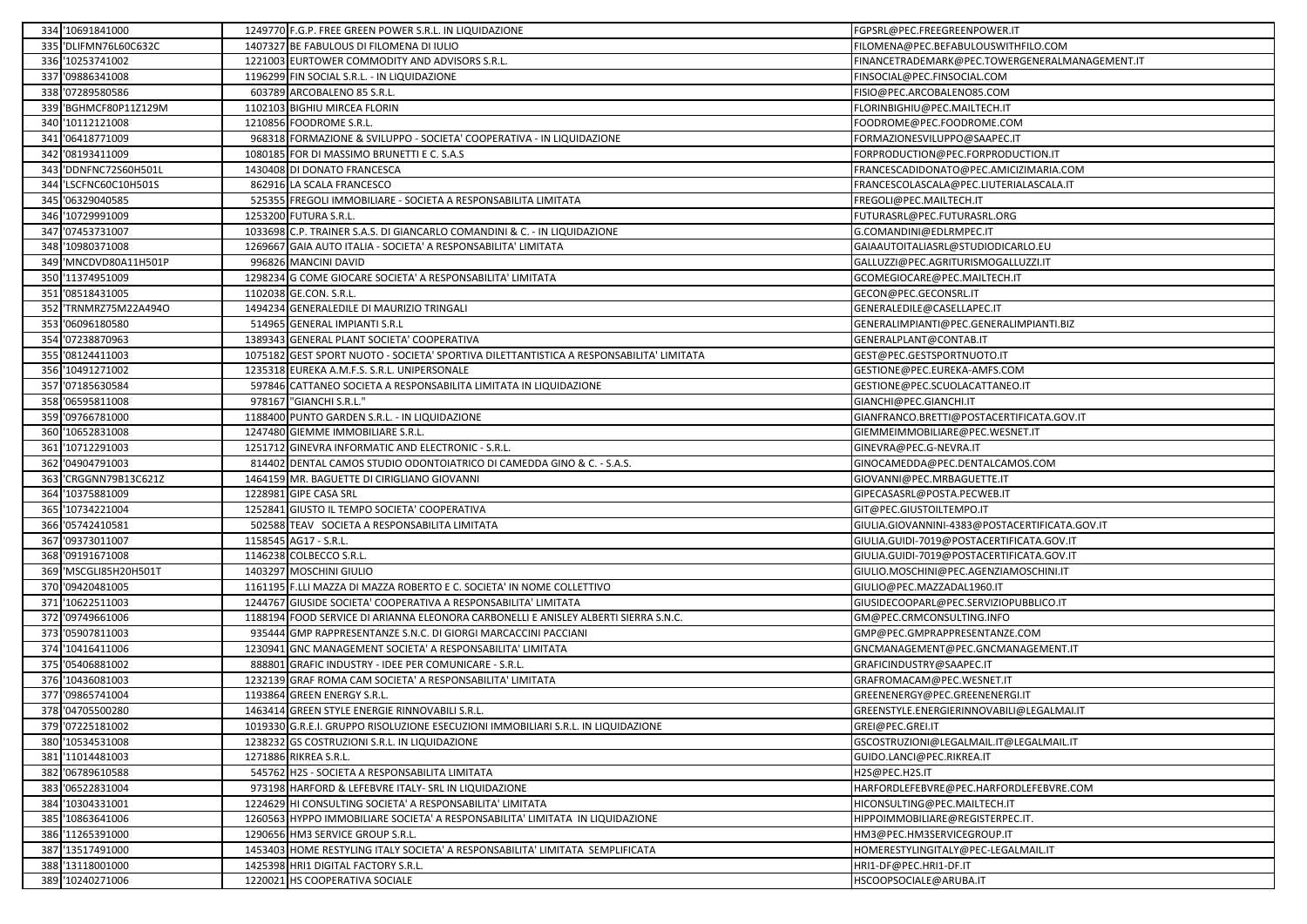|     | 334 '10691841000      |        | 1249770 F.G.P. FREE GREEN POWER S.R.L. IN LIQUIDAZIONE                                  | FGPSRL@PEC.FREEGREENPOWER.IT                   |
|-----|-----------------------|--------|-----------------------------------------------------------------------------------------|------------------------------------------------|
|     | 335 'DLIFMN76L60C632C |        | 1407327 BE FABULOUS DI FILOMENA DI IULIO                                                | FILOMENA@PEC.BEFABULOUSWITHFILO.COM            |
|     | 336 '10253741002      |        | 1221003 EURTOWER COMMODITY AND ADVISORS S.R.L.                                          | FINANCETRADEMARK@PEC.TOWERGENERALMANAGEMENT.IT |
|     | 337 '09886341008      |        | 1196299 FIN SOCIAL S.R.L. - IN LIQUIDAZIONE                                             | FINSOCIAL@PEC.FINSOCIAL.COM                    |
|     | 338 '07289580586      |        | 603789 ARCOBALENO 85 S.R.L.                                                             | FISIO@PEC.ARCOBALENO85.COM                     |
|     | 339 'BGHMCF80P11Z129M |        | 1102103 BIGHIU MIRCEA FLORIN                                                            | FLORINBIGHIU@PEC.MAILTECH.IT                   |
|     | 340 '10112121008      | 121085 | <b>6 FOODROME S.R.L.</b>                                                                | FOODROME@PEC.FOODROME.COM                      |
|     | 341 '06418771009      | 96831  | FORMAZIONE & SVILUPPO - SOCIETA' COOPERATIVA - IN LIQUIDAZIONE                          | FORMAZIONESVILUPPO@SAAPEC.IT                   |
|     | 342 '08193411009      |        | 1080185 FOR DI MASSIMO BRUNETTI E C. S.A.S                                              | FORPRODUCTION@PEC.FORPRODUCTION.IT             |
|     | 343 'DDNFNC72S60H501L |        | 1430408 DI DONATO FRANCESCA                                                             | FRANCESCADIDONATO@PEC.AMICIZIMARIA.COM         |
|     | 344 'LSCFNC60C10H501S |        | 862916 LA SCALA FRANCESCO                                                               | FRANCESCOLASCALA@PEC.LIUTERIALASCALA.IT        |
|     | 345 '06329040585      |        | 525355 FREGOLI IMMOBILIARE - SOCIETA A RESPONSABILITA LIMITATA                          | FREGOLI@PEC.MAILTECH.IT                        |
|     | 346 '10729991009      |        | 1253200 FUTURA S.R.L.                                                                   | FUTURASRL@PEC.FUTURASRL.ORG                    |
|     | 347 '07453731007      |        | 1033698 C.P. TRAINER S.A.S. DI GIANCARLO COMANDINI & C. - IN LIQUIDAZIONE               | G.COMANDINI@EDLRMPEC.IT                        |
|     | 348 '10980371008      |        | 1269667 GAIA AUTO ITALIA - SOCIETA' A RESPONSABILITA' LIMITATA                          | GAIAAUTOITALIASRL@STUDIODICARLO.EU             |
|     | 349 'MNCDVD80A11H501P |        | 996826 MANCINI DAVID                                                                    | GALLUZZI@PEC.AGRITURISMOGALLUZZI.IT            |
|     | 350 '11374951009      | 129823 | 4 G COME GIOCARE SOCIETA' A RESPONSABILITA' LIMITATA                                    | GCOMEGIOCARE@PEC.MAILTECH.IT                   |
|     | 351 '08518431005      |        | 1102038 GE.CON. S.R.L.                                                                  | GECON@PEC.GECONSRL.IT                          |
| 352 | 'TRNMRZ75M22A494O     | 149423 | <b>GENERALEDILE DI MAURIZIO TRINGALI</b>                                                | GENERALEDILE@CASELLAPEC.IT                     |
|     | 353 '06096180580      |        | 514965 GENERAL IMPIANTI S.R.L                                                           | GENERALIMPIANTI@PEC.GENERALIMPIANTI.BIZ        |
|     | 354 '07238870963      |        | 1389343 GENERAL PLANT SOCIETA' COOPERATIVA                                              | GENERALPLANT@CONTAB.IT                         |
|     | 355 '08124411003      |        | 1075182 GEST SPORT NUOTO - SOCIETA' SPORTIVA DILETTANTISTICA A RESPONSABILITA' LIMITATA | GEST@PEC.GESTSPORTNUOTO.IT                     |
|     | 356 '10491271002      |        | 1235318 EUREKA A.M.F.S. S.R.L. UNIPERSONALE                                             | GESTIONE@PEC.EUREKA-AMFS.COM                   |
|     | 357 '07185630584      |        | 597846 CATTANEO SOCIETA A RESPONSABILITA LIMITATA IN LIQUIDAZIONE                       | GESTIONE@PEC.SCUOLACATTANEO.IT                 |
|     | 358 '06595811008      |        | 978167 "GIANCHI S.R.L."                                                                 | GIANCHI@PEC.GIANCHI.IT                         |
|     | 359 '09766781000      |        | 1188400 PUNTO GARDEN S.R.L. - IN LIQUIDAZIONE                                           | GIANFRANCO.BRETTI@POSTACERTIFICATA.GOV.IT      |
|     | 360 '10652831008      |        | 1247480 GIEMME IMMOBILIARE S.R.L.                                                       | GIEMMEIMMOBILIARE@PEC.WESNET.IT                |
| 361 | '10712291003          |        | 1251712 GINEVRA INFORMATIC AND ELECTRONIC - S.R.L.                                      | GINEVRA@PEC.G-NEVRA.IT                         |
|     | 362 '04904791003      |        | 814402 DENTAL CAMOS STUDIO ODONTOIATRICO DI CAMEDDA GINO & C. - S.A.S.                  | GINOCAMEDDA@PEC.DENTALCAMOS.COM                |
|     | 363 CRGGNN79B13C621Z  |        | 1464159 MR. BAGUETTE DI CIRIGLIANO GIOVANNI                                             | GIOVANNI@PEC.MRBAGUETTE.IT                     |
|     | 364 '10375881009      |        | 1228981 GIPE CASA SRL                                                                   | GIPECASASRL@POSTA.PECWEB.IT                    |
|     | 365 '10734221004      |        | 1252841 GIUSTO IL TEMPO SOCIETA' COOPERATIVA                                            | GIT@PEC.GIUSTOILTEMPO.IT                       |
|     | 366 '05742410581      |        | 502588 TEAV SOCIETA A RESPONSABILITA LIMITATA                                           | GIULIA.GIOVANNINI-4383@POSTACERTIFICATA.GOV.IT |
|     | 367 '09373011007      |        | 1158545 AG17 - S.R.L.                                                                   | GIULIA.GUIDI-7019@POSTACERTIFICATA.GOV.IT      |
|     | 368 '09191671008      |        | 1146238 COLBECCO S.R.L.                                                                 | GIULIA.GUIDI-7019@POSTACERTIFICATA.GOV.IT      |
|     | 369 'MSCGLI85H20H501T |        | 1403297 MOSCHINI GIULIO                                                                 | GIULIO.MOSCHINI@PEC.AGENZIAMOSCHINI.IT         |
|     | 370 '09420481005      |        | 1161195 F.LLI MAZZA DI MAZZA ROBERTO E C. SOCIETA' IN NOME COLLETTIVO                   | GIULIO@PEC.MAZZADAL1960.IT                     |
|     | 371 '10622511003      |        | 1244767 GIUSIDE SOCIETA' COOPERATIVA A RESPONSABILITA' LIMITATA                         | GIUSIDECOOPARL@PEC.SERVIZIOPUBBLICO.IT         |
|     | 372 '09749661006      |        | 1188194 FOOD SERVICE DI ARIANNA ELEONORA CARBONELLI E ANISLEY ALBERTI SIERRA S.N.C.     | GM@PEC.CRMCONSULTING.INFO                      |
|     | 373 '05907811003      | 93544  | I GMP RAPPRESENTANZE S.N.C. DI GIORGI MARCACCINI PACCIANI                               | GMP@PEC.GMPRAPPRESENTANZE.COM                  |
|     | 374 '10416411006      |        | 1230941 GNC MANAGEMENT SOCIETA' A RESPONSABILITA' LIMITATA                              | GNCMANAGEMENT@PEC.GNCMANAGEMENT.IT             |
|     | 375 '05406881002      | 88880  | GRAFIC INDUSTRY - IDEE PER COMUNICARE - S.R.L                                           | GRAFICINDUSTRY@SAAPEC.IT                       |
|     | 376 '10436081003      |        | 1232139 GRAF ROMA CAM SOCIETA' A RESPONSABILITA' LIMITATA                               | GRAFROMACAM@PEC.WESNET.IT                      |
|     | 377 '09865741004      | 119386 | 4 GREEN ENERGY S.R.L.                                                                   | GREENENERGY@PEC.GREENENERGI.IT                 |
|     | 378 '04705500280      |        | 1463414 GREEN STYLE ENERGIE RINNOVABILI S.R.L.                                          | GREENSTYLE.ENERGIERINNOVABILI@LEGALMAI.IT      |
|     | 379 '07225181002      |        | 1019330 G.R.E.I. GRUPPO RISOLUZIONE ESECUZIONI IMMOBILIARI S.R.L. IN LIQUIDAZIONE       | GREI@PEC.GREI.IT                               |
|     | 380 '10534531008      |        | 1238232 GS COSTRUZIONI S.R.L. IN LIQUIDAZIONE                                           | GSCOSTRUZIONI@LEGALMAIL.IT@LEGALMAIL.IT        |
|     | 381 '11014481003      |        | 1271886 RIKREA S.R.L.                                                                   | GUIDO.LANCI@PEC.RIKREA.IT                      |
|     | 382 '06789610588      |        | 545762 H2S - SOCIETA A RESPONSABILITA LIMITATA                                          | H2S@PEC.H2S.IT                                 |
|     | 383 '06522831004      |        | 973198 HARFORD & LEFEBVRE ITALY- SRL IN LIQUIDAZIONE                                    | HARFORDLEFEBVRE@PEC.HARFORDLEFEBVRE.COM        |
|     | 384 '10304331001      |        | 1224629 HI CONSULTING SOCIETA' A RESPONSABILITA' LIMITATA                               | HICONSULTING@PEC.MAILTECH.IT                   |
|     | 385 '10863641006      | 126056 | HYPPO IMMOBILIARE SOCIETA' A RESPONSABILITA' LIMITATA IN LIQUIDAZIONE                   | HIPPOIMMOBILIARE@REGISTERPEC.IT.               |
|     | 386 '11265391000      |        | 1290656 HM3 SERVICE GROUP S.R.L.                                                        | HM3@PEC.HM3SERVICEGROUP.IT                     |
|     | 387 '13517491000      | 145340 | 3 HOME RESTYLING ITALY SOCIETA' A RESPONSABILITA' LIMITATA SEMPLIFICATA                 | HOMERESTYLINGITALY@PEC-LEGALMAIL.IT            |
|     | 388 '13118001000      | 142539 | HRI1 DIGITAL FACTORY S.R.L.                                                             | HRI1-DF@PEC.HRI1-DF.IT                         |
|     | 389 '10240271006      |        | 1220021 HS COOPERATIVA SOCIALE                                                          | HSCOOPSOCIALE@ARUBA.IT                         |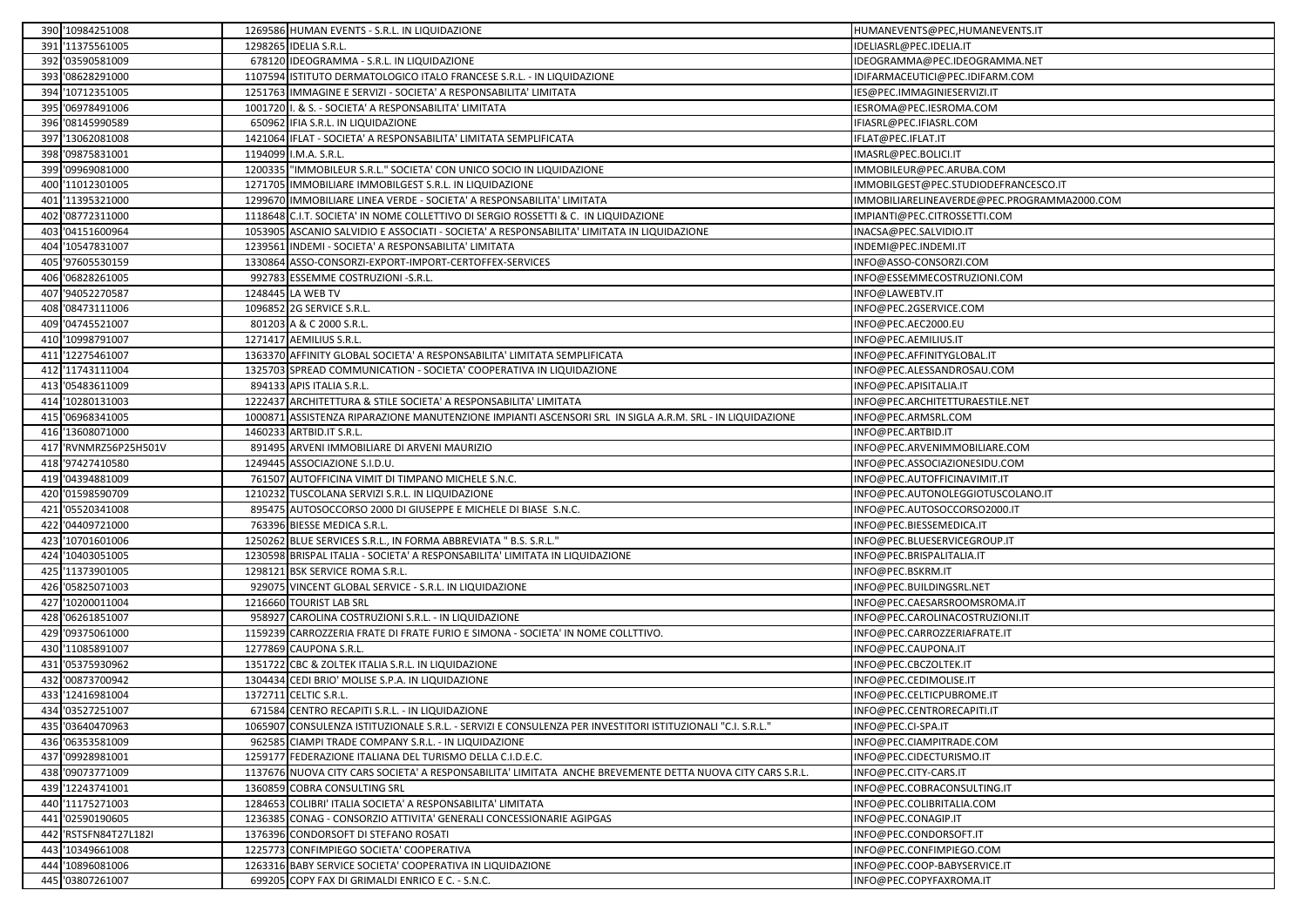|     | 390 '10984251008      | 1269586 HUMAN EVENTS - S.R.L. IN LIQUIDAZIONE                                                              | HUMANEVENTS@PEC,HUMANEVENTS.IT              |
|-----|-----------------------|------------------------------------------------------------------------------------------------------------|---------------------------------------------|
|     | 391 '11375561005      | 1298265 IDELIA S.R.L.                                                                                      | IDELIASRL@PEC.IDELIA.IT                     |
|     | 392 '03590581009      | 678120 IDEOGRAMMA - S.R.L. IN LIQUIDAZIONE                                                                 | IDEOGRAMMA@PEC.IDEOGRAMMA.NET               |
|     | 393 '08628291000      | 1107594 ISTITUTO DERMATOLOGICO ITALO FRANCESE S.R.L. - IN LIQUIDAZIONE                                     | IDIFARMACEUTICI@PEC.IDIFARM.COM             |
|     | 394 '10712351005      | 1251763 IMMAGINE E SERVIZI - SOCIETA' A RESPONSABILITA' LIMITATA                                           | IES@PEC.IMMAGINIESERVIZI.IT                 |
| 395 | '06978491006          | 1001720 I. & S. - SOCIETA' A RESPONSABILITA' LIMITATA                                                      | IESROMA@PEC.IESROMA.COM                     |
|     | 396 '08145990589      | 650962 IFIA S.R.L. IN LIQUIDAZIONE                                                                         | IFIASRL@PEC.IFIASRL.COM                     |
|     | 397 '13062081008      | 1421064 IFLAT - SOCIETA' A RESPONSABILITA' LIMITATA SEMPLIFICATA                                           | IFLAT@PEC.IFLAT.IT                          |
| 398 | '09875831001          | 1194099 I.M.A. S.R.L.                                                                                      | IMASRL@PEC.BOLICI.IT                        |
|     | 399 '09969081000      | 1200335 "IMMOBILEUR S.R.L." SOCIETA' CON UNICO SOCIO IN LIQUIDAZIONE                                       | IMMOBILEUR@PEC.ARUBA.COM                    |
|     | 400 '11012301005      | 1271705 IMMOBILIARE IMMOBILGEST S.R.L. IN LIQUIDAZIONE                                                     | IMMOBILGEST@PEC.STUDIODEFRANCESCO.IT        |
|     | 401 '11395321000      | 1299670 IMMOBILIARE LINEA VERDE - SOCIETA' A RESPONSABILITA' LIMITATA                                      | IMMOBILIARELINEAVERDE@PEC.PROGRAMMA2000.COM |
| 402 | '08772311000          | 1118648 C.I.T. SOCIETA' IN NOME COLLETTIVO DI SERGIO ROSSETTI & C. IN LIQUIDAZIONE                         | IMPIANTI@PEC.CITROSSETTI.COM                |
| 403 | '04151600964          | 1053905 ASCANIO SALVIDIO E ASSOCIATI - SOCIETA' A RESPONSABILITA' LIMITATA IN LIQUIDAZIONE                 | INACSA@PEC.SALVIDIO.IT                      |
| 404 | '10547831007          | 1239561 INDEMI - SOCIETA' A RESPONSABILITA' LIMITATA                                                       | INDEMI@PEC.INDEMI.IT                        |
|     | 405 '97605530159      | 1330864 ASSO-CONSORZI-EXPORT-IMPORT-CERTOFFEX-SERVICES                                                     | INFO@ASSO-CONSORZI.COM                      |
|     | 406 '06828261005      | 992783 ESSEMME COSTRUZIONI -S.R.L.                                                                         | INFO@ESSEMMECOSTRUZIONI.COM                 |
| 407 | '94052270587          | 1248445 LA WEB TV                                                                                          | INFO@LAWEBTV.IT                             |
| 408 | '08473111006          | 1096852 2G SERVICE S.R.L.                                                                                  | INFO@PEC.2GSERVICE.COM                      |
|     | 409 '04745521007      | 801203 A & C 2000 S.R.L.                                                                                   | INFO@PEC.AEC2000.EU                         |
|     | 410 '10998791007      | 1271417 AEMILIUS S.R.L.                                                                                    | INFO@PEC.AEMILIUS.IT                        |
|     | 411 '12275461007      | 1363370 AFFINITY GLOBAL SOCIETA' A RESPONSABILITA' LIMITATA SEMPLIFICATA                                   | INFO@PEC.AFFINITYGLOBAL.IT                  |
|     | 412 '11743111004      | 1325703 SPREAD COMMUNICATION - SOCIETA' COOPERATIVA IN LIQUIDAZIONE                                        | INFO@PEC.ALESSANDROSAU.COM                  |
|     | 413 '05483611009      | 894133 APIS ITALIA S.R.L.                                                                                  | INFO@PEC.APISITALIA.IT                      |
|     | 414 '10280131003      | 1222437 ARCHITETTURA & STILE SOCIETA' A RESPONSABILITA' LIMITATA                                           | INFO@PEC.ARCHITETTURAESTILE.NET             |
|     | 415 '06968341005      | 1000871 ASSISTENZA RIPARAZIONE MANUTENZIONE IMPIANTI ASCENSORI SRL IN SIGLA A.R.M. SRL - IN LIQUIDAZIONE   | INFO@PEC.ARMSRL.COM                         |
|     | 416 '13608071000      | 1460233 ARTBID.IT S.R.L.                                                                                   | INFO@PEC.ARTBID.IT                          |
|     | 417 'RVNMRZ56P25H501V | 891495 ARVENI IMMOBILIARE DI ARVENI MAURIZIO                                                               | INFO@PEC.ARVENIMMOBILIARE.COM               |
|     | 418 '97427410580      | 1249445 ASSOCIAZIONE S.I.D.U.                                                                              | INFO@PEC.ASSOCIAZIONESIDU.COM               |
| 419 | '04394881009          | 761507 AUTOFFICINA VIMIT DI TIMPANO MICHELE S.N.C.                                                         | INFO@PEC.AUTOFFICINAVIMIT.IT                |
| 420 | '01598590709          | 1210232 TUSCOLANA SERVIZI S.R.L. IN LIQUIDAZIONE                                                           | INFO@PEC.AUTONOLEGGIOTUSCOLANO.IT           |
|     | 421 '05520341008      | 895475 AUTOSOCCORSO 2000 DI GIUSEPPE E MICHELE DI BIASE S.N.C.                                             | INFO@PEC.AUTOSOCCORSO2000.IT                |
|     | 422 '04409721000      | 763396 BIESSE MEDICA S.R.L.                                                                                | INFO@PEC.BIESSEMEDICA.IT                    |
| 423 | '10701601006          | 1250262 BLUE SERVICES S.R.L., IN FORMA ABBREVIATA " B.S. S.R.L."                                           | INFO@PEC.BLUESERVICEGROUP.IT                |
|     | 424 '10403051005      | 1230598 BRISPAL ITALIA - SOCIETA' A RESPONSABILITA' LIMITATA IN LIQUIDAZIONE                               | INFO@PEC.BRISPALITALIA.IT                   |
|     | 425 '11373901005      | 1298121 BSK SERVICE ROMA S.R.L.                                                                            | INFO@PEC.BSKRM.IT                           |
| 426 | '05825071003          | 929075 VINCENT GLOBAL SERVICE - S.R.L. IN LIQUIDAZIONE                                                     | INFO@PEC.BUILDINGSRL.NET                    |
|     | 427 '10200011004      | 1216660 TOURIST LAB SRL                                                                                    | INFO@PEC.CAESARSROOMSROMA.IT                |
|     | 428 '06261851007      | 958927 CAROLINA COSTRUZIONI S.R.L. - IN LIQUIDAZIONE                                                       | INFO@PEC.CAROLINACOSTRUZIONI.IT             |
| 429 | '09375061000          | 1159239 CARROZZERIA FRATE DI FRATE FURIO E SIMONA - SOCIETA' IN NOME COLLTTIVO.                            | INFO@PEC.CARROZZERIAFRATE.IT                |
|     | 430 '11085891007      | 1277869 CAUPONA S.R.L.                                                                                     | INFO@PEC.CAUPONA.IT                         |
|     | 431 '05375930962      | 1351722 CBC & ZOLTEK ITALIA S.R.L. IN LIQUIDAZIONE                                                         | INFO@PEC.CBCZOLTEK.IT                       |
| 432 | '00873700942          | 1304434 CEDI BRIO' MOLISE S.P.A. IN LIQUIDAZIONE                                                           | INFO@PEC.CEDIMOLISE.IT                      |
|     | 433 '12416981004      | 1372711 CELTIC S.R.L.                                                                                      | INFO@PEC.CELTICPUBROME.IT                   |
|     | 434 '03527251007      | 671584 CENTRO RECAPITI S.R.L. - IN LIQUIDAZIONE                                                            | INFO@PEC.CENTRORECAPITI.IT                  |
|     | 435 '03640470963      | 1065907 CONSULENZA ISTITUZIONALE S.R.L. - SERVIZI E CONSULENZA PER INVESTITORI ISTITUZIONALI "C.I. S.R.L." | INFO@PEC.CI-SPA.IT                          |
|     | 436 '06353581009      | 962585 CIAMPI TRADE COMPANY S.R.L. - IN LIQUIDAZIONE                                                       | INFO@PEC.CIAMPITRADE.COM                    |
|     | 437 '09928981001      | 1259177 FEDERAZIONE ITALIANA DEL TURISMO DELLA C.I.D.E.C.                                                  | INFO@PEC.CIDECTURISMO.IT                    |
|     | 438 '09073771009      | 1137676 NUOVA CITY CARS SOCIETA' A RESPONSABILITA' LIMITATA ANCHE BREVEMENTE DETTA NUOVA CITY CARS S.R.L.  | INFO@PEC.CITY-CARS.IT                       |
|     | 439 '12243741001      | 1360859 COBRA CONSULTING SRL                                                                               | INFO@PEC.COBRACONSULTING.IT                 |
|     | 440 '11175271003      | 1284653 COLIBRI' ITALIA SOCIETA' A RESPONSABILITA' LIMITATA                                                | INFO@PEC.COLIBRITALIA.COM                   |
|     | 441 '02590190605      | 1236385 CONAG - CONSORZIO ATTIVITA' GENERALI CONCESSIONARIE AGIPGAS                                        | INFO@PEC.CONAGIP.IT                         |
|     | 442 'RSTSFN84T27L182I | 1376396 CONDORSOFT DI STEFANO ROSATI                                                                       | INFO@PEC.CONDORSOFT.IT                      |
|     | 443 '10349661008      | 1225773 CONFIMPIEGO SOCIETA' COOPERATIVA                                                                   | INFO@PEC.CONFIMPIEGO.COM                    |
| 444 | '10896081006          | 1263316 BABY SERVICE SOCIETA' COOPERATIVA IN LIQUIDAZIONE                                                  | INFO@PEC.COOP-BABYSERVICE.IT                |
|     | 445 '03807261007      | 699205 COPY FAX DI GRIMALDI ENRICO E C. - S.N.C.                                                           | INFO@PEC.COPYFAXROMA.IT                     |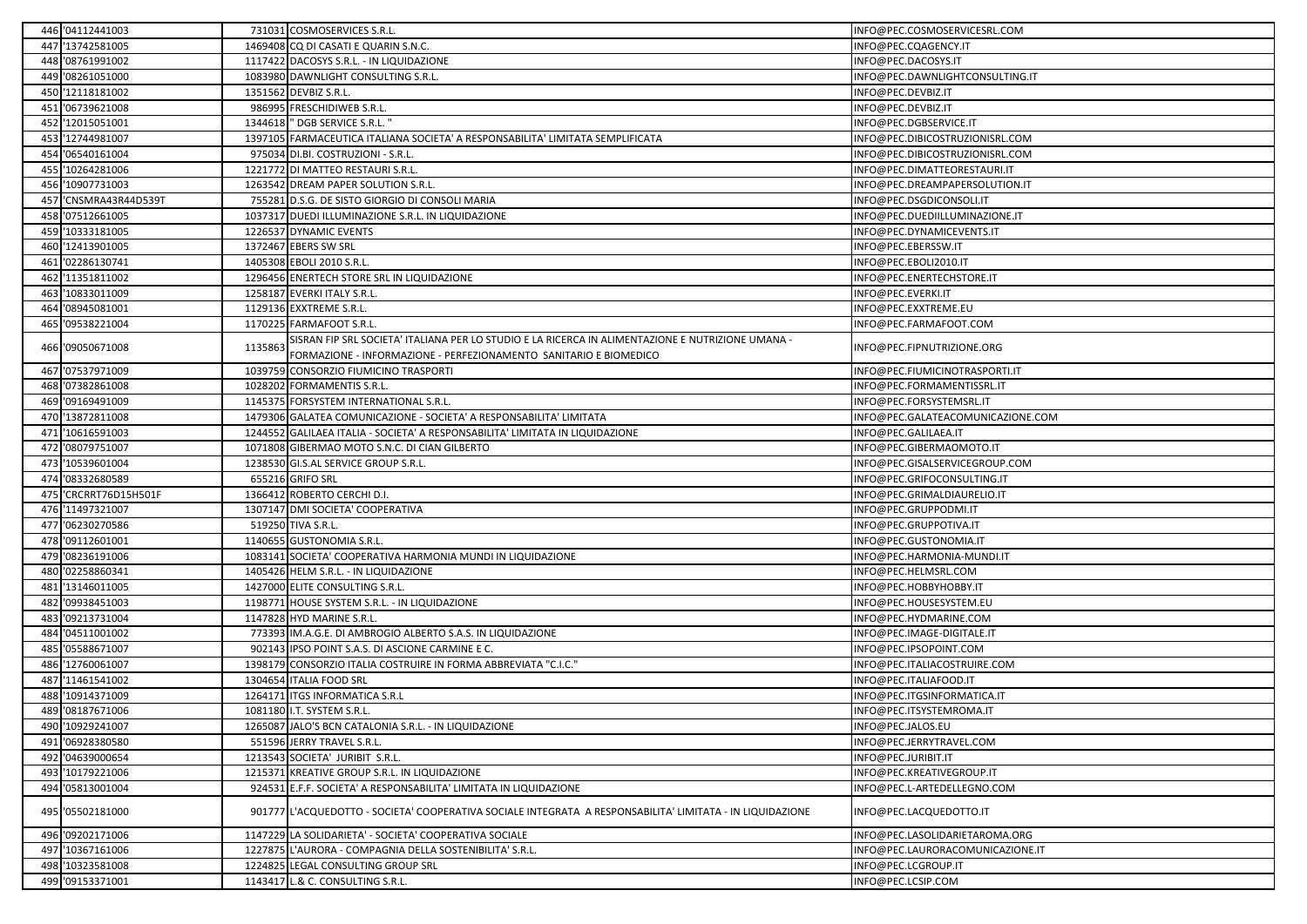| 446 '04112441003      |         | 731031 COSMOSERVICES S.R.L.                                                                                                                                            | INFO@PEC.COSMOSERVICESRL.COM      |
|-----------------------|---------|------------------------------------------------------------------------------------------------------------------------------------------------------------------------|-----------------------------------|
| 447 '13742581005      |         | 1469408 CQ DI CASATI E QUARIN S.N.C.                                                                                                                                   | INFO@PEC.CQAGENCY.IT              |
| 448 '08761991002      |         | 1117422 DACOSYS S.R.L. - IN LIQUIDAZIONE                                                                                                                               | INFO@PEC.DACOSYS.IT               |
| 449 '08261051000      |         | 1083980 DAWNLIGHT CONSULTING S.R.L                                                                                                                                     | INFO@PEC.DAWNLIGHTCONSULTING.IT   |
| 450 '12118181002      |         | 1351562 DEVBIZ S.R.L.                                                                                                                                                  | INFO@PEC.DEVBIZ.IT                |
| 451 '06739621008      |         | 986995 FRESCHIDIWEB S.R.L.                                                                                                                                             | INFO@PEC.DEVBIZ.IT                |
| 452 '12015051001      |         | 1344618 " DGB SERVICE S.R.L. "                                                                                                                                         | INFO@PEC.DGBSERVICE.IT            |
| 453 '12744981007      |         | 1397105 FARMACEUTICA ITALIANA SOCIETA' A RESPONSABILITA' LIMITATA SEMPLIFICATA                                                                                         | INFO@PEC.DIBICOSTRUZIONISRL.COM   |
| 454 '06540161004      |         | 975034 DI.BI. COSTRUZIONI - S.R.L.                                                                                                                                     | INFO@PEC.DIBICOSTRUZIONISRL.COM   |
| 455 '10264281006      |         | 1221772 DI MATTEO RESTAURI S.R.L                                                                                                                                       | INFO@PEC.DIMATTEORESTAURI.IT      |
| 456 '10907731003      |         | 1263542 DREAM PAPER SOLUTION S.R.L.                                                                                                                                    | INFO@PEC.DREAMPAPERSOLUTION.IT    |
| 457 'CNSMRA43R44D539T |         | 755281 D.S.G. DE SISTO GIORGIO DI CONSOLI MARIA                                                                                                                        | INFO@PEC.DSGDICONSOLI.IT          |
| 458 '07512661005      |         | 1037317 DUEDI ILLUMINAZIONE S.R.L. IN LIQUIDAZIONE                                                                                                                     | INFO@PEC.DUEDIILLUMINAZIONE.IT    |
| 459 '10333181005      |         | 1226537 DYNAMIC EVENTS                                                                                                                                                 | INFO@PEC.DYNAMICEVENTS.IT         |
| 460 '12413901005      |         | 1372467 EBERS SW SRL                                                                                                                                                   | INFO@PEC.EBERSSW.IT               |
| 461 '02286130741      |         | 1405308 EBOLI 2010 S.R.L.                                                                                                                                              | INFO@PEC.EBOLI2010.IT             |
| 462 '11351811002      |         | 1296456 ENERTECH STORE SRL IN LIQUIDAZIONE                                                                                                                             | INFO@PEC.ENERTECHSTORE.IT         |
| 463 '10833011009      |         | 1258187 EVERKI ITALY S.R.L.                                                                                                                                            | INFO@PEC.EVERKI.IT                |
| 464 '08945081001      |         | 1129136 EXXTREME S.R.L.                                                                                                                                                | INFO@PEC.EXXTREME.EU              |
| 465 '09538221004      | 1170225 | FARMAFOOT S.R.L                                                                                                                                                        | INFO@PEC.FARMAFOOT.COM            |
| 466 '09050671008      | 113586  | SISRAN FIP SRL SOCIETA' ITALIANA PER LO STUDIO E LA RICERCA IN ALIMENTAZIONE E NUTRIZIONE UMANA -<br>FORMAZIONE - INFORMAZIONE - PERFEZIONAMENTO SANITARIO E BIOMEDICO | INFO@PEC.FIPNUTRIZIONE.ORG        |
| 467 '07537971009      |         | 1039759 CONSORZIO FIUMICINO TRASPORTI                                                                                                                                  | INFO@PEC.FIUMICINOTRASPORTI.IT    |
| 468 '07382861008      |         | 1028202 FORMAMENTIS S.R.L.                                                                                                                                             | INFO@PEC.FORMAMENTISSRL.IT        |
| 469 '09169491009      |         | 1145375 FORSYSTEM INTERNATIONAL S.R.L.                                                                                                                                 | INFO@PEC.FORSYSTEMSRL.IT          |
| 470 '13872811008      |         | 1479306 GALATEA COMUNICAZIONE - SOCIETA' A RESPONSABILITA' LIMITATA                                                                                                    | INFO@PEC.GALATEACOMUNICAZIONE.COM |
| 471 '10616591003      |         | 1244552 GALILAEA ITALIA - SOCIETA' A RESPONSABILITA' LIMITATA IN LIQUIDAZIONE                                                                                          | INFO@PEC.GALILAEA.IT              |
| 472 '08079751007      |         | 1071808 GIBERMAO MOTO S.N.C. DI CIAN GILBERTO                                                                                                                          | INFO@PEC.GIBERMAOMOTO.IT          |
| 473 '10539601004      |         | 1238530 GI.S.AL SERVICE GROUP S.R.L.                                                                                                                                   | INFO@PEC.GISALSERVICEGROUP.COM    |
| 474 '08332680589      |         | 655216 GRIFO SRL                                                                                                                                                       | INFO@PEC.GRIFOCONSULTING.IT       |
| 475 'CRCRRT76D15H501F |         | 1366412 ROBERTO CERCHI D.I.                                                                                                                                            | INFO@PEC.GRIMALDIAURELIO.IT       |
| 476 '11497321007      |         | 1307147 DMI SOCIETA' COOPERATIVA                                                                                                                                       | INFO@PEC.GRUPPODMI.IT             |
| 477 '06230270586      |         | 519250 TIVA S.R.L.                                                                                                                                                     | INFO@PEC.GRUPPOTIVA.IT            |
| 478 '09112601001      |         | 1140655 GUSTONOMIA S.R.L.                                                                                                                                              | INFO@PEC.GUSTONOMIA.IT            |
| 479 '08236191006      |         | 1083141 SOCIETA' COOPERATIVA HARMONIA MUNDI IN LIQUIDAZIONE                                                                                                            | INFO@PEC.HARMONIA-MUNDI.IT        |
| 480 '02258860341      |         | 1405426 HELM S.R.L. - IN LIQUIDAZIONE                                                                                                                                  | INFO@PEC.HELMSRL.COM              |
| 481 '13146011005      |         | 1427000 ELITE CONSULTING S.R.L.                                                                                                                                        | INFO@PEC.HOBBYHOBBY.IT            |
| 482 '09938451003      |         | 1198771 HOUSE SYSTEM S.R.L. - IN LIQUIDAZIONE                                                                                                                          | INFO@PEC.HOUSESYSTEM.EU           |
| 483 '09213731004      |         | 1147828 HYD MARINE S.R.L.                                                                                                                                              | INFO@PEC.HYDMARINE.COM            |
| 484 '04511001002      |         | 773393 IM.A.G.E. DI AMBROGIO ALBERTO S.A.S. IN LIQUIDAZIONE                                                                                                            | INFO@PEC.IMAGE-DIGITALE.IT        |
| 485 '05588671007      | 90214   | IPSO POINT S.A.S. DI ASCIONE CARMINE E C.                                                                                                                              | INFO@PEC.IPSOPOINT.COM            |
| 486 '12760061007      |         | 1398179 CONSORZIO ITALIA COSTRUIRE IN FORMA ABBREVIATA "C.I.C."                                                                                                        | INFO@PEC.ITALIACOSTRUIRE.COM      |
| 487 '11461541002      |         | 1304654 ITALIA FOOD SRL                                                                                                                                                | INFO@PEC.ITALIAFOOD.IT            |
| 488 '10914371009      |         | 1264171 ITGS INFORMATICA S.R.L                                                                                                                                         | INFO@PEC.ITGSINFORMATICA.IT       |
| 489 '08187671006      |         | 1081180 I.T. SYSTEM S.R.L.                                                                                                                                             | INFO@PEC.ITSYSTEMROMA.IT          |
| 490 '10929241007      |         | 1265087 JALO'S BCN CATALONIA S.R.L. - IN LIQUIDAZIONE                                                                                                                  | INFO@PEC.JALOS.EU                 |
| 491 '06928380580      |         | 551596 JERRY TRAVEL S.R.L.                                                                                                                                             | INFO@PEC.JERRYTRAVEL.COM          |
| 492 '04639000654      |         | 1213543 SOCIETA' JURIBIT S.R.L.                                                                                                                                        | INFO@PEC.JURIBIT.IT               |
| 493 '10179221006      |         | 1215371 KREATIVE GROUP S.R.L. IN LIQUIDAZIONE                                                                                                                          | INFO@PEC.KREATIVEGROUP.IT         |
| 494 '05813001004      |         | 924531 E.F.F. SOCIETA' A RESPONSABILITA' LIMITATA IN LIQUIDAZIONE                                                                                                      | INFO@PEC.L-ARTEDELLEGNO.COM       |
| 495 '05502181000      |         | 901777 L'ACQUEDOTTO - SOCIETA' COOPERATIVA SOCIALE INTEGRATA A RESPONSABILITA' LIMITATA - IN LIQUIDAZIONE                                                              | INFO@PEC.LACQUEDOTTO.IT           |
| 496 '09202171006      |         | 1147229 LA SOLIDARIETA' - SOCIETA' COOPERATIVA SOCIALE                                                                                                                 | INFO@PEC.LASOLIDARIETAROMA.ORG    |
| 497 '10367161006      |         | 1227875 L'AURORA - COMPAGNIA DELLA SOSTENIBILITA' S.R.L.                                                                                                               | INFO@PEC.LAURORACOMUNICAZIONE.IT  |
| 498 '10323581008      |         | 1224825 LEGAL CONSULTING GROUP SRL                                                                                                                                     | INFO@PEC.LCGROUP.IT               |
| 499 '09153371001      |         | 1143417 L.& C. CONSULTING S.R.L.                                                                                                                                       | INFO@PEC.LCSIP.COM                |
|                       |         |                                                                                                                                                                        |                                   |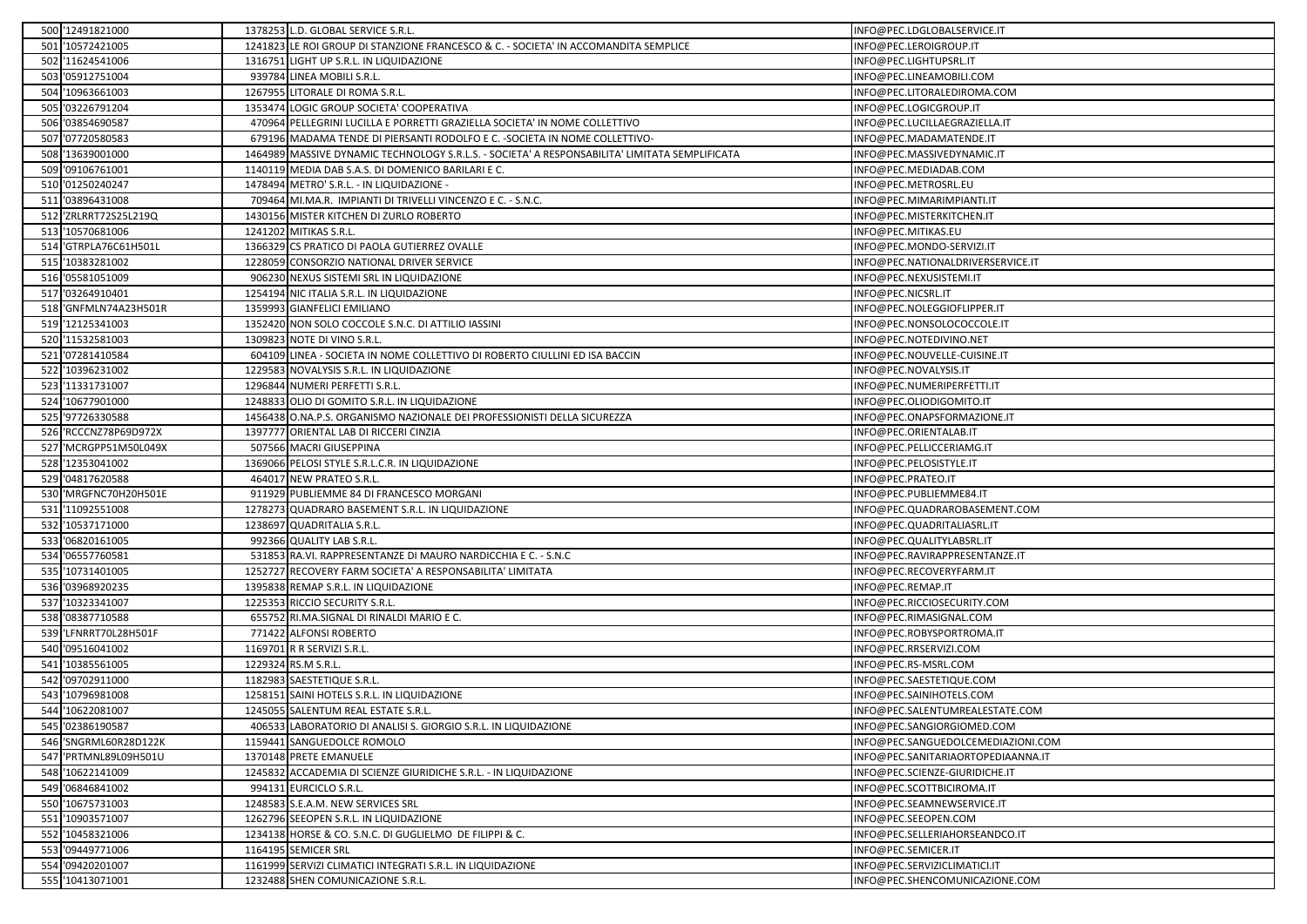| 500 '12491821000      | 1378253 L.D. GLOBAL SERVICE S.R.L.                                                             | INFO@PEC.LDGLOBALSERVICE.IT        |
|-----------------------|------------------------------------------------------------------------------------------------|------------------------------------|
| 501 '10572421005      | 1241823 LE ROI GROUP DI STANZIONE FRANCESCO & C. - SOCIETA' IN ACCOMANDITA SEMPLICE            | INFO@PEC.LEROIGROUP.IT             |
| 502 '11624541006      | 1316751 LIGHT UP S.R.L. IN LIQUIDAZIONE                                                        | INFO@PEC.LIGHTUPSRL.IT             |
| 503 '05912751004      | 939784 LINEA MOBILI S.R.L.                                                                     | INFO@PEC.LINEAMOBILI.COM           |
| 504 '10963661003      | 1267955 LITORALE DI ROMA S.R.L.                                                                | INFO@PEC.LITORALEDIROMA.COM        |
| 505 '03226791204      | 1353474 LOGIC GROUP SOCIETA' COOPERATIVA                                                       | INFO@PEC.LOGICGROUP.IT             |
| 506 '03854690587      | 470964 PELLEGRINI LUCILLA E PORRETTI GRAZIELLA SOCIETA' IN NOME COLLETTIVO                     | INFO@PEC.LUCILLAEGRAZIELLA.IT      |
| 507 '07720580583      | 679196 MADAMA TENDE DI PIERSANTI RODOLFO E C. - SOCIETA IN NOME COLLETTIVO-                    | INFO@PEC.MADAMATENDE.IT            |
| 508 '13639001000      | 1464989 MASSIVE DYNAMIC TECHNOLOGY S.R.L.S. - SOCIETA' A RESPONSABILITA' LIMITATA SEMPLIFICATA | INFO@PEC.MASSIVEDYNAMIC.IT         |
| 509 '09106761001      | 1140119 MEDIA DAB S.A.S. DI DOMENICO BARILARI E C.                                             | INFO@PEC.MEDIADAB.COM              |
| 510 '01250240247      | 1478494 METRO' S.R.L. - IN LIQUIDAZIONE -                                                      | INFO@PEC.METROSRL.EU               |
| 511 '03896431008      | 709464 MI.MA.R. IMPIANTI DI TRIVELLI VINCENZO E C. - S.N.C.                                    | INFO@PEC.MIMARIMPIANTI.IT          |
| 512 'ZRLRRT72S25L219Q | 1430156 MISTER KITCHEN DI ZURLO ROBERTO                                                        | INFO@PEC.MISTERKITCHEN.IT          |
| 513 '10570681006      | 1241202 MITIKAS S.R.L.                                                                         | INFO@PEC.MITIKAS.EU                |
| 514 GTRPLA76C61H501L  | 1366329 CS PRATICO DI PAOLA GUTIERREZ OVALLE                                                   | INFO@PEC.MONDO-SERVIZI.IT          |
| 515 '10383281002      | 1228059 CONSORZIO NATIONAL DRIVER SERVICE                                                      | INFO@PEC.NATIONALDRIVERSERVICE.IT  |
| 516 '05581051009      | 906230 NEXUS SISTEMI SRL IN LIQUIDAZIONE                                                       | INFO@PEC.NEXUSISTEMI.IT            |
| 517 '03264910401      | 1254194 NIC ITALIA S.R.L. IN LIQUIDAZIONE                                                      | INFO@PEC.NICSRL.IT                 |
| 518 'GNFMLN74A23H501R | 1359993 GIANFELICI EMILIANO                                                                    | INFO@PEC.NOLEGGIOFLIPPER.IT        |
| 519 '12125341003      | 1352420 NON SOLO COCCOLE S.N.C. DI ATTILIO IASSINI                                             | INFO@PEC.NONSOLOCOCCOLE.IT         |
| 520 '11532581003      | 1309823 NOTE DI VINO S.R.L.                                                                    | INFO@PEC.NOTEDIVINO.NET            |
| 521 '07281410584      | 604109 LINEA - SOCIETA IN NOME COLLETTIVO DI ROBERTO CIULLINI ED ISA BACCIN                    | INFO@PEC.NOUVELLE-CUISINE.IT       |
| 522 '10396231002      | 1229583 NOVALYSIS S.R.L. IN LIQUIDAZIONE                                                       | INFO@PEC.NOVALYSIS.IT              |
| 523 '11331731007      | 1296844 NUMERI PERFETTI S.R.L.                                                                 | INFO@PEC.NUMERIPERFETTI.IT         |
| 524 '10677901000      | 1248833 OLIO DI GOMITO S.R.L. IN LIQUIDAZIONE                                                  | INFO@PEC.OLIODIGOMITO.IT           |
| 525 '97726330588      | 1456438 O.NA.P.S. ORGANISMO NAZIONALE DEI PROFESSIONISTI DELLA SICUREZZA                       | INFO@PEC.ONAPSFORMAZIONE.IT        |
| 526 'RCCCNZ78P69D972X | 1397777 ORIENTAL LAB DI RICCERI CINZIA                                                         | INFO@PEC.ORIENTALAB.IT             |
| 527 'MCRGPP51M50L049X | 507566 MACRI GIUSEPPINA                                                                        | INFO@PEC.PELLICCERIAMG.IT          |
| 528 '12353041002      | 1369066 PELOSI STYLE S.R.L.C.R. IN LIQUIDAZIONE                                                | INFO@PEC.PELOSISTYLE.IT            |
| 529 '04817620588      | 464017 NEW PRATEO S.R.L.                                                                       | INFO@PEC.PRATEO.IT                 |
| 530 'MRGFNC70H20H501E | 911929 PUBLIEMME 84 DI FRANCESCO MORGANI                                                       | INFO@PEC.PUBLIEMME84.IT            |
| 531 '11092551008      | 1278273 QUADRARO BASEMENT S.R.L. IN LIQUIDAZIONE                                               | INFO@PEC.QUADRAROBASEMENT.COM      |
| 532 '10537171000      | 1238697 QUADRITALIA S.R.L.                                                                     | INFO@PEC.QUADRITALIASRL.IT         |
| 533 '06820161005      | 992366 QUALITY LAB S.R.L.                                                                      | INFO@PEC.QUALITYLABSRL.IT          |
| 534 '06557760581      | 531853 RA.VI. RAPPRESENTANZE DI MAURO NARDICCHIA E C. - S.N.C                                  | INFO@PEC.RAVIRAPPRESENTANZE.IT     |
| 535 '10731401005      | 1252727 RECOVERY FARM SOCIETA' A RESPONSABILITA' LIMITATA                                      | INFO@PEC.RECOVERYFARM.IT           |
| 536 '03968920235      | 1395838 REMAP S.R.L. IN LIQUIDAZIONE                                                           | INFO@PEC.REMAP.IT                  |
| 537 '10323341007      | 1225353 RICCIO SECURITY S.R.L.                                                                 | INFO@PEC.RICCIOSECURITY.COM        |
| 538 '08387710588      | 655752 RI.MA.SIGNAL DI RINALDI MARIO E C.                                                      | INFO@PEC.RIMASIGNAL.COM            |
| 539 'LFNRRT70L28H501F | 771422 ALFONSI ROBERTO                                                                         | INFO@PEC.ROBYSPORTROMA.IT          |
| 540 '09516041002      | 1169701 R R SERVIZI S.R.L.                                                                     | INFO@PEC.RRSERVIZI.COM             |
| 541 '10385561005      | 1229324 RS.M S.R.L.                                                                            | INFO@PEC.RS-MSRL.COM               |
| 542 '09702911000      | 1182983 SAESTETIQUE S.R.L.                                                                     | INFO@PEC.SAESTETIQUE.COM           |
| 543 '10796981008      | 1258151 SAINI HOTELS S.R.L. IN LIQUIDAZIONE                                                    | INFO@PEC.SAINIHOTELS.COM           |
| 544 '10622081007      | 1245055 SALENTUM REAL ESTATE S.R.L.                                                            | INFO@PEC.SALENTUMREALESTATE.COM    |
| 545 '02386190587      | 406533 LABORATORIO DI ANALISI S. GIORGIO S.R.L. IN LIQUIDAZIONE                                | INFO@PEC.SANGIORGIOMED.COM         |
| 546 'SNGRML60R28D122K | 1159441 SANGUEDOLCE ROMOLO                                                                     | INFO@PEC.SANGUEDOLCEMEDIAZIONI.COM |
| 547 'PRTMNL89L09H501U | 1370148 PRETE EMANUELE                                                                         | INFO@PEC.SANITARIAORTOPEDIAANNA.IT |
| 548 '10622141009      | 1245832 ACCADEMIA DI SCIENZE GIURIDICHE S.R.L. - IN LIQUIDAZIONE                               | INFO@PEC.SCIENZE-GIURIDICHE.IT     |
| 549 '06846841002      | 994131 EURCICLO S.R.L.                                                                         | INFO@PEC.SCOTTBICIROMA.IT          |
| 550 '10675731003      | 1248583 S.E.A.M. NEW SERVICES SRL                                                              | INFO@PEC.SEAMNEWSERVICE.IT         |
| 551 '10903571007      | 1262796 SEEOPEN S.R.L. IN LIQUIDAZIONE                                                         | INFO@PEC.SEEOPEN.COM               |
| 552 '10458321006      | 1234138 HORSE & CO. S.N.C. DI GUGLIELMO DE FILIPPI & C.                                        | INFO@PEC.SELLERIAHORSEANDCO.IT     |
| 553 '09449771006      | 1164195 SEMICER SRL                                                                            | INFO@PEC.SEMICER.IT                |
| 554 '09420201007      | 1161999 SERVIZI CLIMATICI INTEGRATI S.R.L. IN LIQUIDAZIONE                                     | INFO@PEC.SERVIZICLIMATICI.IT       |
| 555 '10413071001      | 1232488 SHEN COMUNICAZIONE S.R.L.                                                              | INFO@PEC.SHENCOMUNICAZIONE.COM     |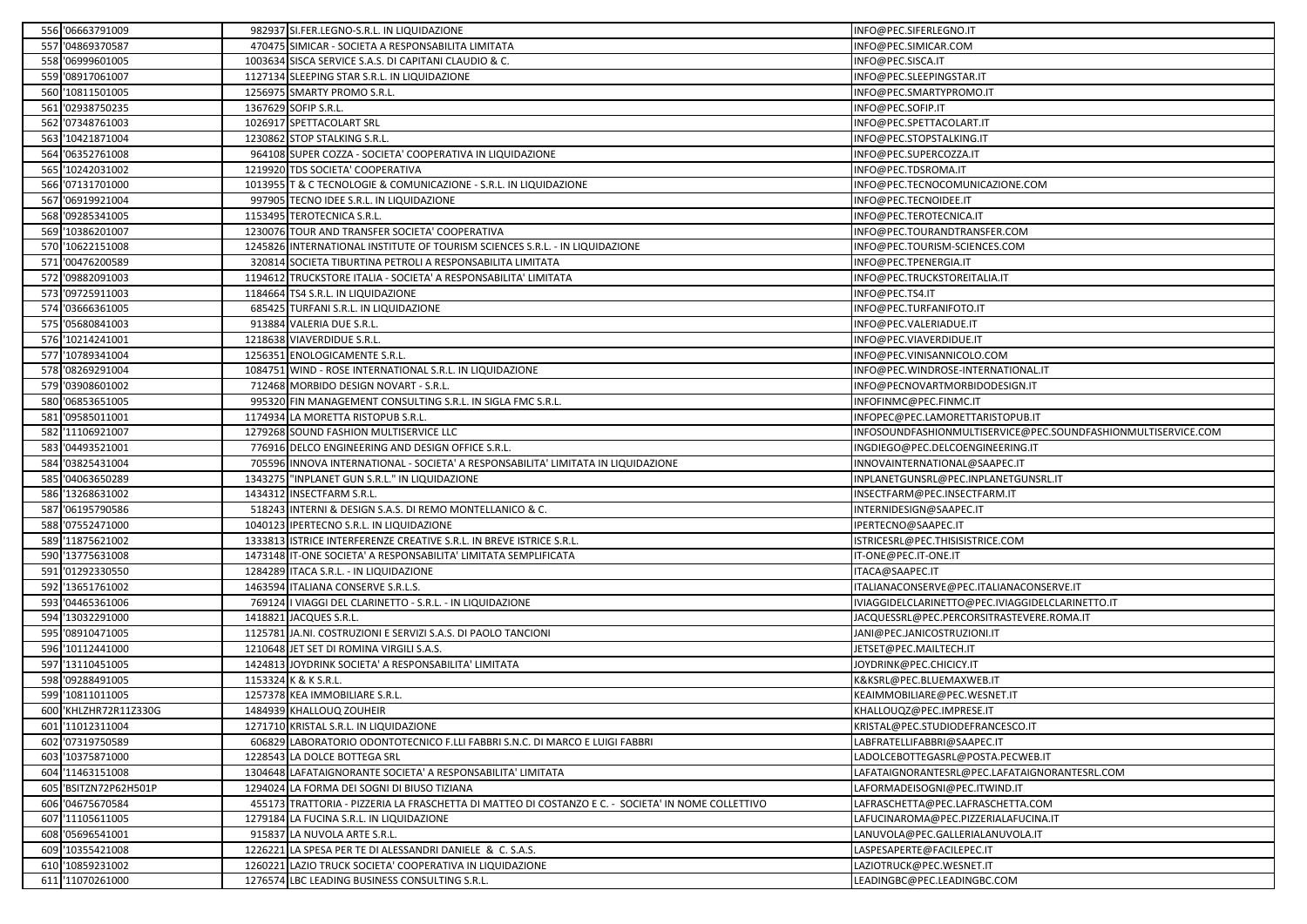| 556 '06663791009      |                                                                                                                                                              |                                                                                                    | INFO@PEC.SIFERLEGNO.IT                                                                                                                                                                                                                                                                                                                                                                                                                                                                                                                                                                                                                                                                                                                                                                                                                                                                                                                                                                                                                                                                                                                                                                                                                                                                                                                                                                                                                                                                                                                                                                                                                                                                                                                                                                                                                                                                                                                                                                                                                |
|-----------------------|--------------------------------------------------------------------------------------------------------------------------------------------------------------|----------------------------------------------------------------------------------------------------|---------------------------------------------------------------------------------------------------------------------------------------------------------------------------------------------------------------------------------------------------------------------------------------------------------------------------------------------------------------------------------------------------------------------------------------------------------------------------------------------------------------------------------------------------------------------------------------------------------------------------------------------------------------------------------------------------------------------------------------------------------------------------------------------------------------------------------------------------------------------------------------------------------------------------------------------------------------------------------------------------------------------------------------------------------------------------------------------------------------------------------------------------------------------------------------------------------------------------------------------------------------------------------------------------------------------------------------------------------------------------------------------------------------------------------------------------------------------------------------------------------------------------------------------------------------------------------------------------------------------------------------------------------------------------------------------------------------------------------------------------------------------------------------------------------------------------------------------------------------------------------------------------------------------------------------------------------------------------------------------------------------------------------------|
| 557 '04869370587      |                                                                                                                                                              |                                                                                                    | INFO@PEC.SIMICAR.COM                                                                                                                                                                                                                                                                                                                                                                                                                                                                                                                                                                                                                                                                                                                                                                                                                                                                                                                                                                                                                                                                                                                                                                                                                                                                                                                                                                                                                                                                                                                                                                                                                                                                                                                                                                                                                                                                                                                                                                                                                  |
| 558 '06999601005      |                                                                                                                                                              |                                                                                                    | INFO@PEC.SISCA.IT                                                                                                                                                                                                                                                                                                                                                                                                                                                                                                                                                                                                                                                                                                                                                                                                                                                                                                                                                                                                                                                                                                                                                                                                                                                                                                                                                                                                                                                                                                                                                                                                                                                                                                                                                                                                                                                                                                                                                                                                                     |
| 559 '08917061007      |                                                                                                                                                              |                                                                                                    | INFO@PEC.SLEEPINGSTAR.IT                                                                                                                                                                                                                                                                                                                                                                                                                                                                                                                                                                                                                                                                                                                                                                                                                                                                                                                                                                                                                                                                                                                                                                                                                                                                                                                                                                                                                                                                                                                                                                                                                                                                                                                                                                                                                                                                                                                                                                                                              |
| 560 '10811501005      |                                                                                                                                                              |                                                                                                    | INFO@PEC.SMARTYPROMO.IT                                                                                                                                                                                                                                                                                                                                                                                                                                                                                                                                                                                                                                                                                                                                                                                                                                                                                                                                                                                                                                                                                                                                                                                                                                                                                                                                                                                                                                                                                                                                                                                                                                                                                                                                                                                                                                                                                                                                                                                                               |
| 561 '02938750235      |                                                                                                                                                              |                                                                                                    | INFO@PEC.SOFIP.IT                                                                                                                                                                                                                                                                                                                                                                                                                                                                                                                                                                                                                                                                                                                                                                                                                                                                                                                                                                                                                                                                                                                                                                                                                                                                                                                                                                                                                                                                                                                                                                                                                                                                                                                                                                                                                                                                                                                                                                                                                     |
| 562 '07348761003      |                                                                                                                                                              |                                                                                                    | INFO@PEC.SPETTACOLART.IT                                                                                                                                                                                                                                                                                                                                                                                                                                                                                                                                                                                                                                                                                                                                                                                                                                                                                                                                                                                                                                                                                                                                                                                                                                                                                                                                                                                                                                                                                                                                                                                                                                                                                                                                                                                                                                                                                                                                                                                                              |
| 563 '10421871004      |                                                                                                                                                              |                                                                                                    | INFO@PEC.STOPSTALKING.IT                                                                                                                                                                                                                                                                                                                                                                                                                                                                                                                                                                                                                                                                                                                                                                                                                                                                                                                                                                                                                                                                                                                                                                                                                                                                                                                                                                                                                                                                                                                                                                                                                                                                                                                                                                                                                                                                                                                                                                                                              |
| 564 '06352761008      |                                                                                                                                                              |                                                                                                    | INFO@PEC.SUPERCOZZA.IT                                                                                                                                                                                                                                                                                                                                                                                                                                                                                                                                                                                                                                                                                                                                                                                                                                                                                                                                                                                                                                                                                                                                                                                                                                                                                                                                                                                                                                                                                                                                                                                                                                                                                                                                                                                                                                                                                                                                                                                                                |
| 565 '10242031002      |                                                                                                                                                              |                                                                                                    | INFO@PEC.TDSROMA.IT                                                                                                                                                                                                                                                                                                                                                                                                                                                                                                                                                                                                                                                                                                                                                                                                                                                                                                                                                                                                                                                                                                                                                                                                                                                                                                                                                                                                                                                                                                                                                                                                                                                                                                                                                                                                                                                                                                                                                                                                                   |
| 566 '07131701000      |                                                                                                                                                              |                                                                                                    | INFO@PEC.TECNOCOMUNICAZIONE.COM                                                                                                                                                                                                                                                                                                                                                                                                                                                                                                                                                                                                                                                                                                                                                                                                                                                                                                                                                                                                                                                                                                                                                                                                                                                                                                                                                                                                                                                                                                                                                                                                                                                                                                                                                                                                                                                                                                                                                                                                       |
| 567 '06919921004      |                                                                                                                                                              |                                                                                                    | INFO@PEC.TECNOIDEE.IT                                                                                                                                                                                                                                                                                                                                                                                                                                                                                                                                                                                                                                                                                                                                                                                                                                                                                                                                                                                                                                                                                                                                                                                                                                                                                                                                                                                                                                                                                                                                                                                                                                                                                                                                                                                                                                                                                                                                                                                                                 |
| 568 '09285341005      |                                                                                                                                                              |                                                                                                    | INFO@PEC.TEROTECNICA.IT                                                                                                                                                                                                                                                                                                                                                                                                                                                                                                                                                                                                                                                                                                                                                                                                                                                                                                                                                                                                                                                                                                                                                                                                                                                                                                                                                                                                                                                                                                                                                                                                                                                                                                                                                                                                                                                                                                                                                                                                               |
| 569 '10386201007      |                                                                                                                                                              |                                                                                                    | INFO@PEC.TOURANDTRANSFER.COM                                                                                                                                                                                                                                                                                                                                                                                                                                                                                                                                                                                                                                                                                                                                                                                                                                                                                                                                                                                                                                                                                                                                                                                                                                                                                                                                                                                                                                                                                                                                                                                                                                                                                                                                                                                                                                                                                                                                                                                                          |
| 570 '10622151008      |                                                                                                                                                              |                                                                                                    | INFO@PEC.TOURISM-SCIENCES.COM                                                                                                                                                                                                                                                                                                                                                                                                                                                                                                                                                                                                                                                                                                                                                                                                                                                                                                                                                                                                                                                                                                                                                                                                                                                                                                                                                                                                                                                                                                                                                                                                                                                                                                                                                                                                                                                                                                                                                                                                         |
| 571 '00476200589      |                                                                                                                                                              |                                                                                                    | INFO@PEC.TPENERGIA.IT                                                                                                                                                                                                                                                                                                                                                                                                                                                                                                                                                                                                                                                                                                                                                                                                                                                                                                                                                                                                                                                                                                                                                                                                                                                                                                                                                                                                                                                                                                                                                                                                                                                                                                                                                                                                                                                                                                                                                                                                                 |
| 572 '09882091003      |                                                                                                                                                              |                                                                                                    | INFO@PEC.TRUCKSTOREITALIA.IT                                                                                                                                                                                                                                                                                                                                                                                                                                                                                                                                                                                                                                                                                                                                                                                                                                                                                                                                                                                                                                                                                                                                                                                                                                                                                                                                                                                                                                                                                                                                                                                                                                                                                                                                                                                                                                                                                                                                                                                                          |
| 573 '09725911003      |                                                                                                                                                              |                                                                                                    | INFO@PEC.TS4.IT                                                                                                                                                                                                                                                                                                                                                                                                                                                                                                                                                                                                                                                                                                                                                                                                                                                                                                                                                                                                                                                                                                                                                                                                                                                                                                                                                                                                                                                                                                                                                                                                                                                                                                                                                                                                                                                                                                                                                                                                                       |
| 574 '03666361005      |                                                                                                                                                              |                                                                                                    | INFO@PEC.TURFANIFOTO.IT                                                                                                                                                                                                                                                                                                                                                                                                                                                                                                                                                                                                                                                                                                                                                                                                                                                                                                                                                                                                                                                                                                                                                                                                                                                                                                                                                                                                                                                                                                                                                                                                                                                                                                                                                                                                                                                                                                                                                                                                               |
| 575 '05680841003      |                                                                                                                                                              |                                                                                                    | INFO@PEC.VALERIADUE.IT                                                                                                                                                                                                                                                                                                                                                                                                                                                                                                                                                                                                                                                                                                                                                                                                                                                                                                                                                                                                                                                                                                                                                                                                                                                                                                                                                                                                                                                                                                                                                                                                                                                                                                                                                                                                                                                                                                                                                                                                                |
|                       |                                                                                                                                                              |                                                                                                    | INFO@PEC.VIAVERDIDUE.IT                                                                                                                                                                                                                                                                                                                                                                                                                                                                                                                                                                                                                                                                                                                                                                                                                                                                                                                                                                                                                                                                                                                                                                                                                                                                                                                                                                                                                                                                                                                                                                                                                                                                                                                                                                                                                                                                                                                                                                                                               |
|                       |                                                                                                                                                              |                                                                                                    | INFO@PEC.VINISANNICOLO.COM                                                                                                                                                                                                                                                                                                                                                                                                                                                                                                                                                                                                                                                                                                                                                                                                                                                                                                                                                                                                                                                                                                                                                                                                                                                                                                                                                                                                                                                                                                                                                                                                                                                                                                                                                                                                                                                                                                                                                                                                            |
|                       |                                                                                                                                                              |                                                                                                    | INFO@PEC.WINDROSE-INTERNATIONAL.IT                                                                                                                                                                                                                                                                                                                                                                                                                                                                                                                                                                                                                                                                                                                                                                                                                                                                                                                                                                                                                                                                                                                                                                                                                                                                                                                                                                                                                                                                                                                                                                                                                                                                                                                                                                                                                                                                                                                                                                                                    |
|                       |                                                                                                                                                              |                                                                                                    | INFO@PECNOVARTMORBIDODESIGN.IT                                                                                                                                                                                                                                                                                                                                                                                                                                                                                                                                                                                                                                                                                                                                                                                                                                                                                                                                                                                                                                                                                                                                                                                                                                                                                                                                                                                                                                                                                                                                                                                                                                                                                                                                                                                                                                                                                                                                                                                                        |
|                       | 995320                                                                                                                                                       |                                                                                                    | INFOFINMC@PEC.FINMC.IT                                                                                                                                                                                                                                                                                                                                                                                                                                                                                                                                                                                                                                                                                                                                                                                                                                                                                                                                                                                                                                                                                                                                                                                                                                                                                                                                                                                                                                                                                                                                                                                                                                                                                                                                                                                                                                                                                                                                                                                                                |
|                       |                                                                                                                                                              |                                                                                                    | INFOPEC@PEC.LAMORETTARISTOPUB.IT                                                                                                                                                                                                                                                                                                                                                                                                                                                                                                                                                                                                                                                                                                                                                                                                                                                                                                                                                                                                                                                                                                                                                                                                                                                                                                                                                                                                                                                                                                                                                                                                                                                                                                                                                                                                                                                                                                                                                                                                      |
|                       |                                                                                                                                                              |                                                                                                    | INFOSOUNDFASHIONMULTISERVICE@PEC.SOUNDFASHIONMULTISERVICE.COM                                                                                                                                                                                                                                                                                                                                                                                                                                                                                                                                                                                                                                                                                                                                                                                                                                                                                                                                                                                                                                                                                                                                                                                                                                                                                                                                                                                                                                                                                                                                                                                                                                                                                                                                                                                                                                                                                                                                                                         |
|                       |                                                                                                                                                              |                                                                                                    | INGDIEGO@PEC.DELCOENGINEERING.IT                                                                                                                                                                                                                                                                                                                                                                                                                                                                                                                                                                                                                                                                                                                                                                                                                                                                                                                                                                                                                                                                                                                                                                                                                                                                                                                                                                                                                                                                                                                                                                                                                                                                                                                                                                                                                                                                                                                                                                                                      |
| 584 '03825431004      |                                                                                                                                                              |                                                                                                    | INNOVAINTERNATIONAL@SAAPEC.IT                                                                                                                                                                                                                                                                                                                                                                                                                                                                                                                                                                                                                                                                                                                                                                                                                                                                                                                                                                                                                                                                                                                                                                                                                                                                                                                                                                                                                                                                                                                                                                                                                                                                                                                                                                                                                                                                                                                                                                                                         |
| 585 '04063650289      |                                                                                                                                                              |                                                                                                    | INPLANETGUNSRL@PEC.INPLANETGUNSRL.IT                                                                                                                                                                                                                                                                                                                                                                                                                                                                                                                                                                                                                                                                                                                                                                                                                                                                                                                                                                                                                                                                                                                                                                                                                                                                                                                                                                                                                                                                                                                                                                                                                                                                                                                                                                                                                                                                                                                                                                                                  |
| 586 '13268631002      |                                                                                                                                                              |                                                                                                    | INSECTFARM@PEC.INSECTFARM.IT                                                                                                                                                                                                                                                                                                                                                                                                                                                                                                                                                                                                                                                                                                                                                                                                                                                                                                                                                                                                                                                                                                                                                                                                                                                                                                                                                                                                                                                                                                                                                                                                                                                                                                                                                                                                                                                                                                                                                                                                          |
| 587 '06195790586      |                                                                                                                                                              |                                                                                                    | INTERNIDESIGN@SAAPEC.IT                                                                                                                                                                                                                                                                                                                                                                                                                                                                                                                                                                                                                                                                                                                                                                                                                                                                                                                                                                                                                                                                                                                                                                                                                                                                                                                                                                                                                                                                                                                                                                                                                                                                                                                                                                                                                                                                                                                                                                                                               |
| 588 '07552471000      |                                                                                                                                                              |                                                                                                    | IPERTECNO@SAAPEC.IT                                                                                                                                                                                                                                                                                                                                                                                                                                                                                                                                                                                                                                                                                                                                                                                                                                                                                                                                                                                                                                                                                                                                                                                                                                                                                                                                                                                                                                                                                                                                                                                                                                                                                                                                                                                                                                                                                                                                                                                                                   |
| 589 '11875621002      |                                                                                                                                                              |                                                                                                    | ISTRICESRL@PEC.THISISISTRICE.COM                                                                                                                                                                                                                                                                                                                                                                                                                                                                                                                                                                                                                                                                                                                                                                                                                                                                                                                                                                                                                                                                                                                                                                                                                                                                                                                                                                                                                                                                                                                                                                                                                                                                                                                                                                                                                                                                                                                                                                                                      |
| 590 '13775631008      |                                                                                                                                                              |                                                                                                    | IT-ONE@PEC.IT-ONE.IT                                                                                                                                                                                                                                                                                                                                                                                                                                                                                                                                                                                                                                                                                                                                                                                                                                                                                                                                                                                                                                                                                                                                                                                                                                                                                                                                                                                                                                                                                                                                                                                                                                                                                                                                                                                                                                                                                                                                                                                                                  |
| 591 '01292330550      |                                                                                                                                                              |                                                                                                    | ITACA@SAAPEC.IT                                                                                                                                                                                                                                                                                                                                                                                                                                                                                                                                                                                                                                                                                                                                                                                                                                                                                                                                                                                                                                                                                                                                                                                                                                                                                                                                                                                                                                                                                                                                                                                                                                                                                                                                                                                                                                                                                                                                                                                                                       |
| 592 '13651761002      |                                                                                                                                                              |                                                                                                    | ITALIANACONSERVE@PEC.ITALIANACONSERVE.IT                                                                                                                                                                                                                                                                                                                                                                                                                                                                                                                                                                                                                                                                                                                                                                                                                                                                                                                                                                                                                                                                                                                                                                                                                                                                                                                                                                                                                                                                                                                                                                                                                                                                                                                                                                                                                                                                                                                                                                                              |
| 593 '04465361006      |                                                                                                                                                              |                                                                                                    | IVIAGGIDELCLARINETTO@PEC.IVIAGGIDELCLARINETTO.IT                                                                                                                                                                                                                                                                                                                                                                                                                                                                                                                                                                                                                                                                                                                                                                                                                                                                                                                                                                                                                                                                                                                                                                                                                                                                                                                                                                                                                                                                                                                                                                                                                                                                                                                                                                                                                                                                                                                                                                                      |
| 594 '13032291000      |                                                                                                                                                              |                                                                                                    | JACQUESSRL@PEC.PERCORSITRASTEVERE.ROMA.IT                                                                                                                                                                                                                                                                                                                                                                                                                                                                                                                                                                                                                                                                                                                                                                                                                                                                                                                                                                                                                                                                                                                                                                                                                                                                                                                                                                                                                                                                                                                                                                                                                                                                                                                                                                                                                                                                                                                                                                                             |
| 595 '08910471005      |                                                                                                                                                              |                                                                                                    | JANI@PEC.JANICOSTRUZIONI.IT                                                                                                                                                                                                                                                                                                                                                                                                                                                                                                                                                                                                                                                                                                                                                                                                                                                                                                                                                                                                                                                                                                                                                                                                                                                                                                                                                                                                                                                                                                                                                                                                                                                                                                                                                                                                                                                                                                                                                                                                           |
| 596 '10112441000      |                                                                                                                                                              |                                                                                                    | JETSET@PEC.MAILTECH.IT                                                                                                                                                                                                                                                                                                                                                                                                                                                                                                                                                                                                                                                                                                                                                                                                                                                                                                                                                                                                                                                                                                                                                                                                                                                                                                                                                                                                                                                                                                                                                                                                                                                                                                                                                                                                                                                                                                                                                                                                                |
|                       |                                                                                                                                                              |                                                                                                    |                                                                                                                                                                                                                                                                                                                                                                                                                                                                                                                                                                                                                                                                                                                                                                                                                                                                                                                                                                                                                                                                                                                                                                                                                                                                                                                                                                                                                                                                                                                                                                                                                                                                                                                                                                                                                                                                                                                                                                                                                                       |
| 597 '13110451005      |                                                                                                                                                              | 1424813 JOYDRINK SOCIETA' A RESPONSABILITA' LIMITATA                                               | JOYDRINK@PEC.CHICICY.IT                                                                                                                                                                                                                                                                                                                                                                                                                                                                                                                                                                                                                                                                                                                                                                                                                                                                                                                                                                                                                                                                                                                                                                                                                                                                                                                                                                                                                                                                                                                                                                                                                                                                                                                                                                                                                                                                                                                                                                                                               |
| 598 '09288491005      |                                                                                                                                                              | 1153324 K & K S.R.L.                                                                               | K&KSRL@PEC.BLUEMAXWEB.IT                                                                                                                                                                                                                                                                                                                                                                                                                                                                                                                                                                                                                                                                                                                                                                                                                                                                                                                                                                                                                                                                                                                                                                                                                                                                                                                                                                                                                                                                                                                                                                                                                                                                                                                                                                                                                                                                                                                                                                                                              |
| 599 '10811011005      |                                                                                                                                                              | 1257378 KEA IMMOBILIARE S.R.L.                                                                     | KEAIMMOBILIARE@PEC.WESNET.IT                                                                                                                                                                                                                                                                                                                                                                                                                                                                                                                                                                                                                                                                                                                                                                                                                                                                                                                                                                                                                                                                                                                                                                                                                                                                                                                                                                                                                                                                                                                                                                                                                                                                                                                                                                                                                                                                                                                                                                                                          |
| 600 KHLZHR72R11Z330G  |                                                                                                                                                              | 1484939 KHALLOUQ ZOUHEIR                                                                           | KHALLOUQZ@PEC.IMPRESE.IT                                                                                                                                                                                                                                                                                                                                                                                                                                                                                                                                                                                                                                                                                                                                                                                                                                                                                                                                                                                                                                                                                                                                                                                                                                                                                                                                                                                                                                                                                                                                                                                                                                                                                                                                                                                                                                                                                                                                                                                                              |
| 601 '11012311004      |                                                                                                                                                              | 1271710 KRISTAL S.R.L. IN LIQUIDAZIONE                                                             | KRISTAL@PEC.STUDIODEFRANCESCO.IT                                                                                                                                                                                                                                                                                                                                                                                                                                                                                                                                                                                                                                                                                                                                                                                                                                                                                                                                                                                                                                                                                                                                                                                                                                                                                                                                                                                                                                                                                                                                                                                                                                                                                                                                                                                                                                                                                                                                                                                                      |
| 602 '07319750589      |                                                                                                                                                              | 606829 LABORATORIO ODONTOTECNICO F.LLI FABBRI S.N.C. DI MARCO E LUIGI FABBRI                       | LABFRATELLIFABBRI@SAAPEC.IT                                                                                                                                                                                                                                                                                                                                                                                                                                                                                                                                                                                                                                                                                                                                                                                                                                                                                                                                                                                                                                                                                                                                                                                                                                                                                                                                                                                                                                                                                                                                                                                                                                                                                                                                                                                                                                                                                                                                                                                                           |
| 603 '10375871000      |                                                                                                                                                              | 1228543 LA DOLCE BOTTEGA SRL                                                                       | LADOLCEBOTTEGASRL@POSTA.PECWEB.IT                                                                                                                                                                                                                                                                                                                                                                                                                                                                                                                                                                                                                                                                                                                                                                                                                                                                                                                                                                                                                                                                                                                                                                                                                                                                                                                                                                                                                                                                                                                                                                                                                                                                                                                                                                                                                                                                                                                                                                                                     |
| 604 '11463151008      |                                                                                                                                                              | 1304648 LAFATAIGNORANTE SOCIETA' A RESPONSABILITA' LIMITATA                                        | LAFATAIGNORANTESRL@PEC.LAFATAIGNORANTESRL.COM                                                                                                                                                                                                                                                                                                                                                                                                                                                                                                                                                                                                                                                                                                                                                                                                                                                                                                                                                                                                                                                                                                                                                                                                                                                                                                                                                                                                                                                                                                                                                                                                                                                                                                                                                                                                                                                                                                                                                                                         |
| 605 'BSITZN72P62H501P |                                                                                                                                                              | 1294024 LA FORMA DEI SOGNI DI BIUSO TIZIANA                                                        | LAFORMADEISOGNI@PEC.ITWIND.IT                                                                                                                                                                                                                                                                                                                                                                                                                                                                                                                                                                                                                                                                                                                                                                                                                                                                                                                                                                                                                                                                                                                                                                                                                                                                                                                                                                                                                                                                                                                                                                                                                                                                                                                                                                                                                                                                                                                                                                                                         |
| 606 '04675670584      |                                                                                                                                                              | 455173 TRATTORIA - PIZZERIA LA FRASCHETTA DI MATTEO DI COSTANZO E C. - SOCIETA' IN NOME COLLETTIVO | LAFRASCHETTA@PEC.LAFRASCHETTA.COM                                                                                                                                                                                                                                                                                                                                                                                                                                                                                                                                                                                                                                                                                                                                                                                                                                                                                                                                                                                                                                                                                                                                                                                                                                                                                                                                                                                                                                                                                                                                                                                                                                                                                                                                                                                                                                                                                                                                                                                                     |
| 607 '11105611005      |                                                                                                                                                              | 1279184 LA FUCINA S.R.L. IN LIQUIDAZIONE                                                           | LAFUCINAROMA@PEC.PIZZERIALAFUCINA.IT                                                                                                                                                                                                                                                                                                                                                                                                                                                                                                                                                                                                                                                                                                                                                                                                                                                                                                                                                                                                                                                                                                                                                                                                                                                                                                                                                                                                                                                                                                                                                                                                                                                                                                                                                                                                                                                                                                                                                                                                  |
| 608 '05696541001      |                                                                                                                                                              | 915837 LA NUVOLA ARTE S.R.L.                                                                       | LANUVOLA@PEC.GALLERIALANUVOLA.IT                                                                                                                                                                                                                                                                                                                                                                                                                                                                                                                                                                                                                                                                                                                                                                                                                                                                                                                                                                                                                                                                                                                                                                                                                                                                                                                                                                                                                                                                                                                                                                                                                                                                                                                                                                                                                                                                                                                                                                                                      |
| 609 '10355421008      |                                                                                                                                                              | 1226221 LA SPESA PER TE DI ALESSANDRI DANIELE & C. S.A.S.                                          | LASPESAPERTE@FACILEPEC.IT                                                                                                                                                                                                                                                                                                                                                                                                                                                                                                                                                                                                                                                                                                                                                                                                                                                                                                                                                                                                                                                                                                                                                                                                                                                                                                                                                                                                                                                                                                                                                                                                                                                                                                                                                                                                                                                                                                                                                                                                             |
| 610 '10859231002      | 126022                                                                                                                                                       | LAZIO TRUCK SOCIETA' COOPERATIVA IN LIQUIDAZIONE                                                   | LAZIOTRUCK@PEC.WESNET.IT                                                                                                                                                                                                                                                                                                                                                                                                                                                                                                                                                                                                                                                                                                                                                                                                                                                                                                                                                                                                                                                                                                                                                                                                                                                                                                                                                                                                                                                                                                                                                                                                                                                                                                                                                                                                                                                                                                                                                                                                              |
|                       | 576 '10214241001<br>577 '10789341004<br>578 '08269291004<br>579 '03908601002<br>580 '06853651005<br>581 '09585011001<br>582 '11106921007<br>583 '04493521001 |                                                                                                    | 982937 SI.FER.LEGNO-S.R.L. IN LIQUIDAZIONE<br>470475 SIMICAR - SOCIETA A RESPONSABILITA LIMITATA<br>1003634 SISCA SERVICE S.A.S. DI CAPITANI CLAUDIO & C.<br>1127134 SLEEPING STAR S.R.L. IN LIQUIDAZIONE<br>1256975 SMARTY PROMO S.R.L.<br>1367629 SOFIP S.R.L.<br>1026917 SPETTACOLART SRL<br>1230862 STOP STALKING S.R.L<br>964108 SUPER COZZA - SOCIETA' COOPERATIVA IN LIQUIDAZIONE<br>1219920 TDS SOCIETA' COOPERATIVA<br>1013955 T & C TECNOLOGIE & COMUNICAZIONE - S.R.L. IN LIQUIDAZIONE<br>997905 TECNO IDEE S.R.L. IN LIQUIDAZIONE<br>1153495 TEROTECNICA S.R.L.<br>1230076 TOUR AND TRANSFER SOCIETA' COOPERATIVA<br>1245826 INTERNATIONAL INSTITUTE OF TOURISM SCIENCES S.R.L. - IN LIQUIDAZIONE<br>320814 SOCIETA TIBURTINA PETROLI A RESPONSABILITA LIMITATA<br>1194612 TRUCKSTORE ITALIA - SOCIETA' A RESPONSABILITA' LIMITATA<br>1184664 TS4 S.R.L. IN LIQUIDAZIONE<br>685425 TURFANI S.R.L. IN LIQUIDAZIONE<br>913884 VALERIA DUE S.R.L.<br>1218638 VIAVERDIDUE S.R.L.<br>1256351 ENOLOGICAMENTE S.R.L.<br>1084751 WIND - ROSE INTERNATIONAL S.R.L. IN LIQUIDAZIONE<br>712468 MORBIDO DESIGN NOVART - S.R.L.<br>FIN MANAGEMENT CONSULTING S.R.L. IN SIGLA FMC S.R.L.<br>1174934 LA MORETTA RISTOPUB S.R.L.<br>1279268 SOUND FASHION MULTISERVICE LLC<br>776916 DELCO ENGINEERING AND DESIGN OFFICE S.R.L.<br>705596 INNOVA INTERNATIONAL - SOCIETA' A RESPONSABILITA' LIMITATA IN LIQUIDAZIONE<br>1343275 "INPLANET GUN S.R.L." IN LIQUIDAZIONE<br>1434312 INSECTFARM S.R.L.<br>518243 INTERNI & DESIGN S.A.S. DI REMO MONTELLANICO & C.<br>1040123 IPERTECNO S.R.L. IN LIQUIDAZIONE<br>1333813 ISTRICE INTERFERENZE CREATIVE S.R.L. IN BREVE ISTRICE S.R.L.<br>1473148 IT-ONE SOCIETA' A RESPONSABILITA' LIMITATA SEMPLIFICATA<br>1284289 ITACA S.R.L. - IN LIQUIDAZIONE<br>1463594 ITALIANA CONSERVE S.R.L.S.<br>769124   VIAGGI DEL CLARINETTO - S.R.L. - IN LIQUIDAZIONE<br>1418821 JACQUES S.R.L.<br>1125781 JA.NI. COSTRUZIONI E SERVIZI S.A.S. DI PAOLO TANCIONI<br>1210648 JET SET DI ROMINA VIRGILI S.A.S. |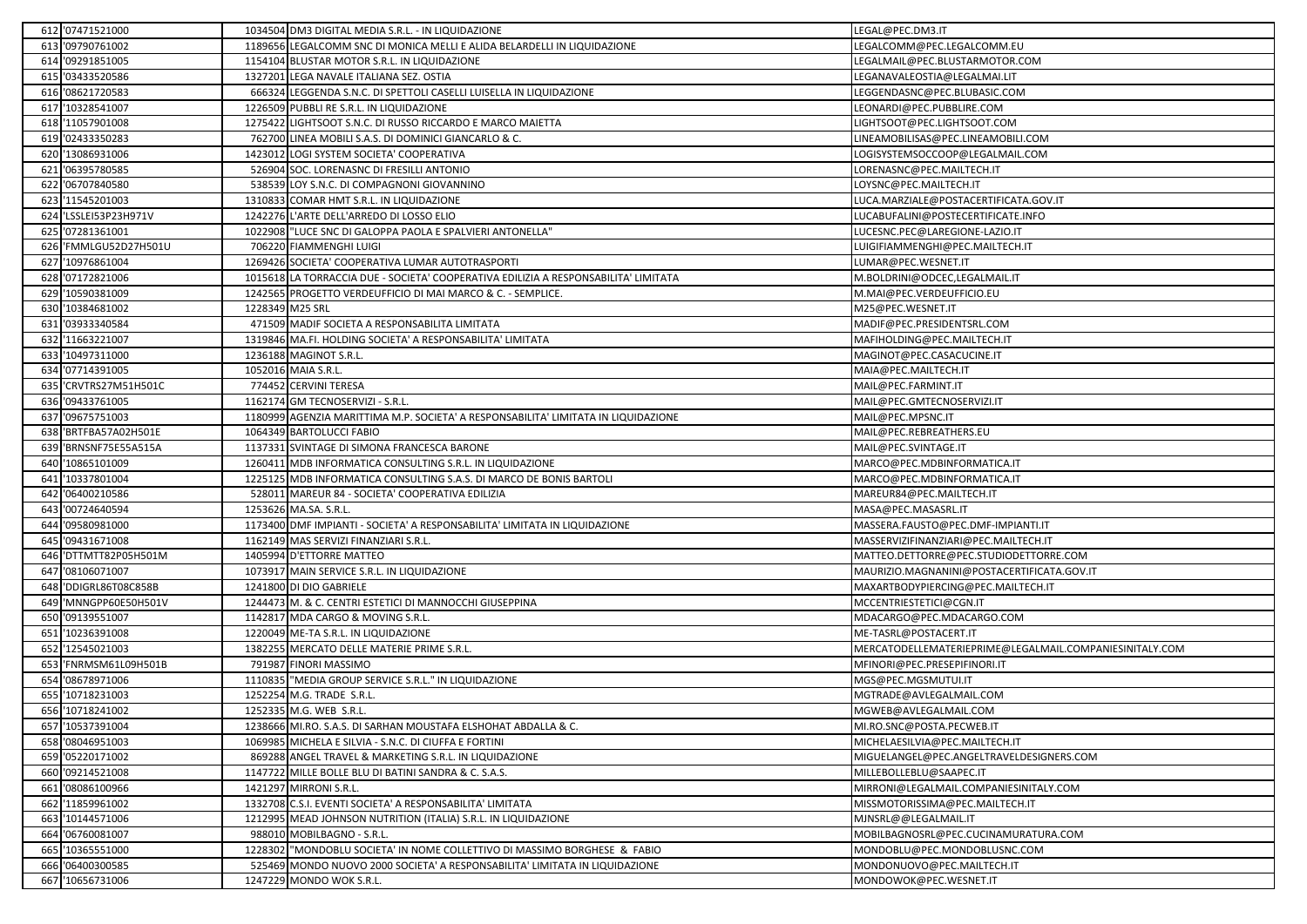|     | 612 '07471521000      |                 | 1034504 DM3 DIGITAL MEDIA S.R.L. - IN LIQUIDAZIONE                                  | LEGAL@PEC.DM3.IT                                        |
|-----|-----------------------|-----------------|-------------------------------------------------------------------------------------|---------------------------------------------------------|
|     | 613 '09790761002      |                 | 1189656 LEGALCOMM SNC DI MONICA MELLI E ALIDA BELARDELLI IN LIQUIDAZIONE            | LEGALCOMM@PEC.LEGALCOMM.EU                              |
|     | 614 '09291851005      |                 | 1154104 BLUSTAR MOTOR S.R.L. IN LIQUIDAZIONE                                        | LEGALMAIL@PEC.BLUSTARMOTOR.COM                          |
|     | 615 '03433520586      | 132720          | LEGA NAVALE ITALIANA SEZ. OSTIA                                                     | LEGANAVALEOSTIA@LEGALMAI.LIT                            |
|     | 616 '08621720583      | 66632           | 4 LEGGENDA S.N.C. DI SPETTOLI CASELLI LUISELLA IN LIQUIDAZIONE                      | LEGGENDASNC@PEC.BLUBASIC.COM                            |
|     | 617 '10328541007      |                 | 1226509 PUBBLI RE S.R.L. IN LIQUIDAZIONE                                            | LEONARDI@PEC.PUBBLIRE.COM                               |
|     | 618 '11057901008      |                 | 1275422 LIGHTSOOT S.N.C. DI RUSSO RICCARDO E MARCO MAIETTA                          | LIGHTSOOT@PEC.LIGHTSOOT.COM                             |
|     | 619 '02433350283      | 76270           | LINEA MOBILI S.A.S. DI DOMINICI GIANCARLO & C.                                      | LINEAMOBILISAS@PEC.LINEAMOBILI.COM                      |
|     | 620 '13086931006      |                 | 1423012 LOGI SYSTEM SOCIETA' COOPERATIVA                                            | LOGISYSTEMSOCCOOP@LEGALMAIL.COM                         |
|     | 621 '06395780585      | 52690           | <b>SOC. LORENASNC DI FRESILLI ANTONIO</b>                                           | LORENASNC@PEC.MAILTECH.IT                               |
|     | 622 '06707840580      | 53853           | LOY S.N.C. DI COMPAGNONI GIOVANNINO                                                 | LOYSNC@PEC.MAILTECH.IT                                  |
|     | 623 '11545201003      |                 | 1310833 COMAR HMT S.R.L. IN LIQUIDAZIONE                                            | LUCA.MARZIALE@POSTACERTIFICATA.GOV.IT                   |
| 624 | 'LSSLEI53P23H971V     |                 | 1242276 L'ARTE DELL'ARREDO DI LOSSO ELIO                                            | LUCABUFALINI@POSTECERTIFICATE.INFO                      |
|     | 625 '07281361001      |                 | 1022908 "LUCE SNC DI GALOPPA PAOLA E SPALVIERI ANTONELLA"                           | LUCESNC.PEC@LAREGIONE-LAZIO.IT                          |
|     | 626 'FMMLGU52D27H501U |                 | 706220 FIAMMENGHI LUIGI                                                             | LUIGIFIAMMENGHI@PEC.MAILTECH.IT                         |
|     | 627 '10976861004      |                 | 1269426 SOCIETA' COOPERATIVA LUMAR AUTOTRASPORTI                                    | LUMAR@PEC.WESNET.IT                                     |
|     | 628 '07172821006      |                 | 1015618 LA TORRACCIA DUE - SOCIETA' COOPERATIVA EDILIZIA A RESPONSABILITA' LIMITATA | M.BOLDRINI@ODCEC,LEGALMAIL.IT                           |
|     | 629 '10590381009      |                 | 1242565 PROGETTO VERDEUFFICIO DI MAI MARCO & C. - SEMPLICE.                         | M.MAI@PEC.VERDEUFFICIO.EU                               |
| 630 | '10384681002          | 1228349 M25 SRL |                                                                                     | M25@PEC.WESNET.IT                                       |
|     | 631 '03933340584      |                 | 471509 MADIF SOCIETA A RESPONSABILITA LIMITATA                                      | MADIF@PEC.PRESIDENTSRL.COM                              |
|     | 632 '11663221007      |                 | 1319846 MA.FI. HOLDING SOCIETA' A RESPONSABILITA' LIMITATA                          | MAFIHOLDING@PEC.MAILTECH.IT                             |
|     | 633 '10497311000      |                 | 1236188 MAGINOT S.R.L.                                                              | MAGINOT@PEC.CASACUCINE.IT                               |
|     | 634 '07714391005      |                 | 1052016 MAIA S.R.L.                                                                 | MAIA@PEC.MAILTECH.IT                                    |
|     | 635 'CRVTRS27M51H501C |                 | 774452 CERVINI TERESA                                                               | MAIL@PEC.FARMINT.IT                                     |
|     | 636 '09433761005      |                 | 1162174 GM TECNOSERVIZI - S.R.L.                                                    | MAIL@PEC.GMTECNOSERVIZI.IT                              |
|     | 637 '09675751003      |                 | 1180999 AGENZIA MARITTIMA M.P. SOCIETA' A RESPONSABILITA' LIMITATA IN LIQUIDAZIONE  | MAIL@PEC.MPSNC.IT                                       |
|     | 638 BRTFBA57A02H501E  |                 | 1064349 BARTOLUCCI FABIO                                                            | MAIL@PEC.REBREATHERS.EU                                 |
|     | 639 'BRNSNF75E55A515A |                 | 1137331 SVINTAGE DI SIMONA FRANCESCA BARONE                                         | MAIL@PEC.SVINTAGE.IT                                    |
|     | 640 '10865101009      |                 | 1260411 MDB INFORMATICA CONSULTING S.R.L. IN LIQUIDAZIONE                           | MARCO@PEC.MDBINFORMATICA.IT                             |
| 641 | '10337801004          |                 | 1225125 MDB INFORMATICA CONSULTING S.A.S. DI MARCO DE BONIS BARTOLI                 | MARCO@PEC.MDBINFORMATICA.IT                             |
|     | 642 '06400210586      | 52801           | 1 MAREUR 84 - SOCIETA' COOPERATIVA EDILIZIA                                         | MAREUR84@PEC.MAILTECH.IT                                |
|     | 643 '00724640594      |                 | 1253626 MA.SA. S.R.L.                                                               | MASA@PEC.MASASRL.IT                                     |
|     | 644 '09580981000      |                 | 1173400 DMF IMPIANTI - SOCIETA' A RESPONSABILITA' LIMITATA IN LIQUIDAZIONE          | MASSERA.FAUSTO@PEC.DMF-IMPIANTI.IT                      |
|     | 645 '09431671008      |                 | 1162149 MAS SERVIZI FINANZIARI S.R.L.                                               | MASSERVIZIFINANZIARI@PEC.MAILTECH.IT                    |
|     | 646 'DTTMTT82P05H501M |                 | 1405994 D'ETTORRE MATTEO                                                            | MATTEO.DETTORRE@PEC.STUDIODETTORRE.COM                  |
|     | 647 '08106071007      |                 | 1073917 MAIN SERVICE S.R.L. IN LIQUIDAZIONE                                         | MAURIZIO.MAGNANINI@POSTACERTIFICATA.GOV.IT              |
|     | 648 'DDIGRL86T08C858B |                 | 1241800 DI DIO GABRIELE                                                             | MAXARTBODYPIERCING@PEC.MAILTECH.IT                      |
|     | 649 'MNNGPP60E50H501V |                 | 1244473 M. & C. CENTRI ESTETICI DI MANNOCCHI GIUSEPPINA                             | MCCENTRIESTETICI@CGN.IT                                 |
|     | 650 '09139551007      |                 | 1142817 MDA CARGO & MOVING S.R.L.                                                   | MDACARGO@PEC.MDACARGO.COM                               |
| 651 | '10236391008          |                 | 1220049 ME-TA S.R.L. IN LIQUIDAZIONE                                                | ME-TASRL@POSTACERT.IT                                   |
|     | 652 '12545021003      |                 | 1382255 MERCATO DELLE MATERIE PRIME S.R.L.                                          | MERCATODELLEMATERIEPRIME@LEGALMAIL.COMPANIESINITALY.COM |
|     | 653 'FNRMSM61L09H501B |                 | 791987 FINORI MASSIMO                                                               | MFINORI@PEC.PRESEPIFINORI.IT                            |
|     | 654 '08678971006      | 1110835         | "MEDIA GROUP SERVICE S.R.L." IN LIQUIDAZIONE                                        | MGS@PEC.MGSMUTUI.IT                                     |
|     | 655 '10718231003      |                 | 1252254 M.G. TRADE S.R.L.                                                           | MGTRADE@AVLEGALMAIL.COM                                 |
|     | 656 '10718241002      |                 | 1252335 M.G. WEB S.R.L.                                                             | MGWEB@AVLEGALMAIL.COM                                   |
|     | 657 '10537391004      |                 | 1238666 MI.RO. S.A.S. DI SARHAN MOUSTAFA ELSHOHAT ABDALLA & C.                      | MI.RO.SNC@POSTA.PECWEB.IT                               |
|     | 658 '08046951003      |                 | 1069985 MICHELA E SILVIA - S.N.C. DI CIUFFA E FORTINI                               | MICHELAESILVIA@PEC.MAILTECH.IT                          |
|     | 659 '05220171002      |                 | 869288 ANGEL TRAVEL & MARKETING S.R.L. IN LIQUIDAZIONE                              | MIGUELANGEL@PEC.ANGELTRAVELDESIGNERS.COM                |
|     | 660 '09214521008      | 114772          | MILLE BOLLE BLU DI BATINI SANDRA & C. S.A.S.                                        | MILLEBOLLEBLU@SAAPEC.IT                                 |
|     | 661 '08086100966      |                 | 1421297 MIRRONI S.R.L.                                                              | MIRRONI@LEGALMAIL.COMPANIESINITALY.COM                  |
|     | 662 '11859961002      |                 | 1332708 C.S.I. EVENTI SOCIETA' A RESPONSABILITA' LIMITATA                           | MISSMOTORISSIMA@PEC.MAILTECH.IT                         |
|     | 663 '10144571006      | 121299          | MEAD JOHNSON NUTRITION (ITALIA) S.R.L. IN LIQUIDAZIONE                              | MJNSRL@@LEGALMAIL.IT                                    |
|     | 664 '06760081007      |                 | 988010 MOBILBAGNO - S.R.L.                                                          | MOBILBAGNOSRL@PEC.CUCINAMURATURA.COM                    |
|     | 665 '10365551000      | 122830          | "MONDOBLU SOCIETA' IN NOME COLLETTIVO DI MASSIMO BORGHESE & FABIO                   | MONDOBLU@PEC.MONDOBLUSNC.COM                            |
|     | 666 '06400300585      | 52546           | MONDO NUOVO 2000 SOCIETA' A RESPONSABILITA' LIMITATA IN LIQUIDAZIONE                | MONDONUOVO@PEC.MAILTECH.IT                              |
|     | 667 '10656731006      |                 | 1247229 MONDO WOK S.R.L.                                                            | MONDOWOK@PEC.WESNET.IT                                  |
|     |                       |                 |                                                                                     |                                                         |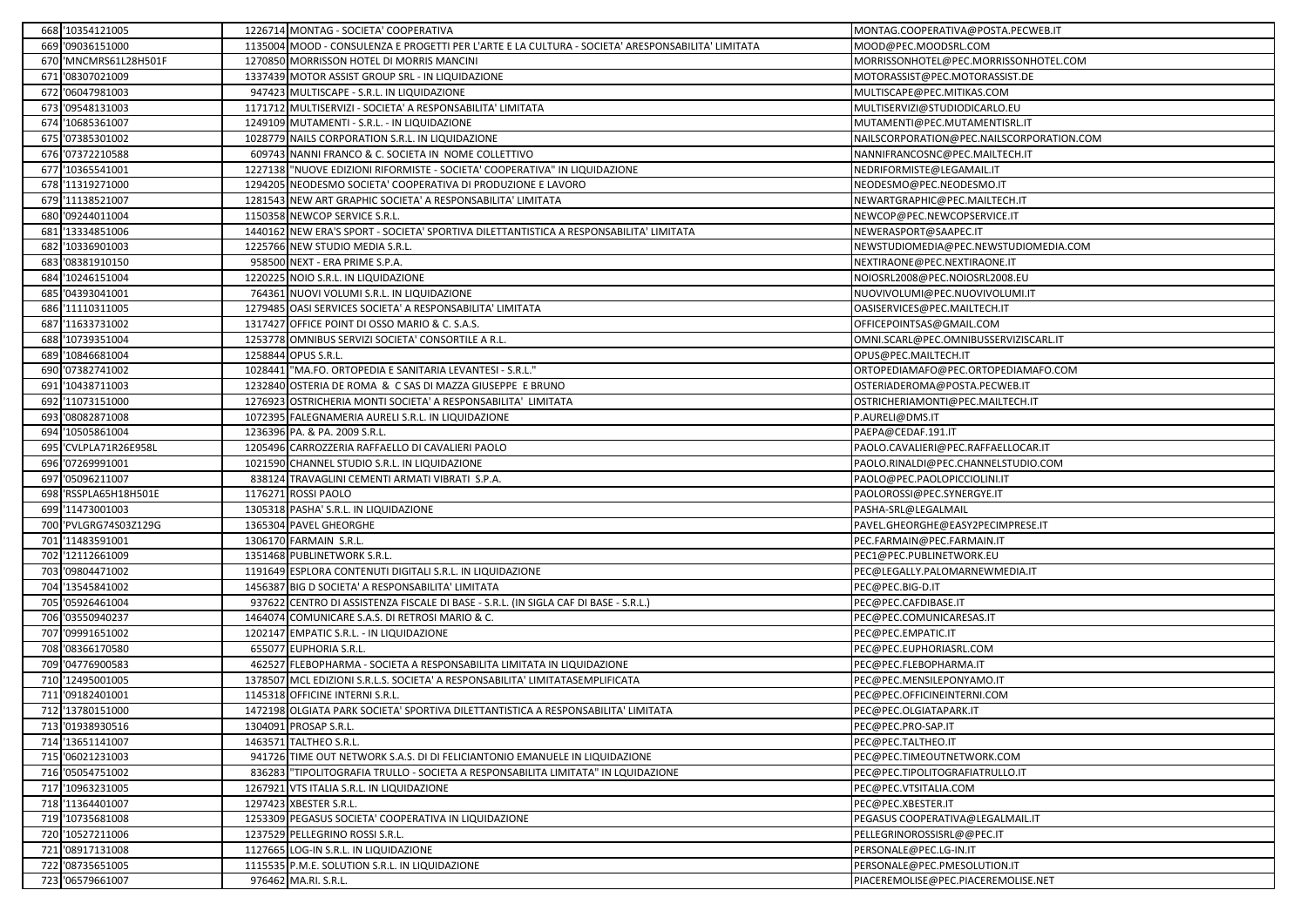|     | 668 '10354121005      |        | 1226714 MONTAG - SOCIETA' COOPERATIVA                                                             | MONTAG.COOPERATIVA@POSTA.PECWEB.IT        |
|-----|-----------------------|--------|---------------------------------------------------------------------------------------------------|-------------------------------------------|
|     | 669 '09036151000      |        | 1135004 MOOD - CONSULENZA E PROGETTI PER L'ARTE E LA CULTURA - SOCIETA' ARESPONSABILITA' LIMITATA | MOOD@PEC.MOODSRL.COM                      |
|     | 670 'MNCMRS61L28H501F |        | 1270850 MORRISSON HOTEL DI MORRIS MANCINI                                                         | MORRISSONHOTEL@PEC.MORRISSONHOTEL.COM     |
|     | 671 '08307021009      |        | 1337439 MOTOR ASSIST GROUP SRL - IN LIQUIDAZIONE                                                  | MOTORASSIST@PEC.MOTORASSIST.DE            |
|     | 672 '06047981003      |        | 947423 MULTISCAPE - S.R.L. IN LIQUIDAZIONE                                                        | MULTISCAPE@PEC.MITIKAS.COM                |
|     | 673 '09548131003      |        | 1171712 MULTISERVIZI - SOCIETA' A RESPONSABILITA' LIMITATA                                        | MULTISERVIZI@STUDIODICARLO.EU             |
|     | 674 '10685361007      |        | 1249109 MUTAMENTI - S.R.L. - IN LIQUIDAZIONE                                                      | MUTAMENTI@PEC.MUTAMENTISRL.IT             |
|     | 675 '07385301002      |        | 1028779 NAILS CORPORATION S.R.L. IN LIQUIDAZIONE                                                  | NAILSCORPORATION@PEC.NAILSCORPORATION.COM |
|     | 676 '07372210588      |        | 609743 NANNI FRANCO & C. SOCIETA IN NOME COLLETTIVO                                               | NANNIFRANCOSNC@PEC.MAILTECH.IT            |
|     | 677 '10365541001      |        | 1227138 "NUOVE EDIZIONI RIFORMISTE - SOCIETA' COOPERATIVA" IN LIQUIDAZIONE                        | NEDRIFORMISTE@LEGAMAIL.IT                 |
|     | 678 '11319271000      |        | 1294205 NEODESMO SOCIETA' COOPERATIVA DI PRODUZIONE E LAVORO                                      | NEODESMO@PEC.NEODESMO.IT                  |
|     | 679 '11138521007      |        | 1281543 NEW ART GRAPHIC SOCIETA' A RESPONSABILITA' LIMITATA                                       | NEWARTGRAPHIC@PEC.MAILTECH.IT             |
| 680 | '09244011004          |        | 1150358 NEWCOP SERVICE S.R.L.                                                                     | NEWCOP@PEC.NEWCOPSERVICE.IT               |
|     | 681 '13334851006      |        | 1440162 NEW ERA'S SPORT - SOCIETA' SPORTIVA DILETTANTISTICA A RESPONSABILITA' LIMITATA            | NEWERASPORT@SAAPEC.IT                     |
|     | 682 '10336901003      |        | 1225766 NEW STUDIO MEDIA S.R.L.                                                                   | NEWSTUDIOMEDIA@PEC.NEWSTUDIOMEDIA.COM     |
| 683 | '08381910150          | 95850  | 0 NEXT - ERA PRIME S.P.A.                                                                         | NEXTIRAONE@PEC.NEXTIRAONE.IT              |
|     | 684 '10246151004      |        | 1220225 NOIO S.R.L. IN LIQUIDAZIONE                                                               | NOIOSRL2008@PEC.NOIOSRL2008.EU            |
|     | 685 '04393041001      |        | 764361 NUOVI VOLUMI S.R.L. IN LIQUIDAZIONE                                                        | NUOVIVOLUMI@PEC.NUOVIVOLUMI.IT            |
|     | 686 '11110311005      |        | 1279485 OASI SERVICES SOCIETA' A RESPONSABILITA' LIMITATA                                         | OASISERVICES@PEC.MAILTECH.IT              |
|     | 687 '11633731002      |        | 1317427 OFFICE POINT DI OSSO MARIO & C. S.A.S.                                                    | OFFICEPOINTSAS@GMAIL.COM                  |
|     | 688 '10739351004      |        | 1253778 OMNIBUS SERVIZI SOCIETA' CONSORTILE A R.L.                                                | OMNI.SCARL@PEC.OMNIBUSSERVIZISCARL.IT     |
| 689 | '10846681004          |        | 1258844 OPUS S.R.L.                                                                               | OPUS@PEC.MAILTECH.IT                      |
|     | 690 '07382741002      |        | 1028441 "MA.FO. ORTOPEDIA E SANITARIA LEVANTESI - S.R.L."                                         | ORTOPEDIAMAFO@PEC.ORTOPEDIAMAFO.COM       |
| 691 | '10438711003          |        | 1232840 OSTERIA DE ROMA & C SAS DI MAZZA GIUSEPPE E BRUNO                                         | OSTERIADEROMA@POSTA.PECWEB.IT             |
| 692 | '11073151000          | 127692 | OSTRICHERIA MONTI SOCIETA' A RESPONSABILITA' LIMITATA                                             | OSTRICHERIAMONTI@PEC.MAILTECH.IT          |
|     | 693 '08082871008      |        | 1072395 FALEGNAMERIA AURELI S.R.L. IN LIQUIDAZIONE                                                | P.AURELI@DMS.IT                           |
|     | 694 '10505861004      |        | 1236396 PA. & PA. 2009 S.R.L.                                                                     | PAEPA@CEDAF.191.IT                        |
|     | 695 'CVLPLA71R26E958L |        | 1205496 CARROZZERIA RAFFAELLO DI CAVALIERI PAOLO                                                  | PAOLO.CAVALIERI@PEC.RAFFAELLOCAR.IT       |
|     | 696 '07269991001      |        | 1021590 CHANNEL STUDIO S.R.L. IN LIQUIDAZIONE                                                     | PAOLO.RINALDI@PEC.CHANNELSTUDIO.COM       |
|     | 697 '05096211007      |        | 838124 TRAVAGLINI CEMENTI ARMATI VIBRATI S.P.A.                                                   | PAOLO@PEC.PAOLOPICCIOLINI.IT              |
|     | 698 'RSSPLA65H18H501E |        | 1176271 ROSSI PAOLO                                                                               | PAOLOROSSI@PEC.SYNERGYE.IT                |
|     | 699 '11473001003      |        | 1305318 PASHA' S.R.L. IN LIQUIDAZIONE                                                             | PASHA-SRL@LEGALMAIL                       |
|     | 700 'PVLGRG74S03Z129G |        | 1365304 PAVEL GHEORGHE                                                                            | PAVEL.GHEORGHE@EASY2PECIMPRESE.IT         |
|     | 701 '11483591001      |        | 1306170 FARMAIN S.R.L.                                                                            | PEC.FARMAIN@PEC.FARMAIN.IT                |
|     | 702 '12112661009      |        | 1351468 PUBLINETWORK S.R.L.                                                                       | PEC1@PEC.PUBLINETWORK.EU                  |
|     | 703 '09804471002      |        | 1191649 ESPLORA CONTENUTI DIGITALI S.R.L. IN LIQUIDAZIONE                                         | PEC@LEGALLY.PALOMARNEWMEDIA.IT            |
|     | 704 '13545841002      |        | 1456387 BIG D SOCIETA' A RESPONSABILITA' LIMITATA                                                 | PEC@PEC.BIG-D.IT                          |
|     | 705 '05926461004      |        | 937622 CENTRO DI ASSISTENZA FISCALE DI BASE - S.R.L. (IN SIGLA CAF DI BASE - S.R.L.)              | PEC@PEC.CAFDIBASE.IT                      |
|     | 706 '03550940237      |        | 1464074 COMUNICARE S.A.S. DI RETROSI MARIO & C.                                                   | PEC@PEC.COMUNICARESAS.IT                  |
|     | 707 '09991651002      |        | 1202147 EMPATIC S.R.L. - IN LIQUIDAZIONE                                                          | PEC@PEC.EMPATIC.IT                        |
|     | 708 '08366170580      |        | 655077 EUPHORIA S.R.L.                                                                            | PEC@PEC.EUPHORIASRL.COM                   |
|     | 709 '04776900583      |        | 462527 FLEBOPHARMA - SOCIETA A RESPONSABILITA LIMITATA IN LIQUIDAZIONE                            | PEC@PEC.FLEBOPHARMA.IT                    |
|     | 710 '12495001005      | 137850 | MCL EDIZIONI S.R.L.S. SOCIETA' A RESPONSABILITA' LIMITATASEMPLIFICATA                             | PEC@PEC.MENSILEPONYAMO.IT                 |
|     | 711 '09182401001      |        | 1145318 OFFICINE INTERNI S.R.L.                                                                   | PEC@PEC.OFFICINEINTERNI.COM               |
|     | 712 '13780151000      |        | 1472198 OLGIATA PARK SOCIETA' SPORTIVA DILETTANTISTICA A RESPONSABILITA' LIMITATA                 | PEC@PEC.OLGIATAPARK.IT                    |
|     | 713 '01938930516      |        | 1304091 PROSAP S.R.L.                                                                             | PEC@PEC.PRO-SAP.IT                        |
|     | 714 '13651141007      |        | 1463571 TALTHEO S.R.L.                                                                            | PEC@PEC.TALTHEO.IT                        |
|     | 715 '06021231003      |        | 941726 TIME OUT NETWORK S.A.S. DI DI FELICIANTONIO EMANUELE IN LIQUIDAZIONE                       | PEC@PEC.TIMEOUTNETWORK.COM                |
|     | 716 '05054751002      | 83628  | "TIPOLITOGRAFIA TRULLO - SOCIETA A RESPONSABILITA LIMITATA" IN LQUIDAZIONE                        | PEC@PEC.TIPOLITOGRAFIATRULLO.IT           |
|     | 717 '10963231005      |        | 1267921 VTS ITALIA S.R.L. IN LIQUIDAZIONE                                                         | PEC@PEC.VTSITALIA.COM                     |
|     | 718 '11364401007      |        | 1297423 XBESTER S.R.L.                                                                            | PEC@PEC.XBESTER.IT                        |
|     | 719 '10735681008      | 125330 | PEGASUS SOCIETA' COOPERATIVA IN LIQUIDAZIONE                                                      | PEGASUS COOPERATIVA@LEGALMAIL.IT          |
|     | 720 '10527211006      |        | 1237529 PELLEGRINO ROSSI S.R.L.                                                                   | PELLEGRINOROSSISRL@@PEC.IT                |
|     | 721 '08917131008      |        | 1127665 LOG-IN S.R.L. IN LIQUIDAZIONE                                                             | PERSONALE@PEC.LG-IN.IT                    |
|     | 722 '08735651005      |        | 1115535 P.M.E. SOLUTION S.R.L. IN LIQUIDAZIONE                                                    | PERSONALE@PEC.PMESOLUTION.IT              |
|     | 723 '06579661007      |        | 976462 MA.RI. S.R.L.                                                                              | PIACEREMOLISE@PEC.PIACEREMOLISE.NET       |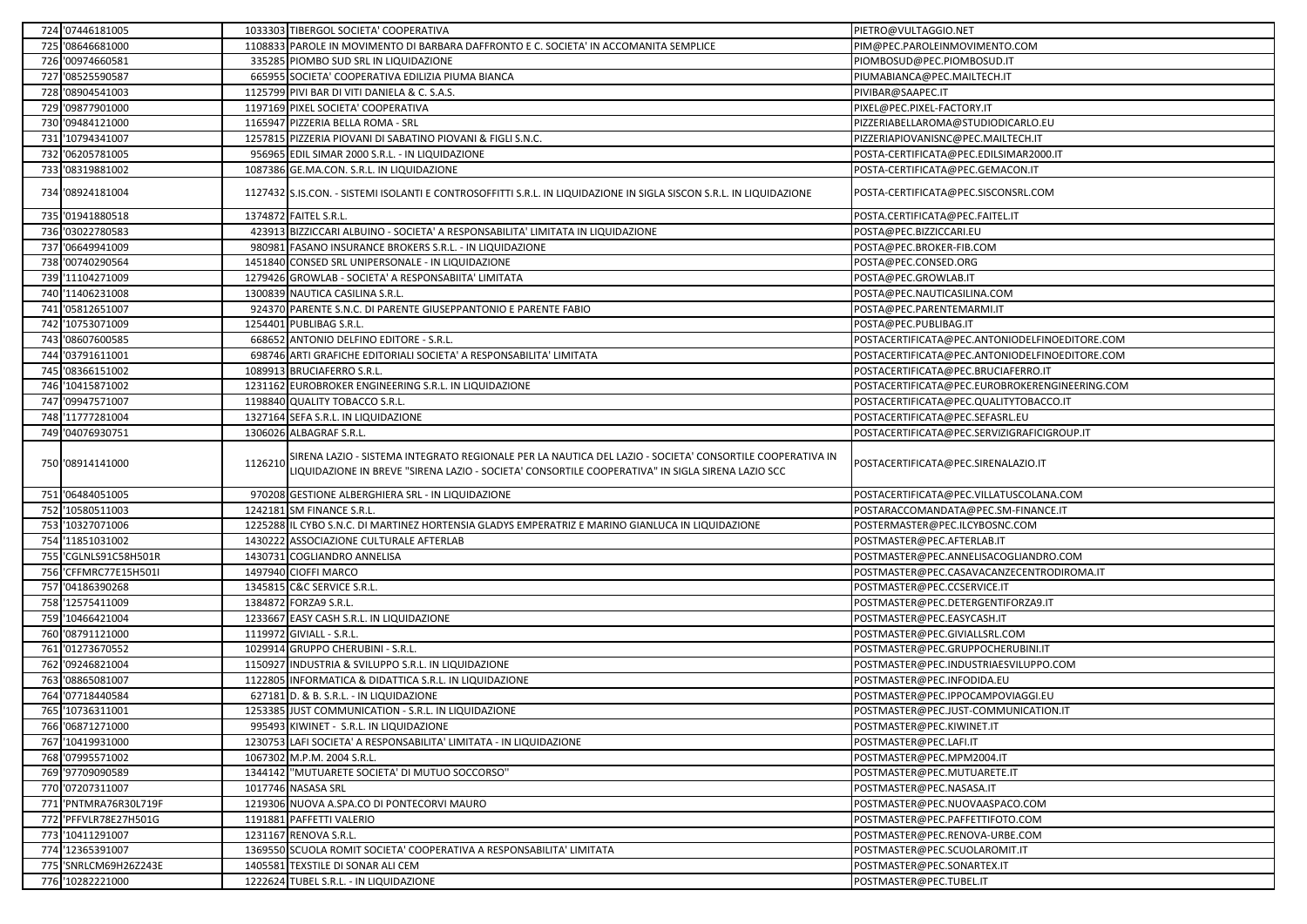| 724 '07446181005      |         | 1033303 TIBERGOL SOCIETA' COOPERATIVA                                                                                                                                                                        | PIETRO@VULTAGGIO.NET                           |
|-----------------------|---------|--------------------------------------------------------------------------------------------------------------------------------------------------------------------------------------------------------------|------------------------------------------------|
| 725 '08646681000      |         | 1108833 PAROLE IN MOVIMENTO DI BARBARA DAFFRONTO E C. SOCIETA' IN ACCOMANITA SEMPLICE                                                                                                                        | PIM@PEC.PAROLEINMOVIMENTO.COM                  |
| 726 '00974660581      |         | 335285 PIOMBO SUD SRL IN LIQUIDAZIONE                                                                                                                                                                        | PIOMBOSUD@PEC.PIOMBOSUD.IT                     |
| 727 '08525590587      |         | 665955 SOCIETA' COOPERATIVA EDILIZIA PIUMA BIANCA                                                                                                                                                            | PIUMABIANCA@PEC.MAILTECH.IT                    |
| 728 '08904541003      |         | 1125799 PIVI BAR DI VITI DANIELA & C. S.A.S.                                                                                                                                                                 | PIVIBAR@SAAPEC.IT                              |
| 729 '09877901000      |         | 1197169 PIXEL SOCIETA' COOPERATIVA                                                                                                                                                                           | PIXEL@PEC.PIXEL-FACTORY.IT                     |
| 730 '09484121000      |         | 1165947 PIZZERIA BELLA ROMA - SRL                                                                                                                                                                            | PIZZERIABELLAROMA@STUDIODICARLO.EU             |
| 731 '10794341007      |         | 1257815 PIZZERIA PIOVANI DI SABATINO PIOVANI & FIGLI S.N.C.                                                                                                                                                  | PIZZERIAPIOVANISNC@PEC.MAILTECH.IT             |
| 732 '06205781005      |         | 956965 EDIL SIMAR 2000 S.R.L. - IN LIQUIDAZIONE                                                                                                                                                              | POSTA-CERTIFICATA@PEC.EDILSIMAR2000.IT         |
| 733 '08319881002      |         | 1087386 GE.MA.CON. S.R.L. IN LIQUIDAZIONE                                                                                                                                                                    | POSTA-CERTIFICATA@PEC.GEMACON.IT               |
| 734 '08924181004      |         | 1127432 S.IS.CON. - SISTEMI ISOLANTI E CONTROSOFFITTI S.R.L. IN LIQUIDAZIONE IN SIGLA SISCON S.R.L. IN LIQUIDAZIONE                                                                                          | POSTA-CERTIFICATA@PEC.SISCONSRL.COM            |
| 735 '01941880518      |         | 1374872 FAITEL S.R.L.                                                                                                                                                                                        | POSTA.CERTIFICATA@PEC.FAITEL.IT                |
| 736 '03022780583      | 42391   | BIZZICCARI ALBUINO - SOCIETA' A RESPONSABILITA' LIMITATA IN LIQUIDAZIONE                                                                                                                                     | POSTA@PEC.BIZZICCARI.EU                        |
| 737 '06649941009      |         | 980981 FASANO INSURANCE BROKERS S.R.L. - IN LIQUIDAZIONE                                                                                                                                                     | POSTA@PEC.BROKER-FIB.COM                       |
| 738 '00740290564      |         | 1451840 CONSED SRL UNIPERSONALE - IN LIQUIDAZIONE                                                                                                                                                            | POSTA@PEC.CONSED.ORG                           |
| 739 '11104271009      |         | 1279426 GROWLAB - SOCIETA' A RESPONSABIITA' LIMITATA                                                                                                                                                         | POSTA@PEC.GROWLAB.IT                           |
| 740 '11406231008      |         | 1300839 NAUTICA CASILINA S.R.L.                                                                                                                                                                              | POSTA@PEC.NAUTICASILINA.COM                    |
| 741 '05812651007      |         | 924370 PARENTE S.N.C. DI PARENTE GIUSEPPANTONIO E PARENTE FABIO                                                                                                                                              | POSTA@PEC.PARENTEMARMI.IT                      |
| 742 '10753071009      |         | 1254401 PUBLIBAG S.R.L.                                                                                                                                                                                      | POSTA@PEC.PUBLIBAG.IT                          |
| 743 '08607600585      |         | 668652 ANTONIO DELFINO EDITORE - S.R.L.                                                                                                                                                                      | POSTACERTIFICATA@PEC.ANTONIODELFINOEDITORE.COM |
| 744 '03791611001      |         | 698746 ARTI GRAFICHE EDITORIALI SOCIETA' A RESPONSABILITA' LIMITATA                                                                                                                                          | POSTACERTIFICATA@PEC.ANTONIODELFINOEDITORE.COM |
| 745 '08366151002      |         | 1089913 BRUCIAFERRO S.R.L.                                                                                                                                                                                   | POSTACERTIFICATA@PEC.BRUCIAFERRO.IT            |
| 746 '10415871002      |         | 1231162 EUROBROKER ENGINEERING S.R.L. IN LIQUIDAZIONE                                                                                                                                                        | POSTACERTIFICATA@PEC.EUROBROKERENGINEERING.COM |
| 747 '09947571007      |         | 1198840 QUALITY TOBACCO S.R.L.                                                                                                                                                                               | POSTACERTIFICATA@PEC.QUALITYTOBACCO.IT         |
|                       |         |                                                                                                                                                                                                              |                                                |
| 748 '11777281004      |         | 1327164 SEFA S.R.L. IN LIQUIDAZIONE                                                                                                                                                                          | POSTACERTIFICATA@PEC.SEFASRL.EU                |
| 749 '04076930751      |         | 1306026 ALBAGRAF S.R.L.                                                                                                                                                                                      | POSTACERTIFICATA@PEC.SERVIZIGRAFICIGROUP.IT    |
| 750 '08914141000      | 1126210 | SIRENA LAZIO - SISTEMA INTEGRATO REGIONALE PER LA NAUTICA DEL LAZIO - SOCIETA' CONSORTILE COOPERATIVA IN<br>LIQUIDAZIONE IN BREVE "SIRENA LAZIO - SOCIETA' CONSORTILE COOPERATIVA" IN SIGLA SIRENA LAZIO SCC | POSTACERTIFICATA@PEC.SIRENALAZIO.IT            |
| 751 '06484051005      |         | 970208 GESTIONE ALBERGHIERA SRL - IN LIQUIDAZIONE                                                                                                                                                            | POSTACERTIFICATA@PEC.VILLATUSCOLANA.COM        |
| 752 '10580511003      |         | 1242181 SM FINANCE S.R.L.                                                                                                                                                                                    | POSTARACCOMANDATA@PEC.SM-FINANCE.IT            |
| 753 '10327071006      |         | 1225288 IL CYBO S.N.C. DI MARTINEZ HORTENSIA GLADYS EMPERATRIZ E MARINO GIANLUCA IN LIQUIDAZIONE                                                                                                             | POSTERMASTER@PEC.ILCYBOSNC.COM                 |
| 754 '11851031002      | 143022  | 2 ASSOCIAZIONE CULTURALE AFTERLAB                                                                                                                                                                            | POSTMASTER@PEC.AFTERLAB.IT                     |
| 755 CGLNLS91C58H501R  |         | 1430731 COGLIANDRO ANNELISA                                                                                                                                                                                  | POSTMASTER@PEC.ANNELISACOGLIANDRO.COM          |
| 756 'CFFMRC77E15H501I |         | 1497940 CIOFFI MARCO                                                                                                                                                                                         | POSTMASTER@PEC.CASAVACANZECENTRODIROMA.IT      |
| 757 '04186390268      |         | 1345815 C&C SERVICE S.R.L.                                                                                                                                                                                   | POSTMASTER@PEC.CCSERVICE.IT                    |
| 758 '12575411009      |         | 1384872 FORZA9 S.R.L.                                                                                                                                                                                        | POSTMASTER@PEC.DETERGENTIFORZA9.IT             |
| 759 '10466421004      |         | 1233667 EASY CASH S.R.L. IN LIQUIDAZIONE                                                                                                                                                                     | POSTMASTER@PEC.EASYCASH.IT                     |
| 760 '08791121000      |         | 1119972 GIVIALL - S.R.L.                                                                                                                                                                                     | POSTMASTER@PEC.GIVIALLSRL.COM                  |
| 761 '01273670552      |         | 1029914 GRUPPO CHERUBINI - S.R.L.                                                                                                                                                                            | POSTMASTER@PEC.GRUPPOCHERUBINI.IT              |
| 762 '09246821004      |         | 1150927 INDUSTRIA & SVILUPPO S.R.L. IN LIQUIDAZIONE                                                                                                                                                          | POSTMASTER@PEC.INDUSTRIAESVILUPPO.COM          |
| 763 '08865081007      |         | 1122805 INFORMATICA & DIDATTICA S.R.L. IN LIQUIDAZIONE                                                                                                                                                       | POSTMASTER@PEC.INFODIDA.EU                     |
| 764 '07718440584      |         | 627181 D. & B. S.R.L. - IN LIQUIDAZIONE                                                                                                                                                                      | POSTMASTER@PEC.IPPOCAMPOVIAGGI.EU              |
| 765 '10736311001      |         | 1253385 JUST COMMUNICATION - S.R.L. IN LIQUIDAZIONE                                                                                                                                                          | POSTMASTER@PEC.JUST-COMMUNICATION.IT           |
| 766 '06871271000      |         | 995493 KIWINET - S.R.L. IN LIQUIDAZIONE                                                                                                                                                                      | POSTMASTER@PEC.KIWINET.IT                      |
| 767 '10419931000      |         | 1230753 LAFI SOCIETA' A RESPONSABILITA' LIMITATA - IN LIQUIDAZIONE                                                                                                                                           | POSTMASTER@PEC.LAFI.IT                         |
| 768 '07995571002      |         | 1067302 M.P.M. 2004 S.R.L.                                                                                                                                                                                   | POSTMASTER@PEC.MPM2004.IT                      |
| 769 '97709090589      |         | 1344142 "MUTUARETE SOCIETA' DI MUTUO SOCCORSO"                                                                                                                                                               | POSTMASTER@PEC.MUTUARETE.IT                    |
| 770 '07207311007      |         | 1017746 NASASA SRL                                                                                                                                                                                           | POSTMASTER@PEC.NASASA.IT                       |
| 771 'PNTMRA76R30L719F |         | 1219306 NUOVA A.SPA.CO DI PONTECORVI MAURO                                                                                                                                                                   | POSTMASTER@PEC.NUOVAASPACO.COM                 |
| 772 'PFFVLR78E27H501G |         | 1191881 PAFFETTI VALERIO                                                                                                                                                                                     | POSTMASTER@PEC.PAFFETTIFOTO.COM                |
| 773 '10411291007      |         | 1231167 RENOVA S.R.L.                                                                                                                                                                                        | POSTMASTER@PEC.RENOVA-URBE.COM                 |
| 774 '12365391007      |         | 1369550 SCUOLA ROMIT SOCIETA' COOPERATIVA A RESPONSABILITA' LIMITATA                                                                                                                                         | POSTMASTER@PEC.SCUOLAROMIT.IT                  |
| 775 'SNRLCM69H26Z243E |         | 1405581 TEXSTILE DI SONAR ALI CEM                                                                                                                                                                            | POSTMASTER@PEC.SONARTEX.IT                     |
| 776 '10282221000      |         | 1222624 TUBEL S.R.L. - IN LIQUIDAZIONE                                                                                                                                                                       | POSTMASTER@PEC.TUBEL.IT                        |
|                       |         |                                                                                                                                                                                                              |                                                |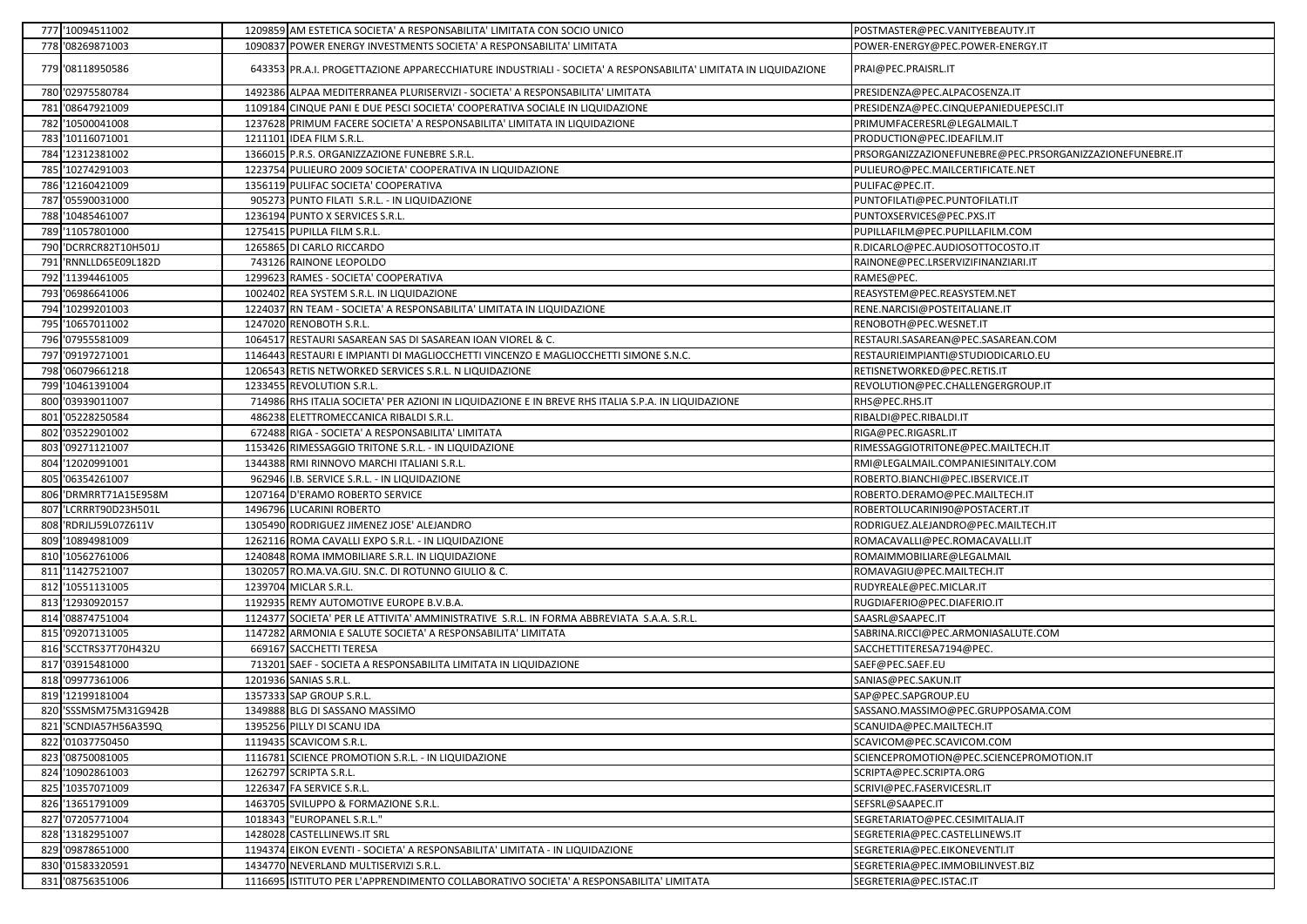|     | 777 '10094511002      | 1209859 AM ESTETICA SOCIETA' A RESPONSABILITA' LIMITATA CON SOCIO UNICO                                        | POSTMASTER@PEC.VANITYEBEAUTY.IT                          |
|-----|-----------------------|----------------------------------------------------------------------------------------------------------------|----------------------------------------------------------|
|     | 778 '08269871003      | 1090837 POWER ENERGY INVESTMENTS SOCIETA' A RESPONSABILITA' LIMITATA                                           | POWER-ENERGY@PEC.POWER-ENERGY.IT                         |
|     | 779 '08118950586      | 643353 PR.A.I. PROGETTAZIONE APPARECCHIATURE INDUSTRIALI - SOCIETA' A RESPONSABILITA' LIMITATA IN LIQUIDAZIONE | PRAI@PEC.PRAISRL.IT                                      |
|     | 780 '02975580784      | 1492386 ALPAA MEDITERRANEA PLURISERVIZI - SOCIETA' A RESPONSABILITA' LIMITATA                                  | PRESIDENZA@PEC.ALPACOSENZA.IT                            |
| 781 | '08647921009          | 1109184 CINQUE PANI E DUE PESCI SOCIETA' COOPERATIVA SOCIALE IN LIQUIDAZIONE                                   | PRESIDENZA@PEC.CINQUEPANIEDUEPESCI.IT                    |
|     | 782 '10500041008      | 1237628 PRIMUM FACERE SOCIETA' A RESPONSABILITA' LIMITATA IN LIQUIDAZIONE                                      | PRIMUMFACERESRL@LEGALMAIL.T                              |
| 783 | '10116071001          | 1211101 IDEA FILM S.R.L.                                                                                       | PRODUCTION@PEC.IDEAFILM.IT                               |
|     | 784 '12312381002      | 1366015 P.R.S. ORGANIZZAZIONE FUNEBRE S.R.L.                                                                   | PRSORGANIZZAZIONEFUNEBRE@PEC.PRSORGANIZZAZIONEFUNEBRE.IT |
|     | 785 '10274291003      | 1223754 PULIEURO 2009 SOCIETA' COOPERATIVA IN LIQUIDAZIONE                                                     | PULIEURO@PEC.MAILCERTIFICATE.NET                         |
|     | 786 '12160421009      | 1356119 PULIFAC SOCIETA' COOPERATIVA                                                                           | PULIFAC@PEC.IT.                                          |
|     | 787 '05590031000      | 905273 PUNTO FILATI S.R.L. - IN LIQUIDAZIONE                                                                   | PUNTOFILATI@PEC.PUNTOFILATI.IT                           |
|     | 788 '10485461007      | 1236194 PUNTO X SERVICES S.R.L.                                                                                | PUNTOXSERVICES@PEC.PXS.IT                                |
|     | 789 '11057801000      | 1275415 PUPILLA FILM S.R.L.                                                                                    | PUPILLAFILM@PEC.PUPILLAFILM.COM                          |
|     | 790 'DCRRCR82T10H501J | 1265865 DI CARLO RICCARDO                                                                                      | R.DICARLO@PEC.AUDIOSOTTOCOSTO.IT                         |
| 791 | 'RNNLLD65E09L182D     | 743126 RAINONE LEOPOLDO                                                                                        | RAINONE@PEC.LRSERVIZIFINANZIARI.IT                       |
|     | 792 '11394461005      | 1299623 RAMES - SOCIETA' COOPERATIVA                                                                           | RAMES@PEC.                                               |
|     | 793 '06986641006      | 1002402 REA SYSTEM S.R.L. IN LIQUIDAZIONE                                                                      | REASYSTEM@PEC.REASYSTEM.NET                              |
| 794 | '10299201003          | 1224037 RN TEAM - SOCIETA' A RESPONSABILITA' LIMITATA IN LIQUIDAZIONE                                          | RENE.NARCISI@POSTEITALIANE.IT                            |
|     | 795 '10657011002      | 1247020 RENOBOTH S.R.L.                                                                                        | RENOBOTH@PEC.WESNET.IT                                   |
|     | 796 '07955581009      | 1064517 RESTAURI SASAREAN SAS DI SASAREAN IOAN VIOREL & C.                                                     | RESTAURI.SASAREAN@PEC.SASAREAN.COM                       |
| 797 | '09197271001          | 1146443 RESTAURI E IMPIANTI DI MAGLIOCCHETTI VINCENZO E MAGLIOCCHETTI SIMONE S.N.C.                            | RESTAURIEIMPIANTI@STUDIODICARLO.EU                       |
|     | 798 '06079661218      | 1206543 RETIS NETWORKED SERVICES S.R.L. N LIQUIDAZIONE                                                         | RETISNETWORKED@PEC.RETIS.IT                              |
|     | 799 '10461391004      | 1233455 REVOLUTION S.R.L.                                                                                      | REVOLUTION@PEC.CHALLENGERGROUP.IT                        |
| 800 | '03939011007          | 714986 RHS ITALIA SOCIETA' PER AZIONI IN LIQUIDAZIONE E IN BREVE RHS ITALIA S.P.A. IN LIQUIDAZIONE             | RHS@PEC.RHS.IT                                           |
| 801 | '05228250584          | 486238 ELETTROMECCANICA RIBALDI S.R.L.                                                                         | RIBALDI@PEC.RIBALDI.IT                                   |
|     | 802 '03522901002      | 672488 RIGA - SOCIETA' A RESPONSABILITA' LIMITATA                                                              | RIGA@PEC.RIGASRL.IT                                      |
|     | 803 '09271121007      | 1153426 RIMESSAGGIO TRITONE S.R.L. - IN LIQUIDAZIONE                                                           | RIMESSAGGIOTRITONE@PEC.MAILTECH.IT                       |
|     | 804 '12020991001      | 1344388 RMI RINNOVO MARCHI ITALIANI S.R.L.                                                                     | RMI@LEGALMAIL.COMPANIESINITALY.COM                       |
|     | 805 '06354261007      | 962946 I.B. SERVICE S.R.L. - IN LIQUIDAZIONE                                                                   | ROBERTO.BIANCHI@PEC.IBSERVICE.IT                         |
|     | 806 DRMRRT71A15E958M  | 1207164 D'ERAMO ROBERTO SERVICE                                                                                | ROBERTO.DERAMO@PEC.MAILTECH.IT                           |
| 807 | 'LCRRRT90D23H501L     | 1496796 LUCARINI ROBERTO                                                                                       | ROBERTOLUCARINI90@POSTACERT.IT                           |
|     | 808 RDRJLJ59L07Z611V  | 1305490 RODRIGUEZ JIMENEZ JOSE' ALEJANDRO                                                                      | RODRIGUEZ.ALEJANDRO@PEC.MAILTECH.IT                      |
| 809 | '10894981009          | 1262116 ROMA CAVALLI EXPO S.R.L. - IN LIQUIDAZIONE                                                             | ROMACAVALLI@PEC.ROMACAVALLI.IT                           |
|     | 810 '10562761006      | 1240848 ROMA IMMOBILIARE S.R.L. IN LIQUIDAZIONE                                                                | ROMAIMMOBILIARE@LEGALMAIL                                |
|     | 811 '11427521007      | 1302057 RO.MA.VA.GIU. SN.C. DI ROTUNNO GIULIO & C.                                                             | ROMAVAGIU@PEC.MAILTECH.IT                                |
|     | 812 '10551131005      | 1239704 MICLAR S.R.L.                                                                                          | RUDYREALE@PEC.MICLAR.IT                                  |
|     | 813 '12930920157      | 1192935 REMY AUTOMOTIVE EUROPE B.V.B.A.                                                                        | RUGDIAFERIO@PEC.DIAFERIO.IT                              |
|     | 814 '08874751004      | 1124377 SOCIETA' PER LE ATTIVITA' AMMINISTRATIVE S.R.L. IN FORMA ABBREVIATA S.A.A. S.R.L.                      | SAASRL@SAAPEC.IT                                         |
|     | 815 '09207131005      | 1147282 ARMONIA E SALUTE SOCIETA' A RESPONSABILITA' LIMITATA                                                   | SABRINA.RICCI@PEC.ARMONIASALUTE.COM                      |
|     | 816 'SCCTRS37T70H432U | 669167 SACCHETTI TERESA                                                                                        | SACCHETTITERESA7194@PEC.                                 |
|     | 817 '03915481000      | 713201 SAEF - SOCIETA A RESPONSABILITA LIMITATA IN LIQUIDAZIONE                                                | SAEF@PEC.SAEF.EU                                         |
|     | 818 '09977361006      | 1201936 SANIAS S.R.L.                                                                                          | SANIAS@PEC.SAKUN.IT                                      |
|     | 819 '12199181004      | 1357333 SAP GROUP S.R.L.                                                                                       | SAP@PEC.SAPGROUP.EU                                      |
|     | 820 'SSSMSM75M31G942B | 1349888 BLG DI SASSANO MASSIMO                                                                                 | SASSANO.MASSIMO@PEC.GRUPPOSAMA.COM                       |
|     | 821 'SCNDIA57H56A359Q | 1395256 PILLY DI SCANU IDA                                                                                     | SCANUIDA@PEC.MAILTECH.IT                                 |
|     | 822 '01037750450      | 1119435 SCAVICOM S.R.L.                                                                                        | SCAVICOM@PEC.SCAVICOM.COM                                |
|     | 823 '08750081005      | 1116781 SCIENCE PROMOTION S.R.L. - IN LIQUIDAZIONE                                                             | SCIENCEPROMOTION@PEC.SCIENCEPROMOTION.IT                 |
|     | 824 '10902861003      | 1262797 SCRIPTA S.R.L.                                                                                         | SCRIPTA@PEC.SCRIPTA.ORG                                  |
|     | 825 '10357071009      | 1226347 FA SERVICE S.R.L.                                                                                      | SCRIVI@PEC.FASERVICESRL.IT                               |
|     | 826 '13651791009      | 1463705 SVILUPPO & FORMAZIONE S.R.L.                                                                           | SEFSRL@SAAPEC.IT                                         |
|     | 827 '07205771004      | 1018343 "EUROPANEL S.R.L."                                                                                     | SEGRETARIATO@PEC.CESIMITALIA.IT                          |
|     | 828 '13182951007      | 1428028 CASTELLINEWS.IT SRL                                                                                    | SEGRETERIA@PEC.CASTELLINEWS.IT                           |
|     | 829 '09878651000      | 1194374 EIKON EVENTI - SOCIETA' A RESPONSABILITA' LIMITATA - IN LIQUIDAZIONE                                   | SEGRETERIA@PEC.EIKONEVENTI.IT                            |
|     | 830 '01583320591      | 1434770 NEVERLAND MULTISERVIZI S.R.L.                                                                          | SEGRETERIA@PEC.IMMOBILINVEST.BIZ                         |
|     | 831 '08756351006      | 1116695 ISTITUTO PER L'APPRENDIMENTO COLLABORATIVO SOCIETA' A RESPONSABILITA' LIMITATA                         | SEGRETERIA@PEC.ISTAC.IT                                  |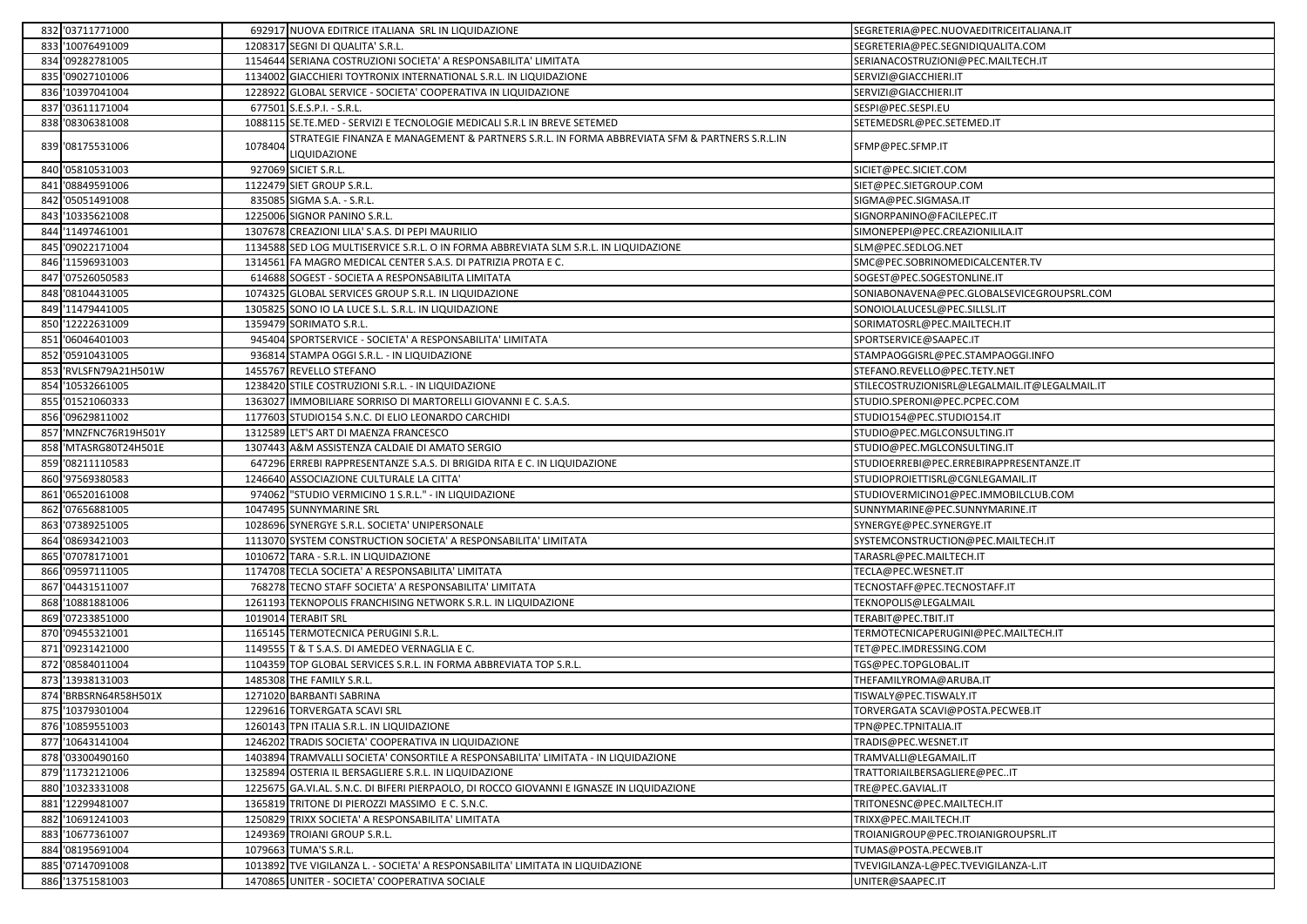|     | 832 '03711771000      |         | 692917 NUOVA EDITRICE ITALIANA SRL IN LIQUIDAZIONE                                                           | SEGRETERIA@PEC.NUOVAEDITRICEITALIANA.IT       |
|-----|-----------------------|---------|--------------------------------------------------------------------------------------------------------------|-----------------------------------------------|
|     | 833 '10076491009      |         | 1208317 SEGNI DI QUALITA' S.R.L.                                                                             | SEGRETERIA@PEC.SEGNIDIQUALITA.COM             |
|     | 834 '09282781005      |         | 1154644 SERIANA COSTRUZIONI SOCIETA' A RESPONSABILITA' LIMITATA                                              | SERIANACOSTRUZIONI@PEC.MAILTECH.IT            |
|     | 835 '09027101006      |         | 1134002 GIACCHIERI TOYTRONIX INTERNATIONAL S.R.L. IN LIQUIDAZIONE                                            | SERVIZI@GIACCHIERI.IT                         |
|     | 836 '10397041004      | 122892  | 2 GLOBAL SERVICE - SOCIETA' COOPERATIVA IN LIQUIDAZIONE                                                      | SERVIZI@GIACCHIERI.IT                         |
|     | 837 '03611171004      |         | 677501 S.E.S.P.I. - S.R.L.                                                                                   | SESPI@PEC.SESPI.EU                            |
|     | 838 '08306381008      |         | 1088115 SE.TE.MED - SERVIZI E TECNOLOGIE MEDICALI S.R.L IN BREVE SETEMED                                     | SETEMEDSRL@PEC.SETEMED.IT                     |
|     | 839 '08175531006      | 1078404 | STRATEGIE FINANZA E MANAGEMENT & PARTNERS S.R.L. IN FORMA ABBREVIATA SFM & PARTNERS S.R.L.IN<br>LIQUIDAZIONE | SFMP@PEC.SFMP.IT                              |
|     | 840 '05810531003      |         | 927069 SICIET S.R.L.                                                                                         | SICIET@PEC.SICIET.COM                         |
| 841 | '08849591006          |         | 1122479 SIET GROUP S.R.L.                                                                                    | SIET@PEC.SIETGROUP.COM                        |
|     | 842 '05051491008      |         | 835085 SIGMA S.A. - S.R.L                                                                                    | SIGMA@PEC.SIGMASA.IT                          |
|     | 843 '10335621008      |         | 1225006 SIGNOR PANINO S.R.L.                                                                                 | SIGNORPANINO@FACILEPEC.IT                     |
| 844 | '11497461001          |         | 1307678 CREAZIONI LILA' S.A.S. DI PEPI MAURILIO                                                              | SIMONEPEPI@PEC.CREAZIONILILA.IT               |
|     | 845 '09022171004      |         | 1134588 SED LOG MULTISERVICE S.R.L. O IN FORMA ABBREVIATA SLM S.R.L. IN LIQUIDAZIONE                         | SLM@PEC.SEDLOG.NET                            |
|     | 846 '11596931003      |         | 1314561 FA MAGRO MEDICAL CENTER S.A.S. DI PATRIZIA PROTA E C.                                                | SMC@PEC.SOBRINOMEDICALCENTER.TV               |
| 847 | '07526050583          |         | 614688 SOGEST - SOCIETA A RESPONSABILITA LIMITATA                                                            | SOGEST@PEC.SOGESTONLINE.IT                    |
|     | 848 '08104431005      |         | 1074325 GLOBAL SERVICES GROUP S.R.L. IN LIQUIDAZIONE                                                         | SONIABONAVENA@PEC.GLOBALSEVICEGROUPSRL.COM    |
|     | 849 '11479441005      |         | 1305825 SONO IO LA LUCE S.L. S.R.L. IN LIQUIDAZIONE                                                          | SONOIOLALUCESL@PEC.SILLSL.IT                  |
| 850 | '12222631009          |         | 1359479 SORIMATO S.R.L.                                                                                      | SORIMATOSRL@PEC.MAILTECH.IT                   |
|     | 851 '06046401003      |         | 945404 SPORTSERVICE - SOCIETA' A RESPONSABILITA' LIMITATA                                                    | SPORTSERVICE@SAAPEC.IT                        |
|     | 852 '05910431005      |         | 936814 STAMPA OGGI S.R.L. - IN LIQUIDAZIONE                                                                  | STAMPAOGGISRL@PEC.STAMPAOGGI.INFO             |
| 853 | 'RVLSFN79A21H501W     |         | 1455767 REVELLO STEFANO                                                                                      | STEFANO.REVELLO@PEC.TETY.NET                  |
| 854 | '10532661005          |         | 1238420 STILE COSTRUZIONI S.R.L. - IN LIQUIDAZIONE                                                           | STILECOSTRUZIONISRL@LEGALMAIL.IT@LEGALMAIL.IT |
|     | 855 '01521060333      |         | 1363027 IMMOBILIARE SORRISO DI MARTORELLI GIOVANNI E C. S.A.S.                                               | STUDIO.SPERONI@PEC.PCPEC.COM                  |
|     | 856 '09629811002      | 117760  | STUDIO154 S.N.C. DI ELIO LEONARDO CARCHIDI                                                                   | STUDIO154@PEC.STUDIO154.IT                    |
|     | 857 'MNZFNC76R19H501Y |         | 1312589 LET'S ART DI MAENZA FRANCESCO                                                                        | STUDIO@PEC.MGLCONSULTING.IT                   |
|     | 858 MTASRG80T24H501E  |         | 1307443 A&M ASSISTENZA CALDAIE DI AMATO SERGIO                                                               | STUDIO@PEC.MGLCONSULTING.IT                   |
|     | 859 '08211110583      |         | 647296 ERREBI RAPPRESENTANZE S.A.S. DI BRIGIDA RITA E C. IN LIQUIDAZIONE                                     | STUDIOERREBI@PEC.ERREBIRAPPRESENTANZE.IT      |
|     | 860 '97569380583      |         | 1246640 ASSOCIAZIONE CULTURALE LA CITTA'                                                                     | STUDIOPROIETTISRL@CGNLEGAMAIL.IT              |
| 861 | '06520161008          |         | 974062 "STUDIO VERMICINO 1 S.R.L." - IN LIQUIDAZIONE                                                         | STUDIOVERMICINO1@PEC.IMMOBILCLUB.COM          |
| 862 | '07656881005          |         | 1047495 SUNNYMARINE SRL                                                                                      | SUNNYMARINE@PEC.SUNNYMARINE.IT                |
|     | 863 '07389251005      |         | 1028696 SYNERGYE S.R.L. SOCIETA' UNIPERSONALE                                                                | SYNERGYE@PEC.SYNERGYE.IT                      |
|     | 864 '08693421003      |         | 1113070 SYSTEM CONSTRUCTION SOCIETA' A RESPONSABILITA' LIMITATA                                              | SYSTEMCONSTRUCTION@PEC.MAILTECH.IT            |
|     | 865 '07078171001      |         | 1010672 TARA - S.R.L. IN LIQUIDAZIONE                                                                        | TARASRL@PEC.MAILTECH.IT                       |
|     | 866 '09597111005      |         | 1174708 TECLA SOCIETA' A RESPONSABILITA' LIMITATA                                                            | TECLA@PEC.WESNET.IT                           |
| 867 | '04431511007          |         | 768278 TECNO STAFF SOCIETA' A RESPONSABILITA' LIMITATA                                                       | TECNOSTAFF@PEC.TECNOSTAFF.IT                  |
|     | 868 '10881881006      |         | 1261193 TEKNOPOLIS FRANCHISING NETWORK S.R.L. IN LIQUIDAZIONE                                                | TEKNOPOLIS@LEGALMAIL                          |
|     | 869 '07233851000      |         | 1019014 TERABIT SRL                                                                                          | TERABIT@PEC.TBIT.IT                           |
|     | 870 '09455321001      |         | 1165145 TERMOTECNICA PERUGINI S.R.L.                                                                         | TERMOTECNICAPERUGINI@PEC.MAILTECH.IT          |
|     | 871 '09231421000      |         | 1149555 T & T S.A.S. DI AMEDEO VERNAGLIA E C.                                                                | TET@PEC.IMDRESSING.COM                        |
|     | 872 '08584011004      |         | 1104359 TOP GLOBAL SERVICES S.R.L. IN FORMA ABBREVIATA TOP S.R.L.                                            | TGS@PEC.TOPGLOBAL.IT                          |
| 873 | '13938131003          |         | 1485308 THE FAMILY S.R.L.                                                                                    | THEFAMILYROMA@ARUBA.IT                        |
|     | 874 BRBSRN64R58H501X  |         | 1271020 BARBANTI SABRINA                                                                                     | TISWALY@PEC.TISWALY.IT                        |
|     | 875 '10379301004      |         | 1229616 TORVERGATA SCAVI SRL                                                                                 | TORVERGATA SCAVI@POSTA.PECWEB.IT              |
|     | 876 '10859551003      |         | 1260143 TPN ITALIA S.R.L. IN LIQUIDAZIONE                                                                    | TPN@PEC.TPNITALIA.IT                          |
|     | 877 '10643141004      |         | 1246202 TRADIS SOCIETA' COOPERATIVA IN LIQUIDAZIONE                                                          | TRADIS@PEC.WESNET.IT                          |
|     | 878 '03300490160      |         | 1403894 TRAMVALLI SOCIETA' CONSORTILE A RESPONSABILITA' LIMITATA - IN LIQUIDAZIONE                           | TRAMVALLI@LEGAMAIL.IT                         |
|     | 879 '11732121006      |         | 1325894 OSTERIA IL BERSAGLIERE S.R.L. IN LIQUIDAZIONE                                                        | TRATTORIAILBERSAGLIERE@PECIT                  |
|     | 880 '10323331008      |         | 1225675 GA.VI.AL. S.N.C. DI BIFERI PIERPAOLO, DI ROCCO GIOVANNI E IGNASZE IN LIQUIDAZIONE                    | TRE@PEC.GAVIAL.IT                             |
|     | 881 '12299481007      |         | 1365819 TRITONE DI PIEROZZI MASSIMO E C. S.N.C.                                                              | TRITONESNC@PEC.MAILTECH.IT                    |
|     | 882 '10691241003      |         | 1250829 TRIXX SOCIETA' A RESPONSABILITA' LIMITATA                                                            | TRIXX@PEC.MAILTECH.IT                         |
|     | 883 '10677361007      |         | 1249369 TROIANI GROUP S.R.L.                                                                                 | TROIANIGROUP@PEC.TROIANIGROUPSRL.IT           |
|     | 884 '08195691004      |         | 1079663 TUMA'S S.R.L.                                                                                        | TUMAS@POSTA.PECWEB.IT                         |
|     | 885 '07147091008      |         | 1013892 TVE VIGILANZA L. - SOCIETA' A RESPONSABILITA' LIMITATA IN LIQUIDAZIONE                               | TVEVIGILANZA-L@PEC.TVEVIGILANZA-L.IT          |
|     |                       |         |                                                                                                              |                                               |
|     | 886 '13751581003      |         | 1470865 UNITER - SOCIETA' COOPERATIVA SOCIALE                                                                | UNITER@SAAPEC.IT                              |